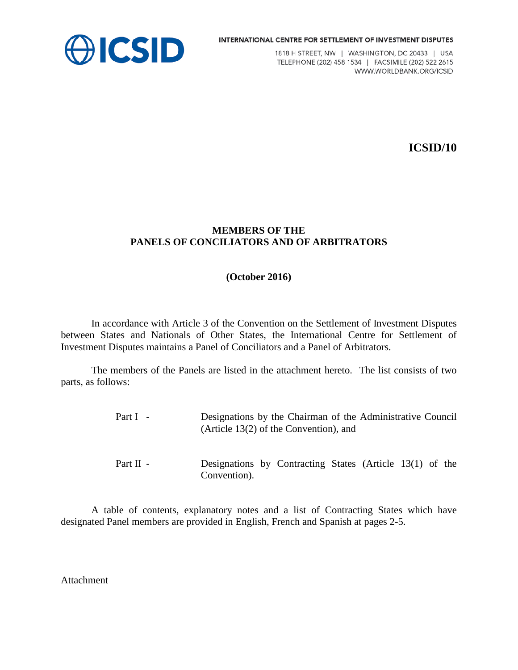



1818 H STREET, NW | WASHINGTON, DC 20433 | USA TELEPHONE (202) 458 1534 | FACSIMILE (202) 522 2615 WWW.WORLDBANK.ORG/ICSID

**ICSID/10**

#### **MEMBERS OF THE PANELS OF CONCILIATORS AND OF ARBITRATORS**

#### **(October 2016)**

In accordance with Article 3 of the Convention on the Settlement of Investment Disputes between States and Nationals of Other States, the International Centre for Settlement of Investment Disputes maintains a Panel of Conciliators and a Panel of Arbitrators.

The members of the Panels are listed in the attachment hereto. The list consists of two parts, as follows:

> Part I - Designations by the Chairman of the Administrative Council (Article 13(2) of the Convention), and Part II - Designations by Contracting States (Article 13(1) of the Convention).

A table of contents, explanatory notes and a list of Contracting States which have designated Panel members are provided in English, French and Spanish at pages 2-5.

Attachment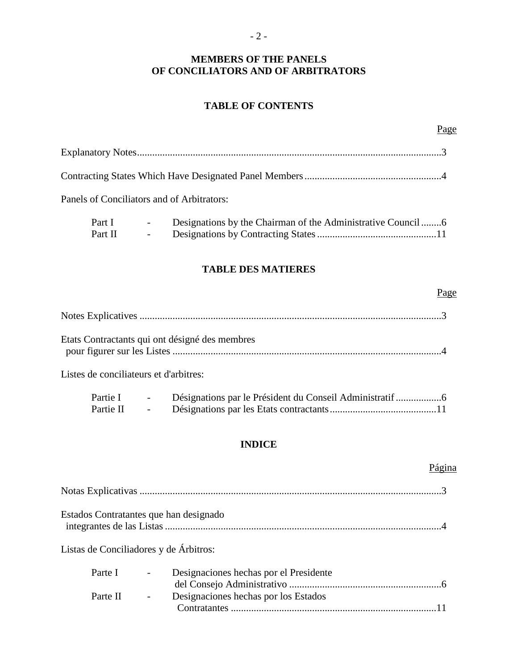#### **MEMBERS OF THE PANELS OF CONCILIATORS AND OF ARBITRATORS**

#### **TABLE OF CONTENTS**

Part I - Designations by the Chairman of the Administrative Council ........6 Part II - Designations by Contracting States...............................................11

#### **TABLE DES MATIERES**

#### Page

Page

| Etats Contractants qui ont désigné des membres |  |
|------------------------------------------------|--|

Listes de conciliateurs et d'arbitres:

| Partie I  | $\sim$ |  |
|-----------|--------|--|
| Partie II | $\sim$ |  |

#### **INDICE**

#### Página

| Estados Contratantes que han designado |  |
|----------------------------------------|--|
| Listas de Conciliadores y de Árbitros: |  |

| Parte I  | $\sim$ 100 $\mu$ | Designaciones hechas por el Presidente |  |
|----------|------------------|----------------------------------------|--|
|          |                  |                                        |  |
| Parte II | $\sim$ $-$       | Designaciones hechas por los Estados   |  |
|          |                  |                                        |  |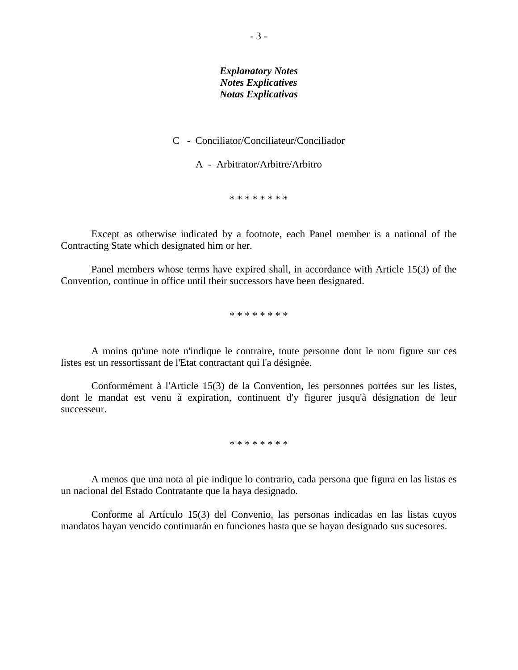#### *Explanatory Notes Notes Explicatives Notas Explicativas*

#### C - Conciliator/Conciliateur/Conciliador

A - Arbitrator/Arbitre/Arbitro

\* \* \* \* \* \* \* \*

Except as otherwise indicated by a footnote, each Panel member is a national of the Contracting State which designated him or her.

Panel members whose terms have expired shall, in accordance with Article 15(3) of the Convention, continue in office until their successors have been designated.

\* \* \* \* \* \* \* \*

A moins qu'une note n'indique le contraire, toute personne dont le nom figure sur ces listes est un ressortissant de l'Etat contractant qui l'a désignée.

Conformément à l'Article 15(3) de la Convention, les personnes portées sur les listes, dont le mandat est venu à expiration, continuent d'y figurer jusqu'à désignation de leur successeur.

\* \* \* \* \* \* \* \*

A menos que una nota al pie indique lo contrario, cada persona que figura en las listas es un nacional del Estado Contratante que la haya designado.

Conforme al Artículo 15(3) del Convenio, las personas indicadas en las listas cuyos mandatos hayan vencido continuarán en funciones hasta que se hayan designado sus sucesores.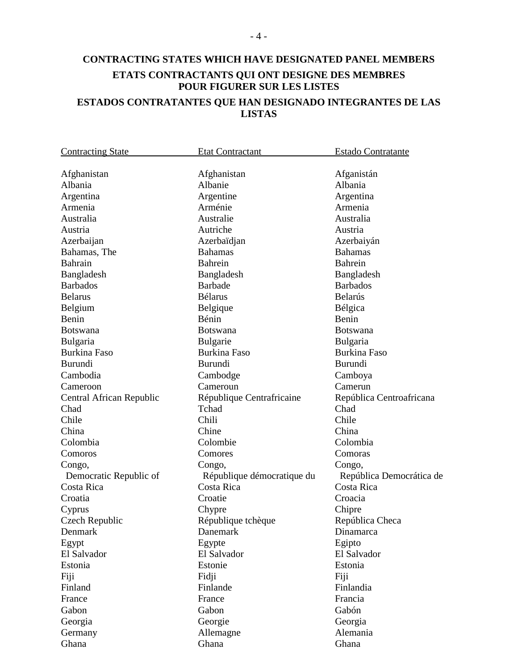### **CONTRACTING STATES WHICH HAVE DESIGNATED PANEL MEMBERS ETATS CONTRACTANTS QUI ONT DESIGNE DES MEMBRES POUR FIGURER SUR LES LISTES ESTADOS CONTRATANTES QUE HAN DESIGNADO INTEGRANTES DE LAS LISTAS**

| <b>Contracting State</b> | <b>Etat Contractant</b>    | <b>Estado Contratante</b> |
|--------------------------|----------------------------|---------------------------|
|                          |                            |                           |
| Afghanistan              | Afghanistan                | Afganistán                |
| Albania                  | Albanie                    | Albania                   |
| Argentina                | Argentine                  | Argentina                 |
| Armenia                  | Arménie                    | Armenia                   |
| Australia                | Australie                  | Australia                 |
| Austria                  | Autriche                   | Austria                   |
| Azerbaijan               | Azerbaïdjan                | Azerbaiyán                |
| Bahamas, The             | <b>Bahamas</b>             | <b>Bahamas</b>            |
| <b>Bahrain</b>           | <b>Bahrein</b>             | <b>Bahrein</b>            |
| Bangladesh               | Bangladesh                 | Bangladesh                |
| <b>Barbados</b>          | <b>Barbade</b>             | <b>Barbados</b>           |
| <b>Belarus</b>           | <b>Bélarus</b>             | Belarús                   |
| Belgium                  | Belgique                   | Bélgica                   |
| Benin                    | Bénin                      | Benin                     |
| <b>Botswana</b>          | <b>Botswana</b>            | <b>Botswana</b>           |
| Bulgaria                 | <b>Bulgarie</b>            | <b>Bulgaria</b>           |
| <b>Burkina Faso</b>      | <b>Burkina Faso</b>        | <b>Burkina Faso</b>       |
| <b>Burundi</b>           | <b>Burundi</b>             | Burundi                   |
| Cambodia                 | Cambodge                   | Camboya                   |
| Cameroon                 | Cameroun                   | Camerun                   |
| Central African Republic | République Centrafricaine  | República Centroafricana  |
| Chad                     | Tchad                      | Chad                      |
| Chile                    | Chili                      | Chile                     |
| China                    | Chine                      | China                     |
| Colombia                 | Colombie                   | Colombia                  |
| Comoros                  | Comores                    | Comoras                   |
| Congo,                   | Congo,                     | Congo,                    |
| Democratic Republic of   | République démocratique du | República Democrática de  |
| Costa Rica               | Costa Rica                 | Costa Rica                |
| Croatia                  | Croatie                    | Croacia                   |
| Cyprus                   | Chypre                     | Chipre                    |
| Czech Republic           | République tchèque         | República Checa           |
| Denmark                  | Danemark                   | Dinamarca                 |
| Egypt                    | Egypte                     | Egipto                    |
| El Salvador              | El Salvador                | El Salvador               |
| Estonia                  | Estonie                    | Estonia                   |
| Fiji                     | Fidji                      | Fiji                      |
| Finland                  | Finlande                   | Finlandia                 |
| France                   | France                     | Francia                   |
| Gabon                    | Gabon                      | Gabón                     |
| Georgia                  | Georgie                    | Georgia                   |
|                          |                            | Alemania                  |
| Germany                  | Allemagne                  |                           |
| Ghana                    | Ghana                      | Ghana                     |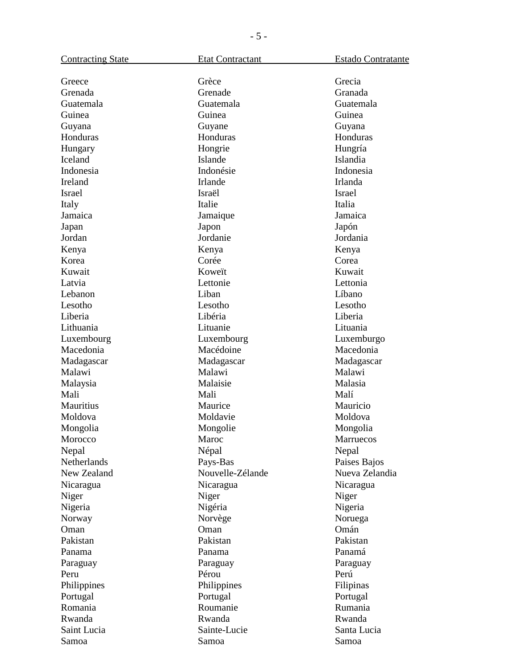| <b>Contracting State</b> | <b>Etat Contractant</b> | Estado Contratante |
|--------------------------|-------------------------|--------------------|
| Greece                   | Grèce                   | Grecia             |
| Grenada                  | Grenade                 | Granada            |
| Guatemala                | Guatemala               | Guatemala          |
| Guinea                   | Guinea                  | Guinea             |
| Guyana                   | Guyane                  | Guyana             |
| Honduras                 | Honduras                | Honduras           |
| Hungary                  | Hongrie                 | Hungría            |
| Iceland                  | Islande                 | Islandia           |
| Indonesia                | Indonésie               | Indonesia          |
| Ireland                  | Irlande                 | Irlanda            |
| Israel                   | Israël                  | Israel             |
| Italy                    | Italie                  | Italia             |
| Jamaica                  | Jamaique                | Jamaica            |
| Japan                    | Japon                   | Japón              |
| Jordan                   | Jordanie                | Jordania           |
| Kenya                    | Kenya                   | Kenya              |
| Korea                    | Corée                   | Corea              |
| Kuwait                   | Koweït                  | Kuwait             |
| Latvia                   | Lettonie                | Lettonia           |
| Lebanon                  | Liban                   | Líbano             |
| Lesotho                  | Lesotho                 | Lesotho            |
| Liberia                  | Libéria                 | Liberia            |
| Lithuania                | Lituanie                | Lituania           |
| Luxembourg               | Luxembourg              | Luxemburgo         |
| Macedonia                | Macédoine               | Macedonia          |
| Madagascar               | Madagascar              | Madagascar         |
| Malawi                   | Malawi                  | Malawi             |
| Malaysia                 | Malaisie                | Malasia            |
| Mali                     | Mali                    | Malí               |
| Mauritius                | Maurice                 | Mauricio           |
| Moldova                  | Moldavie                | Moldova            |
| Mongolia                 | Mongolie                | Mongolia           |
| Morocco                  | Maroc                   | Marruecos          |
| Nepal                    | Népal                   | Nepal              |
| Netherlands              | Pays-Bas                | Paises Bajos       |
| New Zealand              | Nouvelle-Zélande        | Nueva Zelandia     |
|                          | Nicaragua               | Nicaragua          |
| Nicaragua<br>Niger       | Niger                   | Niger              |
| Nigeria                  | Nigéria                 | Nigeria            |
|                          | Norvège                 | Noruega            |
| Norway<br>Oman           | Oman                    | Omán               |
| Pakistan                 | Pakistan                | Pakistan           |
|                          | Panama                  | Panamá             |
| Panama                   |                         |                    |
| Paraguay                 | Paraguay                | Paraguay           |
| Peru                     | Pérou                   | Perú               |
| Philippines              | Philippines             | Filipinas          |
| Portugal                 | Portugal                | Portugal           |
| Romania                  | Roumanie                | Rumania            |
| Rwanda                   | Rwanda                  | Rwanda             |
| Saint Lucia              | Sainte-Lucie            | Santa Lucia        |
| Samoa                    | Samoa                   | Samoa              |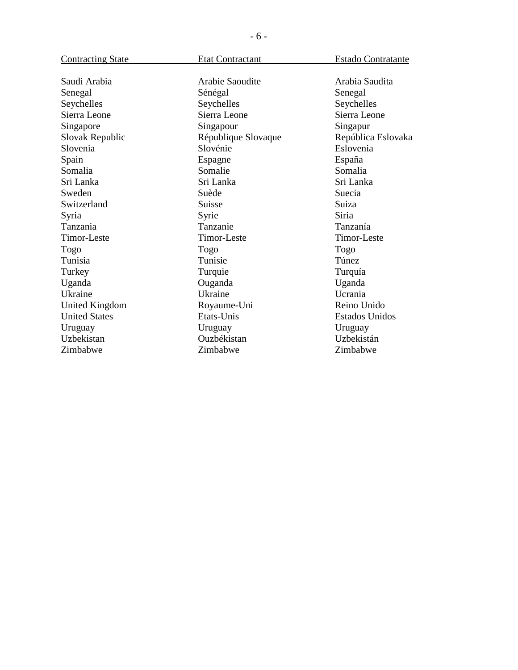| <b>Contracting State</b> | <b>Etat Contractant</b> | Estado Contratante |
|--------------------------|-------------------------|--------------------|
|                          |                         |                    |
| Saudi Arabia             | Arabie Saoudite         | Arabia Saudita     |
| Senegal                  | Sénégal                 | Senegal            |
| Seychelles               | Seychelles              | Seychelles         |
| Sierra Leone             | Sierra Leone            | Sierra Leone       |
| Singapore                | Singapour               | Singapur           |
| Slovak Republic          | République Slovaque     | República Eslovaka |
| Slovenia                 | Slovénie                | Eslovenia          |
| Spain                    | Espagne                 | España             |
| Somalia                  | Somalie                 | Somalia            |
| Sri Lanka                | Sri Lanka               | Sri Lanka          |
| Sweden                   | Suède                   | Suecia             |
| Switzerland              | Suisse                  | Suiza              |
| Syria                    | Syrie                   | Siria              |
| Tanzania                 | Tanzanie                | Tanzanía           |
| Timor-Leste              | Timor-Leste             | Timor-Leste        |
| Togo                     | Togo                    | Togo               |
| Tunisia                  | Tunisie                 | Túnez              |
| Turkey                   | Turquie                 | Turquía            |
| Uganda                   | Ouganda                 | Uganda             |
| Ukraine                  | Ukraine                 | Ucrania            |
| <b>United Kingdom</b>    | Royaume-Uni             | Reino Unido        |
| <b>United States</b>     | Etats-Unis              | Estados Unidos     |
| Uruguay                  | Uruguay                 | Uruguay            |
| Uzbekistan               | Ouzbékistan             | Uzbekistán         |
| Zimbabwe                 | Zimbabwe                | Zimbabwe           |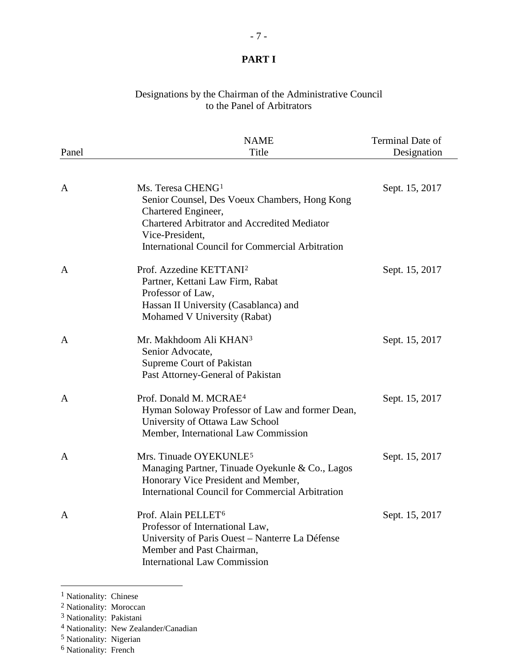#### Designations by the Chairman of the Administrative Council to the Panel of Arbitrators

|              | <b>NAME</b>                                             | Terminal Date of |
|--------------|---------------------------------------------------------|------------------|
| Panel        | Title                                                   | Designation      |
|              |                                                         |                  |
| A            | Ms. Teresa CHENG <sup>1</sup>                           | Sept. 15, 2017   |
|              | Senior Counsel, Des Voeux Chambers, Hong Kong           |                  |
|              | Chartered Engineer,                                     |                  |
|              | <b>Chartered Arbitrator and Accredited Mediator</b>     |                  |
|              | Vice-President,                                         |                  |
|              | <b>International Council for Commercial Arbitration</b> |                  |
| $\mathbf{A}$ | Prof. Azzedine KETTANI <sup>2</sup>                     | Sept. 15, 2017   |
|              | Partner, Kettani Law Firm, Rabat                        |                  |
|              | Professor of Law,                                       |                  |
|              | Hassan II University (Casablanca) and                   |                  |
|              | Mohamed V University (Rabat)                            |                  |
| $\mathbf{A}$ | Mr. Makhdoom Ali KHAN <sup>3</sup>                      | Sept. 15, 2017   |
|              | Senior Advocate,                                        |                  |
|              | Supreme Court of Pakistan                               |                  |
|              | Past Attorney-General of Pakistan                       |                  |
|              |                                                         |                  |
| $\mathbf{A}$ | Prof. Donald M. MCRAE <sup>4</sup>                      | Sept. 15, 2017   |
|              | Hyman Soloway Professor of Law and former Dean,         |                  |
|              | University of Ottawa Law School                         |                  |
|              | Member, International Law Commission                    |                  |
| $\mathbf{A}$ | Mrs. Tinuade OYEKUNLE <sup>5</sup>                      | Sept. 15, 2017   |
|              | Managing Partner, Tinuade Oyekunle & Co., Lagos         |                  |
|              | Honorary Vice President and Member,                     |                  |
|              | <b>International Council for Commercial Arbitration</b> |                  |
| A            | Prof. Alain PELLET <sup>6</sup>                         | Sept. 15, 2017   |
|              | Professor of International Law,                         |                  |
|              | University of Paris Ouest - Nanterre La Défense         |                  |
|              | Member and Past Chairman,                               |                  |
|              | <b>International Law Commission</b>                     |                  |
|              |                                                         |                  |

<sup>&</sup>lt;sup>1</sup> Nationality: Chinese

<span id="page-6-1"></span><span id="page-6-0"></span><sup>2</sup> Nationality: Moroccan

<span id="page-6-2"></span><sup>3</sup> Nationality: Pakistani

<span id="page-6-3"></span><sup>4</sup> Nationality: New Zealander/Canadian

<span id="page-6-4"></span><sup>5</sup> Nationality: Nigerian

<span id="page-6-5"></span><sup>6</sup> Nationality: French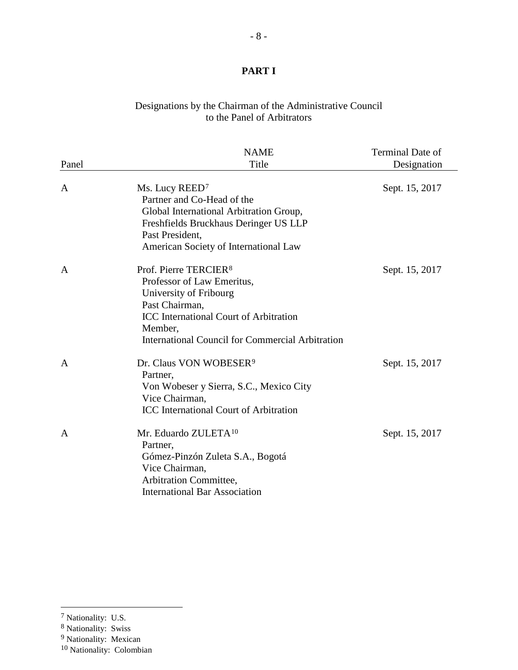#### Designations by the Chairman of the Administrative Council to the Panel of Arbitrators

|              | <b>NAME</b>                                                                                                                                                                                                                        | <b>Terminal Date of</b> |
|--------------|------------------------------------------------------------------------------------------------------------------------------------------------------------------------------------------------------------------------------------|-------------------------|
| Panel        | Title                                                                                                                                                                                                                              | Designation             |
| A            | Ms. Lucy REED <sup>7</sup><br>Partner and Co-Head of the<br>Global International Arbitration Group,<br>Freshfields Bruckhaus Deringer US LLP<br>Past President,<br>American Society of International Law                           | Sept. 15, 2017          |
| A            | Prof. Pierre TERCIER <sup>8</sup><br>Professor of Law Emeritus,<br>University of Fribourg<br>Past Chairman,<br><b>ICC</b> International Court of Arbitration<br>Member,<br><b>International Council for Commercial Arbitration</b> | Sept. 15, 2017          |
| $\mathbf{A}$ | Dr. Claus VON WOBESER <sup>9</sup><br>Partner,<br>Von Wobeser y Sierra, S.C., Mexico City<br>Vice Chairman,<br>ICC International Court of Arbitration                                                                              | Sept. 15, 2017          |
| $\mathbf{A}$ | Mr. Eduardo ZULETA <sup>10</sup><br>Partner,<br>Gómez-Pinzón Zuleta S.A., Bogotá<br>Vice Chairman,<br>Arbitration Committee,<br><b>International Bar Association</b>                                                               | Sept. 15, 2017          |

<span id="page-7-0"></span><sup>7</sup> Nationality: U.S.

<sup>8</sup> Nationality: Swiss

<span id="page-7-2"></span><span id="page-7-1"></span><sup>&</sup>lt;sup>9</sup> Nationality: Mexican

<span id="page-7-3"></span><sup>10</sup> Nationality: Colombian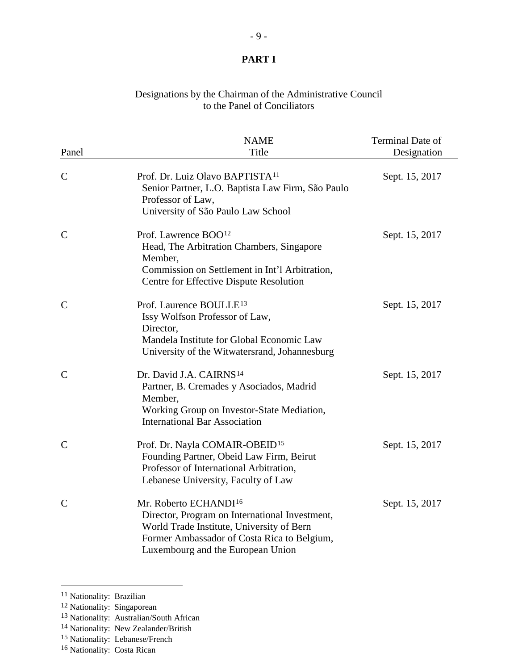#### Designations by the Chairman of the Administrative Council to the Panel of Conciliators

| Panel         | <b>NAME</b><br>Title                                                                                                                                                                                                 | Terminal Date of<br>Designation |
|---------------|----------------------------------------------------------------------------------------------------------------------------------------------------------------------------------------------------------------------|---------------------------------|
|               |                                                                                                                                                                                                                      |                                 |
| $\mathbf C$   | Prof. Dr. Luiz Olavo BAPTISTA <sup>11</sup><br>Senior Partner, L.O. Baptista Law Firm, São Paulo<br>Professor of Law,<br>University of São Paulo Law School                                                          | Sept. 15, 2017                  |
| $\mathbf C$   | Prof. Lawrence BOO <sup>12</sup><br>Head, The Arbitration Chambers, Singapore<br>Member,<br>Commission on Settlement in Int'l Arbitration,<br>Centre for Effective Dispute Resolution                                | Sept. 15, 2017                  |
| $\mathbf C$   | Prof. Laurence BOULLE <sup>13</sup><br>Issy Wolfson Professor of Law,<br>Director,<br>Mandela Institute for Global Economic Law<br>University of the Witwatersrand, Johannesburg                                     | Sept. 15, 2017                  |
| $\mathbf C$   | Dr. David J.A. CAIRNS <sup>14</sup><br>Partner, B. Cremades y Asociados, Madrid<br>Member,<br>Working Group on Investor-State Mediation,<br><b>International Bar Association</b>                                     | Sept. 15, 2017                  |
| $\mathbf C$   | Prof. Dr. Nayla COMAIR-OBEID <sup>15</sup><br>Founding Partner, Obeid Law Firm, Beirut<br>Professor of International Arbitration,<br>Lebanese University, Faculty of Law                                             | Sept. 15, 2017                  |
| $\mathcal{C}$ | Mr. Roberto ECHANDI <sup>16</sup><br>Director, Program on International Investment,<br>World Trade Institute, University of Bern<br>Former Ambassador of Costa Rica to Belgium,<br>Luxembourg and the European Union | Sept. 15, 2017                  |

<sup>&</sup>lt;sup>11</sup> Nationality: Brazilian

<span id="page-8-1"></span><span id="page-8-0"></span><sup>&</sup>lt;sup>12</sup> Nationality: Singaporean

<span id="page-8-2"></span><sup>13</sup> Nationality: Australian/South African

<span id="page-8-3"></span><sup>&</sup>lt;sup>14</sup> Nationality: New Zealander/British

<span id="page-8-4"></span><sup>15</sup> Nationality: Lebanese/French

<span id="page-8-5"></span><sup>16</sup> Nationality: Costa Rican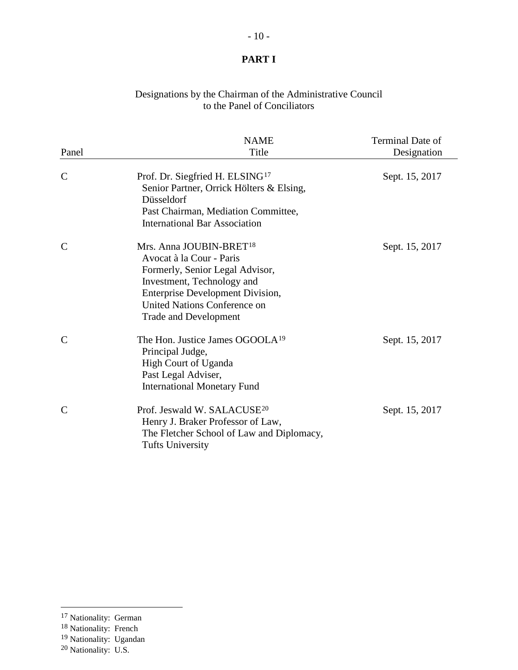#### Designations by the Chairman of the Administrative Council to the Panel of Conciliators

| Panel         | <b>NAME</b><br>Title                                                                                                                                                                                                                        | Terminal Date of<br>Designation |
|---------------|---------------------------------------------------------------------------------------------------------------------------------------------------------------------------------------------------------------------------------------------|---------------------------------|
| $\mathbf C$   | Prof. Dr. Siegfried H. ELSING <sup>17</sup><br>Senior Partner, Orrick Hölters & Elsing,<br>Düsseldorf<br>Past Chairman, Mediation Committee,<br><b>International Bar Association</b>                                                        | Sept. 15, 2017                  |
| $\mathcal{C}$ | Mrs. Anna JOUBIN-BRET <sup>18</sup><br>Avocat à la Cour - Paris<br>Formerly, Senior Legal Advisor,<br>Investment, Technology and<br><b>Enterprise Development Division,</b><br>United Nations Conference on<br><b>Trade and Development</b> | Sept. 15, 2017                  |
| $\mathcal{C}$ | The Hon. Justice James OGOOLA <sup>19</sup><br>Principal Judge,<br><b>High Court of Uganda</b><br>Past Legal Adviser,<br><b>International Monetary Fund</b>                                                                                 | Sept. 15, 2017                  |
| C             | Prof. Jeswald W. SALACUSE <sup>20</sup><br>Henry J. Braker Professor of Law,<br>The Fletcher School of Law and Diplomacy,<br><b>Tufts University</b>                                                                                        | Sept. 15, 2017                  |

<span id="page-9-0"></span><sup>&</sup>lt;sup>17</sup> Nationality: German

<sup>&</sup>lt;sup>18</sup> Nationality: French

<span id="page-9-2"></span><span id="page-9-1"></span><sup>19</sup> Nationality: Ugandan

<span id="page-9-3"></span><sup>20</sup> Nationality: U.S.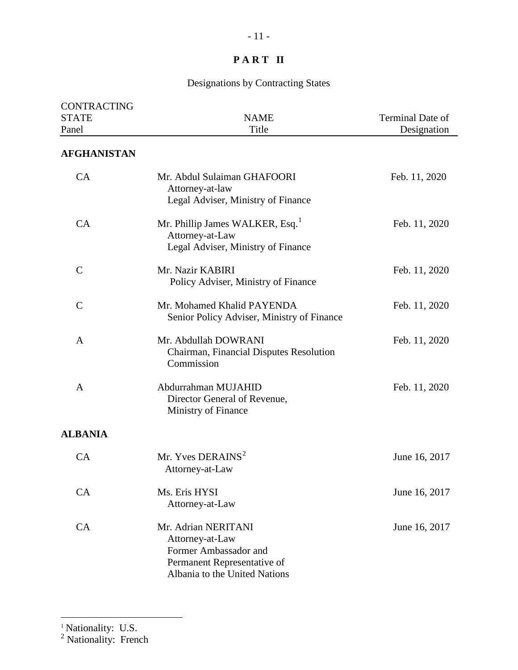# Designations by Contracting States

| <b>CONTRACTING</b><br><b>STATE</b><br>Panel | <b>NAME</b><br>Title                                                                                                            | Terminal Date of<br>Designation |
|---------------------------------------------|---------------------------------------------------------------------------------------------------------------------------------|---------------------------------|
| <b>AFGHANISTAN</b>                          |                                                                                                                                 |                                 |
| CA                                          | Mr. Abdul Sulaiman GHAFOORI<br>Attorney-at-law<br>Legal Adviser, Ministry of Finance                                            | Feb. 11, 2020                   |
| CA                                          | Mr. Phillip James WALKER, Esq. <sup>1</sup><br>Attorney-at-Law<br>Legal Adviser, Ministry of Finance                            | Feb. 11, 2020                   |
| $\mathsf{C}$                                | Mr. Nazir KABIRI<br>Policy Adviser, Ministry of Finance                                                                         | Feb. 11, 2020                   |
| $\mathcal{C}$                               | Mr. Mohamed Khalid PAYENDA<br>Senior Policy Adviser, Ministry of Finance                                                        | Feb. 11, 2020                   |
| A                                           | Mr. Abdullah DOWRANI<br>Chairman, Financial Disputes Resolution<br>Commission                                                   | Feb. 11, 2020                   |
| A                                           | Abdurrahman MUJAHID<br>Director General of Revenue,<br>Ministry of Finance                                                      | Feb. 11, 2020                   |
| <b>ALBANIA</b>                              |                                                                                                                                 |                                 |
| CA                                          | Mr. Yves DERAINS <sup>2</sup><br>Attorney-at-Law                                                                                | June 16, 2017                   |
| CA                                          | Ms. Eris HYSI<br>Attorney-at-Law                                                                                                | June 16, 2017                   |
| CA                                          | Mr. Adrian NERITANI<br>Attorney-at-Law<br>Former Ambassador and<br>Permanent Representative of<br>Albania to the United Nations | June 16, 2017                   |

<span id="page-10-0"></span><sup>1</sup> Nationality: U.S.

 $\overline{a}$ 

<span id="page-10-1"></span><sup>2</sup> Nationality: French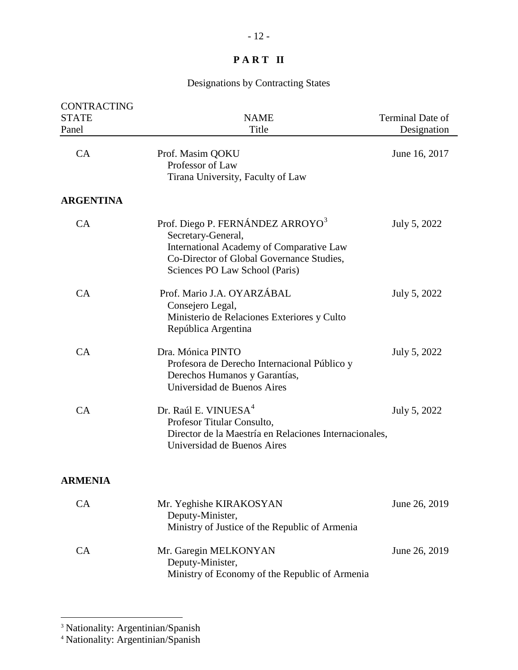# Designations by Contracting States

| CONTRACTING<br><b>STATE</b> | <b>NAME</b>                                                                                                                                                                                   | Terminal Date of |
|-----------------------------|-----------------------------------------------------------------------------------------------------------------------------------------------------------------------------------------------|------------------|
| Panel                       | Title                                                                                                                                                                                         | Designation      |
| CA                          | Prof. Masim QOKU<br>Professor of Law<br>Tirana University, Faculty of Law                                                                                                                     | June 16, 2017    |
| <b>ARGENTINA</b>            |                                                                                                                                                                                               |                  |
| CA                          | Prof. Diego P. FERNÁNDEZ ARROYO <sup>3</sup><br>Secretary-General,<br>International Academy of Comparative Law<br>Co-Director of Global Governance Studies,<br>Sciences PO Law School (Paris) | July 5, 2022     |
| CA                          | Prof. Mario J.A. OYARZÁBAL<br>Consejero Legal,<br>Ministerio de Relaciones Exteriores y Culto<br>República Argentina                                                                          | July 5, 2022     |
| CA                          | Dra. Mónica PINTO<br>Profesora de Derecho Internacional Público y<br>Derechos Humanos y Garantías,<br>Universidad de Buenos Aires                                                             | July 5, 2022     |
| CA                          | Dr. Raúl E. VINUESA <sup>4</sup><br>Profesor Titular Consulto,<br>Director de la Maestría en Relaciones Internacionales,<br>Universidad de Buenos Aires                                       | July 5, 2022     |
| <b>ARMENIA</b>              |                                                                                                                                                                                               |                  |
| CA                          | Mr. Yeghishe KIRAKOSYAN<br>Deputy-Minister,<br>Ministry of Justice of the Republic of Armenia                                                                                                 | June 26, 2019    |
| CA                          | Mr. Garegin MELKONYAN<br>Deputy-Minister,<br>Ministry of Economy of the Republic of Armenia                                                                                                   | June 26, 2019    |

<span id="page-11-0"></span><sup>&</sup>lt;sup>3</sup> Nationality: Argentinian/Spanish

<span id="page-11-1"></span><sup>4</sup> Nationality: Argentinian/Spanish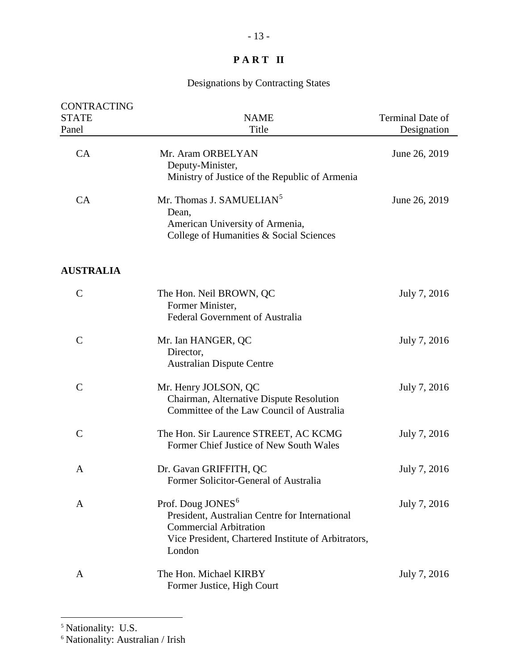# Designations by Contracting States

| <b>CONTRACTING</b> |                                                                                                                                                                                   |                  |
|--------------------|-----------------------------------------------------------------------------------------------------------------------------------------------------------------------------------|------------------|
| <b>STATE</b>       | <b>NAME</b>                                                                                                                                                                       | Terminal Date of |
| Panel              | Title                                                                                                                                                                             | Designation      |
| CA                 | Mr. Aram ORBELYAN<br>Deputy-Minister,<br>Ministry of Justice of the Republic of Armenia                                                                                           | June 26, 2019    |
| CA                 | Mr. Thomas J. SAMUELIAN <sup>5</sup><br>Dean,<br>American University of Armenia,<br>College of Humanities & Social Sciences                                                       | June 26, 2019    |
| <b>AUSTRALIA</b>   |                                                                                                                                                                                   |                  |
| $\mathcal{C}$      | The Hon. Neil BROWN, QC<br>Former Minister,<br>Federal Government of Australia                                                                                                    | July 7, 2016     |
| $\overline{C}$     | Mr. Ian HANGER, QC<br>Director,<br><b>Australian Dispute Centre</b>                                                                                                               | July 7, 2016     |
| $\mathcal{C}$      | Mr. Henry JOLSON, QC<br>Chairman, Alternative Dispute Resolution<br>Committee of the Law Council of Australia                                                                     | July 7, 2016     |
| $\mathcal{C}$      | The Hon. Sir Laurence STREET, AC KCMG<br>Former Chief Justice of New South Wales                                                                                                  | July 7, 2016     |
| A                  | Dr. Gavan GRIFFITH, QC<br>Former Solicitor-General of Australia                                                                                                                   | July 7, 2016     |
| A                  | Prof. Doug JONES <sup>6</sup><br>President, Australian Centre for International<br><b>Commercial Arbitration</b><br>Vice President, Chartered Institute of Arbitrators,<br>London | July 7, 2016     |
| A                  | The Hon. Michael KIRBY<br>Former Justice, High Court                                                                                                                              | July 7, 2016     |

<span id="page-12-0"></span><sup>&</sup>lt;sup>5</sup> Nationality: U.S.

<span id="page-12-1"></span><sup>&</sup>lt;sup>6</sup> Nationality: Australian / Irish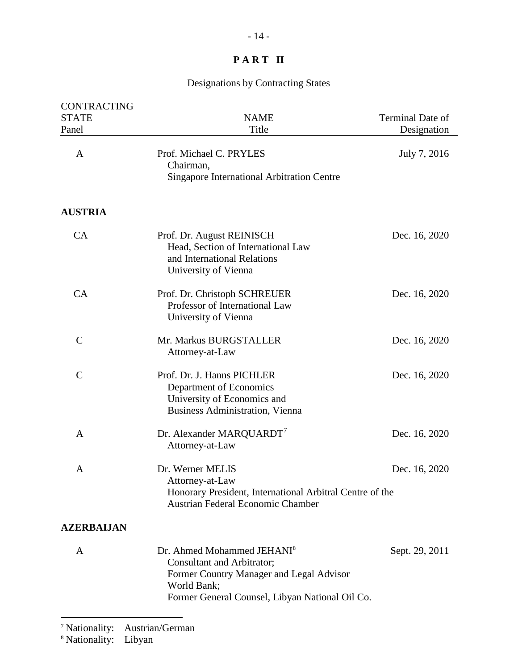| <b>CONTRACTING</b><br><b>STATE</b><br>Panel | <b>NAME</b><br>Title                                                                                                                                                               | Terminal Date of<br>Designation |
|---------------------------------------------|------------------------------------------------------------------------------------------------------------------------------------------------------------------------------------|---------------------------------|
| A                                           | Prof. Michael C. PRYLES<br>Chairman,<br><b>Singapore International Arbitration Centre</b>                                                                                          | July 7, 2016                    |
| <b>AUSTRIA</b>                              |                                                                                                                                                                                    |                                 |
| CA                                          | Prof. Dr. August REINISCH<br>Head, Section of International Law<br>and International Relations<br>University of Vienna                                                             | Dec. 16, 2020                   |
| CA                                          | Prof. Dr. Christoph SCHREUER<br>Professor of International Law<br>University of Vienna                                                                                             | Dec. 16, 2020                   |
| $\mathbf C$                                 | Mr. Markus BURGSTALLER<br>Attorney-at-Law                                                                                                                                          | Dec. 16, 2020                   |
| $\mathcal{C}$                               | Prof. Dr. J. Hanns PICHLER<br>Department of Economics<br>University of Economics and<br>Business Administration, Vienna                                                            | Dec. 16, 2020                   |
| A                                           | Dr. Alexander MARQUARDT <sup>7</sup><br>Attorney-at-Law                                                                                                                            | Dec. 16, 2020                   |
| A                                           | Dr. Werner MELIS<br>Attorney-at-Law<br>Honorary President, International Arbitral Centre of the<br>Austrian Federal Economic Chamber                                               | Dec. 16, 2020                   |
| <b>AZERBAIJAN</b>                           |                                                                                                                                                                                    |                                 |
| A                                           | Dr. Ahmed Mohammed JEHANI <sup>8</sup><br>Consultant and Arbitrator;<br>Former Country Manager and Legal Advisor<br>World Bank;<br>Former General Counsel, Libyan National Oil Co. | Sept. 29, 2011                  |

<span id="page-13-0"></span><sup>7</sup> Nationality: Austrian/German

<span id="page-13-1"></span><sup>8</sup> Nationality: Libyan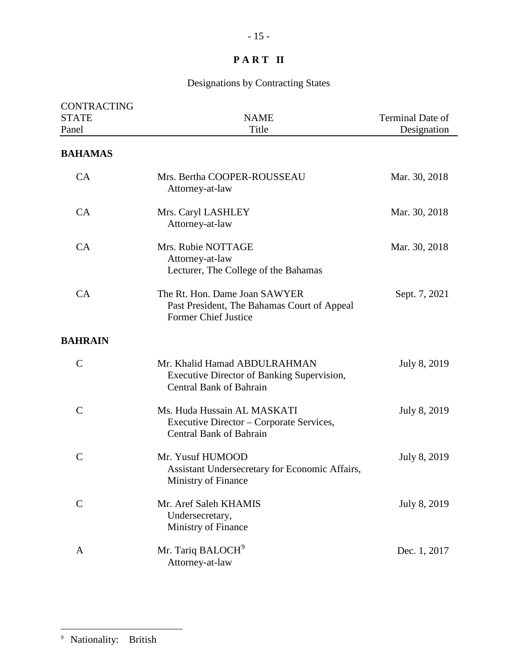# Designations by Contracting States

<span id="page-14-0"></span>

| <b>CONTRACTING</b><br><b>STATE</b><br>Panel | <b>NAME</b><br>Title                                                                                         | Terminal Date of<br>Designation |
|---------------------------------------------|--------------------------------------------------------------------------------------------------------------|---------------------------------|
| <b>BAHAMAS</b>                              |                                                                                                              |                                 |
| CA                                          | Mrs. Bertha COOPER-ROUSSEAU<br>Attorney-at-law                                                               | Mar. 30, 2018                   |
| CA                                          | Mrs. Caryl LASHLEY<br>Attorney-at-law                                                                        | Mar. 30, 2018                   |
| CA                                          | Mrs. Rubie NOTTAGE<br>Attorney-at-law<br>Lecturer, The College of the Bahamas                                | Mar. 30, 2018                   |
| CA                                          | The Rt. Hon. Dame Joan SAWYER<br>Past President, The Bahamas Court of Appeal<br><b>Former Chief Justice</b>  | Sept. 7, 2021                   |
| <b>BAHRAIN</b>                              |                                                                                                              |                                 |
| $\mathsf{C}$                                | Mr. Khalid Hamad ABDULRAHMAN<br>Executive Director of Banking Supervision,<br><b>Central Bank of Bahrain</b> | July 8, 2019                    |
| $\mathcal{C}$                               | Ms. Huda Hussain AL MASKATI<br>Executive Director – Corporate Services,<br><b>Central Bank of Bahrain</b>    | July 8, 2019                    |
| $\mathcal{C}$                               | Mr. Yusuf HUMOOD<br>Assistant Undersecretary for Economic Affairs,<br>Ministry of Finance                    | July 8, 2019                    |
| $\mathbf C$                                 | Mr. Aref Saleh KHAMIS<br>Undersecretary,<br>Ministry of Finance                                              | July 8, 2019                    |
| A                                           | Mr. Tariq BALOCH <sup>9</sup><br>Attorney-at-law                                                             | Dec. 1, 2017                    |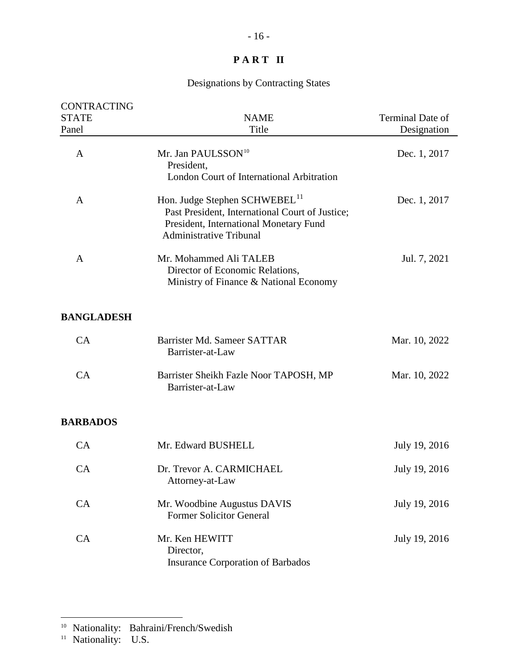# Designations by Contracting States

| <b>CONTRACTING</b><br><b>STATE</b><br>Panel | <b>NAME</b><br>Title                                                                                                                                                     | <b>Terminal Date of</b><br>Designation |
|---------------------------------------------|--------------------------------------------------------------------------------------------------------------------------------------------------------------------------|----------------------------------------|
| A                                           | Mr. Jan PAULSSON <sup>10</sup><br>President,<br>London Court of International Arbitration                                                                                | Dec. 1, 2017                           |
| A                                           | Hon. Judge Stephen SCHWEBEL <sup>11</sup><br>Past President, International Court of Justice;<br>President, International Monetary Fund<br><b>Administrative Tribunal</b> | Dec. 1, 2017                           |
| A                                           | Mr. Mohammed Ali TALEB<br>Director of Economic Relations,<br>Ministry of Finance & National Economy                                                                      | Jul. 7, 2021                           |
| <b>BANGLADESH</b>                           |                                                                                                                                                                          |                                        |
| CA                                          | Barrister Md. Sameer SATTAR<br>Barrister-at-Law                                                                                                                          | Mar. 10, 2022                          |
| CA                                          | Barrister Sheikh Fazle Noor TAPOSH, MP<br>Barrister-at-Law                                                                                                               | Mar. 10, 2022                          |
| <b>BARBADOS</b>                             |                                                                                                                                                                          |                                        |
| CA                                          | Mr. Edward BUSHELL                                                                                                                                                       | July 19, 2016                          |
| CA                                          | Dr. Trevor A. CARMICHAEL<br>Attorney-at-Law                                                                                                                              | July 19, 2016                          |
| CA                                          | Mr. Woodbine Augustus DAVIS<br><b>Former Solicitor General</b>                                                                                                           | July 19, 2016                          |
| CA                                          | Mr. Ken HEWITT<br>Director,<br><b>Insurance Corporation of Barbados</b>                                                                                                  | July 19, 2016                          |

<span id="page-15-0"></span><sup>&</sup>lt;sup>10</sup> Nationality: Bahraini/French/Swedish

<span id="page-15-1"></span><sup>&</sup>lt;sup>11</sup> Nationality: U.S.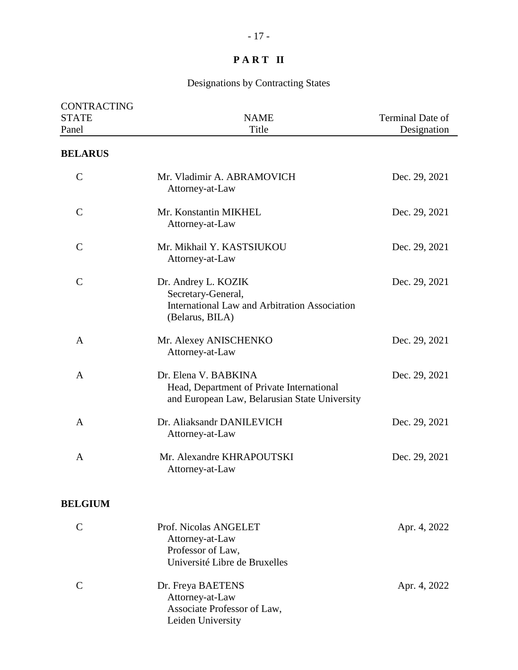| <b>CONTRACTING</b><br><b>STATE</b><br>Panel | <b>NAME</b><br>Title                                                                                               | Terminal Date of<br>Designation |
|---------------------------------------------|--------------------------------------------------------------------------------------------------------------------|---------------------------------|
| <b>BELARUS</b>                              |                                                                                                                    |                                 |
| $\mathcal{C}$                               | Mr. Vladimir A. ABRAMOVICH<br>Attorney-at-Law                                                                      | Dec. 29, 2021                   |
| $\mathsf{C}$                                | Mr. Konstantin MIKHEL<br>Attorney-at-Law                                                                           | Dec. 29, 2021                   |
| $\mathcal{C}$                               | Mr. Mikhail Y. KASTSIUKOU<br>Attorney-at-Law                                                                       | Dec. 29, 2021                   |
| $\mathcal{C}$                               | Dr. Andrey L. KOZIK<br>Secretary-General,<br>International Law and Arbitration Association<br>(Belarus, BILA)      | Dec. 29, 2021                   |
| A                                           | Mr. Alexey ANISCHENKO<br>Attorney-at-Law                                                                           | Dec. 29, 2021                   |
| A                                           | Dr. Elena V. BABKINA<br>Head, Department of Private International<br>and European Law, Belarusian State University | Dec. 29, 2021                   |
| A                                           | Dr. Aliaksandr DANILEVICH<br>Attorney-at-Law                                                                       | Dec. 29, 2021                   |
| A                                           | Mr. Alexandre KHRAPOUTSKI<br>Attorney-at-Law                                                                       | Dec. 29, 2021                   |
| <b>BELGIUM</b>                              |                                                                                                                    |                                 |
| $\mathbf C$                                 | Prof. Nicolas ANGELET<br>Attorney-at-Law<br>Professor of Law,<br>Université Libre de Bruxelles                     | Apr. 4, 2022                    |
| $\mathsf{C}$                                | Dr. Freya BAETENS<br>Attorney-at-Law<br>Associate Professor of Law,<br>Leiden University                           | Apr. 4, 2022                    |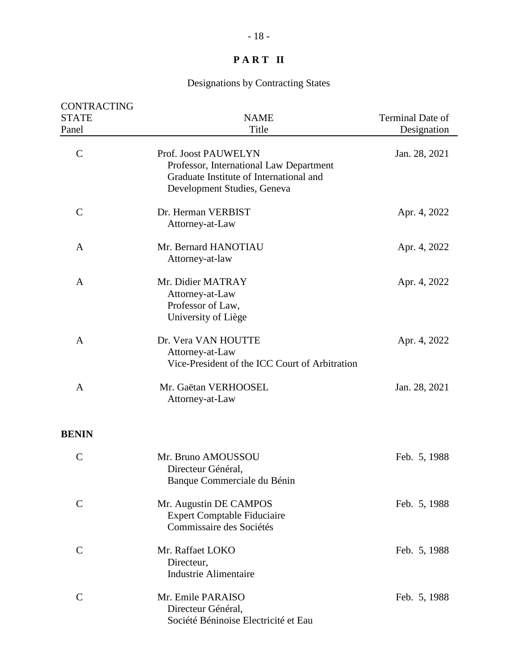| <b>CONTRACTING</b><br><b>STATE</b><br>Panel | <b>NAME</b><br>Title                                                                                                                      | Terminal Date of<br>Designation |
|---------------------------------------------|-------------------------------------------------------------------------------------------------------------------------------------------|---------------------------------|
| $\mathcal{C}$                               | Prof. Joost PAUWELYN<br>Professor, International Law Department<br>Graduate Institute of International and<br>Development Studies, Geneva | Jan. 28, 2021                   |
| $\mathsf{C}$                                | Dr. Herman VERBIST<br>Attorney-at-Law                                                                                                     | Apr. 4, 2022                    |
| A                                           | Mr. Bernard HANOTIAU<br>Attorney-at-law                                                                                                   | Apr. 4, 2022                    |
| A                                           | Mr. Didier MATRAY<br>Attorney-at-Law<br>Professor of Law,<br>University of Liège                                                          | Apr. 4, 2022                    |
| A                                           | Dr. Vera VAN HOUTTE<br>Attorney-at-Law<br>Vice-President of the ICC Court of Arbitration                                                  | Apr. 4, 2022                    |
| A                                           | Mr. Gaëtan VERHOOSEL<br>Attorney-at-Law                                                                                                   | Jan. 28, 2021                   |
| <b>BENIN</b>                                |                                                                                                                                           |                                 |
| $\mathcal{C}$                               | Mr. Bruno AMOUSSOU<br>Directeur Général,<br>Banque Commerciale du Bénin                                                                   | Feb. 5, 1988                    |
| $\overline{C}$                              | Mr. Augustin DE CAMPOS<br><b>Expert Comptable Fiduciaire</b><br>Commissaire des Sociétés                                                  | Feb. 5, 1988                    |
| $\mathbf C$                                 | Mr. Raffaet LOKO<br>Directeur,<br><b>Industrie Alimentaire</b>                                                                            | Feb. 5, 1988                    |
| $\mathcal{C}$                               | Mr. Emile PARAISO<br>Directeur Général,<br>Société Béninoise Electricité et Eau                                                           | Feb. 5, 1988                    |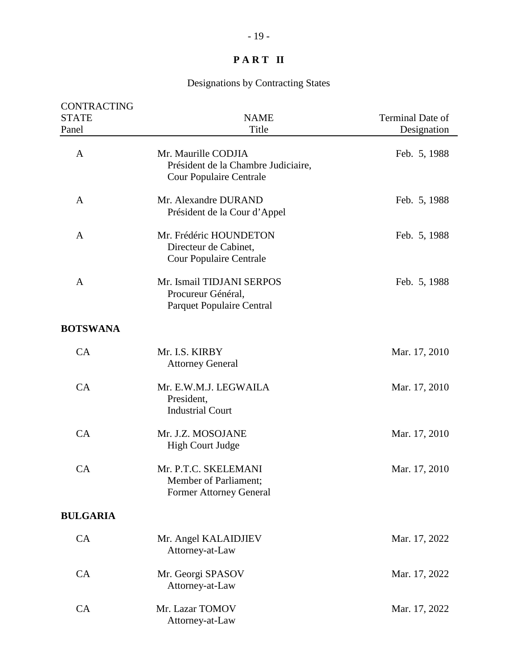| CONTRACTING     |                                                                                              |                  |
|-----------------|----------------------------------------------------------------------------------------------|------------------|
| <b>STATE</b>    | <b>NAME</b>                                                                                  | Terminal Date of |
| Panel           | Title                                                                                        | Designation      |
| A               | Mr. Maurille CODJIA<br>Président de la Chambre Judiciaire,<br><b>Cour Populaire Centrale</b> | Feb. 5, 1988     |
| A               | Mr. Alexandre DURAND<br>Président de la Cour d'Appel                                         | Feb. 5, 1988     |
| A               | Mr. Frédéric HOUNDETON<br>Directeur de Cabinet,<br><b>Cour Populaire Centrale</b>            | Feb. 5, 1988     |
| A               | Mr. Ismail TIDJANI SERPOS<br>Procureur Général,<br><b>Parquet Populaire Central</b>          | Feb. 5, 1988     |
| <b>BOTSWANA</b> |                                                                                              |                  |
| CA              | Mr. I.S. KIRBY<br><b>Attorney General</b>                                                    | Mar. 17, 2010    |
| CA              | Mr. E.W.M.J. LEGWAILA<br>President,<br><b>Industrial Court</b>                               | Mar. 17, 2010    |
| CA              | Mr. J.Z. MOSOJANE<br><b>High Court Judge</b>                                                 | Mar. 17, 2010    |
| CA              | Mr. P.T.C. SKELEMANI<br>Member of Parliament;<br><b>Former Attorney General</b>              | Mar. 17, 2010    |
| <b>BULGARIA</b> |                                                                                              |                  |
| CA              | Mr. Angel KALAIDJIEV<br>Attorney-at-Law                                                      | Mar. 17, 2022    |
| CA              | Mr. Georgi SPASOV<br>Attorney-at-Law                                                         | Mar. 17, 2022    |
| CA              | Mr. Lazar TOMOV<br>Attorney-at-Law                                                           | Mar. 17, 2022    |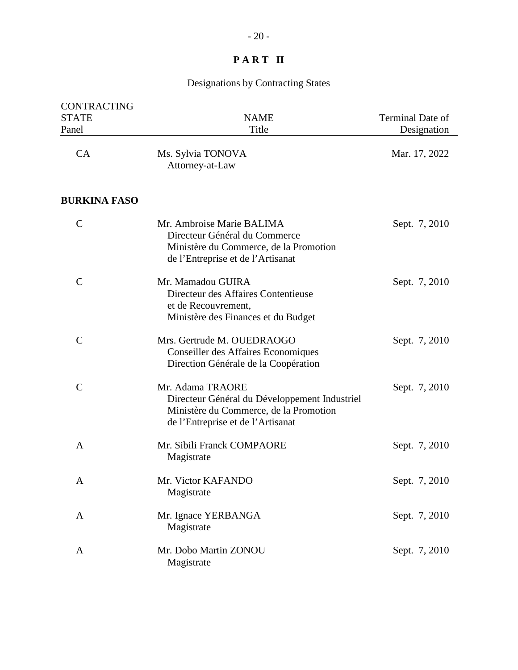| <b>CONTRACTING</b><br><b>STATE</b><br>Panel | <b>NAME</b><br>Title                                                                                                                             | Terminal Date of<br>Designation |
|---------------------------------------------|--------------------------------------------------------------------------------------------------------------------------------------------------|---------------------------------|
| CA                                          | Ms. Sylvia TONOVA<br>Attorney-at-Law                                                                                                             | Mar. 17, 2022                   |
| <b>BURKINA FASO</b>                         |                                                                                                                                                  |                                 |
| $\mathcal{C}$                               | Mr. Ambroise Marie BALIMA<br>Directeur Général du Commerce<br>Ministère du Commerce, de la Promotion<br>de l'Entreprise et de l'Artisanat        | Sept. 7, 2010                   |
| $\mathsf{C}$                                | Mr. Mamadou GUIRA<br>Directeur des Affaires Contentieuse<br>et de Recouvrement,<br>Ministère des Finances et du Budget                           | Sept. 7, 2010                   |
| $\mathsf{C}$                                | Mrs. Gertrude M. OUEDRAOGO<br><b>Conseiller des Affaires Economiques</b><br>Direction Générale de la Coopération                                 | Sept. 7, 2010                   |
| $\overline{C}$                              | Mr. Adama TRAORE<br>Directeur Général du Développement Industriel<br>Ministère du Commerce, de la Promotion<br>de l'Entreprise et de l'Artisanat | Sept. 7, 2010                   |
| A                                           | Mr. Sibili Franck COMPAORE<br>Magistrate                                                                                                         | Sept. 7, 2010                   |
| A                                           | Mr. Victor KAFANDO<br>Magistrate                                                                                                                 | Sept. 7, 2010                   |
| A                                           | Mr. Ignace YERBANGA<br>Magistrate                                                                                                                | Sept. 7, 2010                   |
| A                                           | Mr. Dobo Martin ZONOU<br>Magistrate                                                                                                              | Sept. 7, 2010                   |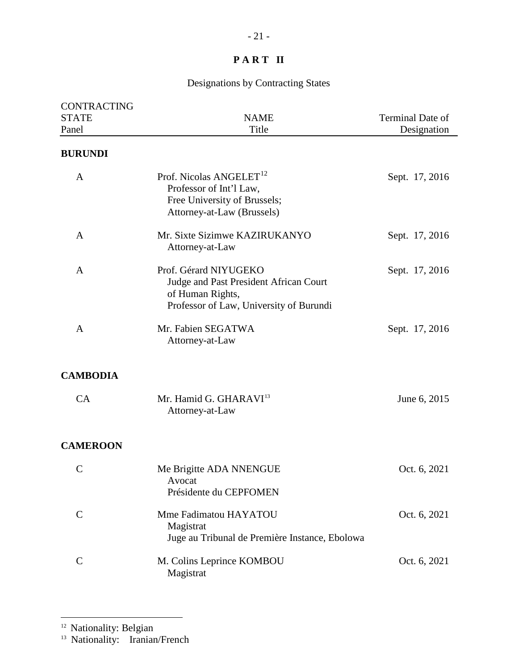# Designations by Contracting States

| <b>CONTRACTING</b><br><b>STATE</b><br>Panel | <b>NAME</b><br>Title                                                                                                           | Terminal Date of<br>Designation |
|---------------------------------------------|--------------------------------------------------------------------------------------------------------------------------------|---------------------------------|
| <b>BURUNDI</b>                              |                                                                                                                                |                                 |
| A                                           | Prof. Nicolas $ANGELET$ <sup>12</sup><br>Professor of Int'l Law,<br>Free University of Brussels;<br>Attorney-at-Law (Brussels) | Sept. 17, 2016                  |
| A                                           | Mr. Sixte Sizimwe KAZIRUKANYO<br>Attorney-at-Law                                                                               | Sept. 17, 2016                  |
| A                                           | Prof. Gérard NIYUGEKO<br>Judge and Past President African Court<br>of Human Rights,<br>Professor of Law, University of Burundi | Sept. 17, 2016                  |
| $\mathbf{A}$                                | Mr. Fabien SEGATWA<br>Attorney-at-Law                                                                                          | Sept. 17, 2016                  |
| <b>CAMBODIA</b>                             |                                                                                                                                |                                 |
| CA                                          | Mr. Hamid G. GHARAVI <sup>13</sup><br>Attorney-at-Law                                                                          | June 6, 2015                    |
| <b>CAMEROON</b>                             |                                                                                                                                |                                 |
| $\mathcal{C}$                               | Me Brigitte ADA NNENGUE<br>Avocat<br>Présidente du CEPFOMEN                                                                    | Oct. 6, 2021                    |
| $\mathcal{C}$                               | Mme Fadimatou HAYATOU<br>Magistrat<br>Juge au Tribunal de Première Instance, Ebolowa                                           | Oct. 6, 2021                    |
| $\mathcal{C}$                               | M. Colins Leprince KOMBOU<br>Magistrat                                                                                         | Oct. 6, 2021                    |

 $\overline{a}$ 

<span id="page-20-1"></span><span id="page-20-0"></span><sup>13</sup> Nationality: Iranian/French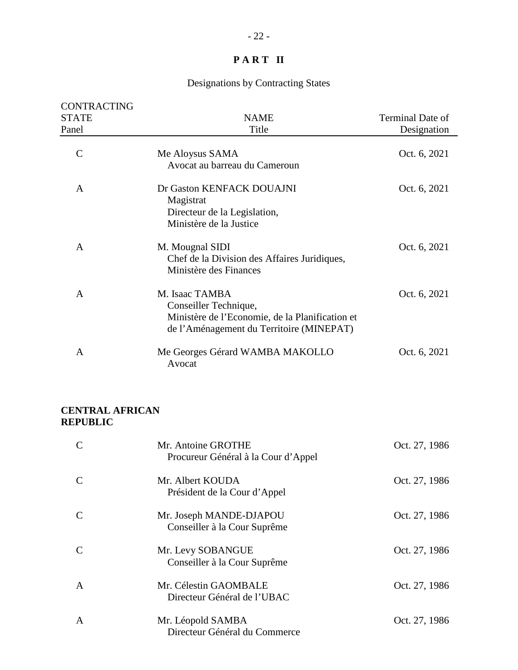# Designations by Contracting States

| <b>CONTRACTING</b><br><b>STATE</b><br>Panel | <b>NAME</b><br>Title                                                                                                                   | Terminal Date of<br>Designation |
|---------------------------------------------|----------------------------------------------------------------------------------------------------------------------------------------|---------------------------------|
| $\overline{C}$                              | Me Aloysus SAMA<br>Avocat au barreau du Cameroun                                                                                       | Oct. 6, 2021                    |
| A                                           | Dr Gaston KENFACK DOUAJNI<br>Magistrat<br>Directeur de la Legislation,<br>Ministère de la Justice                                      | Oct. 6, 2021                    |
| $\mathsf{A}$                                | M. Mougnal SIDI<br>Chef de la Division des Affaires Juridiques,<br>Ministère des Finances                                              | Oct. 6, 2021                    |
| A                                           | M. Isaac TAMBA<br>Conseiller Technique,<br>Ministère de l'Economie, de la Planification et<br>de l'Aménagement du Territoire (MINEPAT) | Oct. 6, 2021                    |
| A                                           | Me Georges Gérard WAMBA MAKOLLO<br>Avocat                                                                                              | Oct. 6, 2021                    |

#### **CENTRAL AFRICAN REPUBLIC**

| $\mathcal{C}$ | Mr. Antoine GROTHE<br>Procureur Général à la Cour d'Appel | Oct. 27, 1986 |
|---------------|-----------------------------------------------------------|---------------|
| C             | Mr. Albert KOUDA<br>Président de la Cour d'Appel          | Oct. 27, 1986 |
| C             | Mr. Joseph MANDE-DJAPOU<br>Conseiller à la Cour Suprême   | Oct. 27, 1986 |
| C             | Mr. Levy SOBANGUE<br>Conseiller à la Cour Suprême         | Oct. 27, 1986 |
| A             | Mr. Célestin GAOMBALE<br>Directeur Général de l'UBAC      | Oct. 27, 1986 |
| A             | Mr. Léopold SAMBA<br>Directeur Général du Commerce        | Oct. 27, 1986 |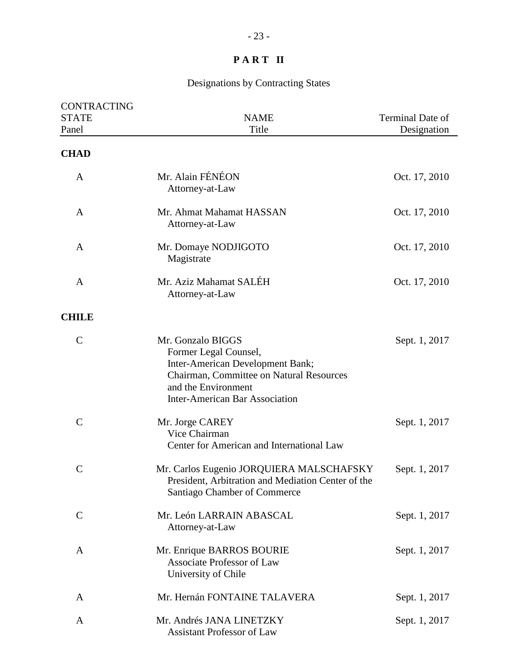| <b>CONTRACTING</b><br><b>STATE</b><br>Panel | <b>NAME</b><br>Title                                                                                                                                                                       | Terminal Date of<br>Designation |
|---------------------------------------------|--------------------------------------------------------------------------------------------------------------------------------------------------------------------------------------------|---------------------------------|
| <b>CHAD</b>                                 |                                                                                                                                                                                            |                                 |
| A                                           | Mr. Alain FÉNÉON<br>Attorney-at-Law                                                                                                                                                        | Oct. 17, 2010                   |
| A                                           | Mr. Ahmat Mahamat HASSAN<br>Attorney-at-Law                                                                                                                                                | Oct. 17, 2010                   |
| A                                           | Mr. Domaye NODJIGOTO<br>Magistrate                                                                                                                                                         | Oct. 17, 2010                   |
| A                                           | Mr. Aziz Mahamat SALÉH<br>Attorney-at-Law                                                                                                                                                  | Oct. 17, 2010                   |
| <b>CHILE</b>                                |                                                                                                                                                                                            |                                 |
| $\mathbf C$                                 | Mr. Gonzalo BIGGS<br>Former Legal Counsel,<br>Inter-American Development Bank;<br>Chairman, Committee on Natural Resources<br>and the Environment<br><b>Inter-American Bar Association</b> | Sept. 1, 2017                   |
| $\mathcal{C}$                               | Mr. Jorge CAREY<br>Vice Chairman<br>Center for American and International Law                                                                                                              | Sept. 1, 2017                   |
| $\mathsf C$                                 | Mr. Carlos Eugenio JORQUIERA MALSCHAFSKY<br>President, Arbitration and Mediation Center of the<br>Santiago Chamber of Commerce                                                             | Sept. 1, 2017                   |
| $\mathcal{C}$                               | Mr. León LARRAIN ABASCAL<br>Attorney-at-Law                                                                                                                                                | Sept. 1, 2017                   |
| A                                           | Mr. Enrique BARROS BOURIE<br><b>Associate Professor of Law</b><br>University of Chile                                                                                                      | Sept. 1, 2017                   |
| A                                           | Mr. Hernán FONTAINE TALAVERA                                                                                                                                                               | Sept. 1, 2017                   |
| A                                           | Mr. Andrés JANA LINETZKY<br><b>Assistant Professor of Law</b>                                                                                                                              | Sept. 1, 2017                   |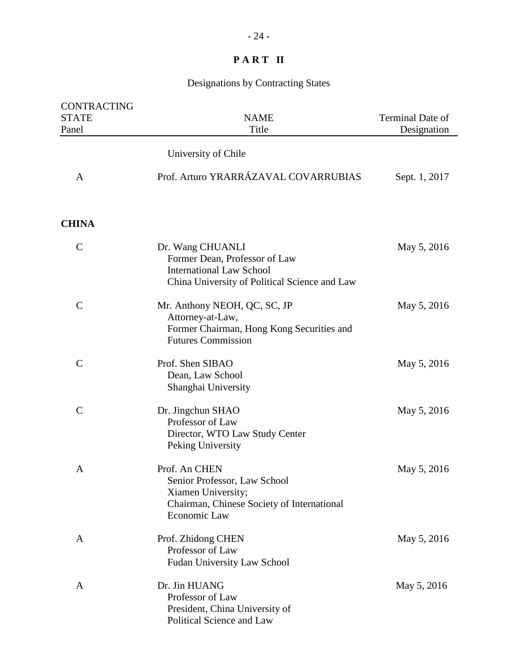| CONTRACTING<br><b>STATE</b><br>Panel | <b>NAME</b><br>Title                                                                                                                  | Terminal Date of<br>Designation |
|--------------------------------------|---------------------------------------------------------------------------------------------------------------------------------------|---------------------------------|
|                                      | University of Chile                                                                                                                   |                                 |
| $\mathbf{A}$                         | Prof. Arturo YRARRÁZAVAL COVARRUBIAS                                                                                                  | Sept. 1, 2017                   |
| <b>CHINA</b>                         |                                                                                                                                       |                                 |
| $\mathcal{C}$                        | Dr. Wang CHUANLI<br>Former Dean, Professor of Law<br><b>International Law School</b><br>China University of Political Science and Law | May 5, 2016                     |
| $\mathcal{C}$                        | Mr. Anthony NEOH, QC, SC, JP<br>Attorney-at-Law,<br>Former Chairman, Hong Kong Securities and<br><b>Futures Commission</b>            | May 5, 2016                     |
| $\mathcal{C}$                        | Prof. Shen SIBAO<br>Dean, Law School<br>Shanghai University                                                                           | May 5, 2016                     |
| $\mathcal{C}$                        | Dr. Jingchun SHAO<br>Professor of Law<br>Director, WTO Law Study Center<br>Peking University                                          | May 5, 2016                     |
| A                                    | Prof. An CHEN<br>Senior Professor, Law School<br>Xiamen University;<br>Chairman, Chinese Society of International<br>Economic Law     | May 5, 2016                     |
| A                                    | Prof. Zhidong CHEN<br>Professor of Law<br>Fudan University Law School                                                                 | May 5, 2016                     |
| A                                    | Dr. Jin HUANG<br>Professor of Law<br>President, China University of<br>Political Science and Law                                      | May 5, 2016                     |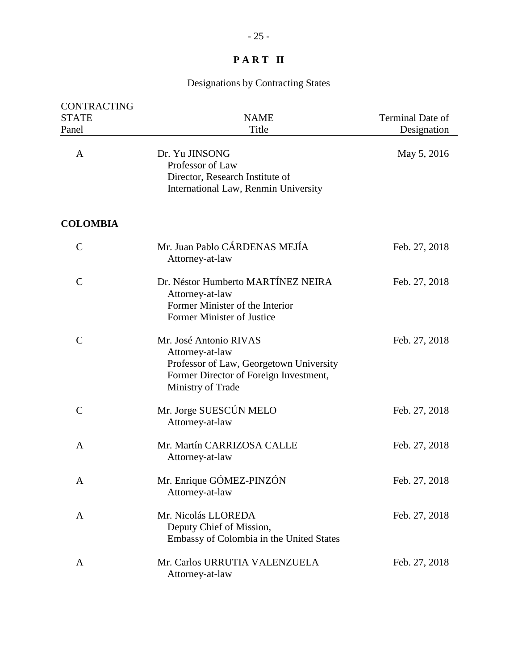| <b>CONTRACTING</b><br><b>STATE</b><br>Panel | <b>NAME</b><br>Title                                                                                                                                | Terminal Date of<br>Designation |
|---------------------------------------------|-----------------------------------------------------------------------------------------------------------------------------------------------------|---------------------------------|
| A                                           | Dr. Yu JINSONG<br>Professor of Law<br>Director, Research Institute of<br>International Law, Renmin University                                       | May 5, 2016                     |
| <b>COLOMBIA</b>                             |                                                                                                                                                     |                                 |
| $\mathcal{C}$                               | Mr. Juan Pablo CÁRDENAS MEJÍA<br>Attorney-at-law                                                                                                    | Feb. 27, 2018                   |
| $\mathbf C$                                 | Dr. Néstor Humberto MARTÍNEZ NEIRA<br>Attorney-at-law<br>Former Minister of the Interior<br>Former Minister of Justice                              | Feb. 27, 2018                   |
| $\mathsf{C}$                                | Mr. José Antonio RIVAS<br>Attorney-at-law<br>Professor of Law, Georgetown University<br>Former Director of Foreign Investment,<br>Ministry of Trade | Feb. 27, 2018                   |
| $\mathsf{C}$                                | Mr. Jorge SUESCÚN MELO<br>Attorney-at-law                                                                                                           | Feb. 27, 2018                   |
| A                                           | Mr. Martín CARRIZOSA CALLE<br>Attorney-at-law                                                                                                       | Feb. 27, 2018                   |
| A                                           | Mr. Enrique GÓMEZ-PINZÓN<br>Attorney-at-law                                                                                                         | Feb. 27, 2018                   |
| A                                           | Mr. Nicolás LLOREDA<br>Deputy Chief of Mission,<br>Embassy of Colombia in the United States                                                         | Feb. 27, 2018                   |
| A                                           | Mr. Carlos URRUTIA VALENZUELA<br>Attorney-at-law                                                                                                    | Feb. 27, 2018                   |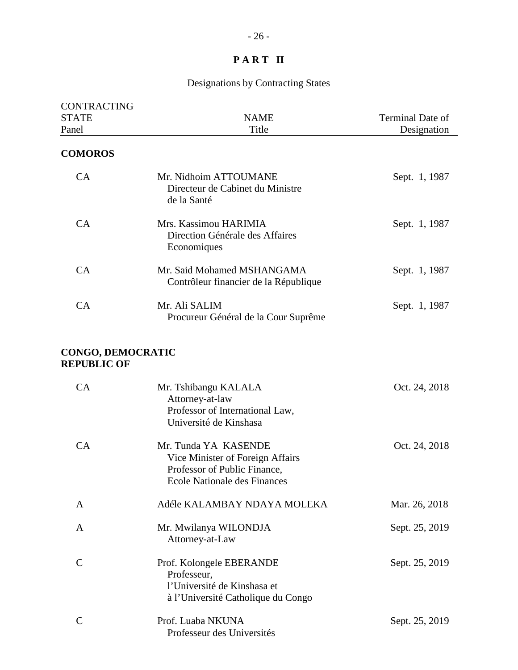| <b>CONTRACTING</b><br><b>STATE</b><br>Panel    | <b>NAME</b><br>Title                                                                                                     | Terminal Date of<br>Designation |
|------------------------------------------------|--------------------------------------------------------------------------------------------------------------------------|---------------------------------|
| <b>COMOROS</b>                                 |                                                                                                                          |                                 |
| CA                                             | Mr. Nidhoim ATTOUMANE<br>Directeur de Cabinet du Ministre<br>de la Santé                                                 | Sept. 1, 1987                   |
| CA                                             | Mrs. Kassimou HARIMIA<br>Direction Générale des Affaires<br>Economiques                                                  | Sept. 1, 1987                   |
| CA                                             | Mr. Said Mohamed MSHANGAMA<br>Contrôleur financier de la République                                                      | Sept. 1, 1987                   |
| CA                                             | Mr. Ali SALIM<br>Procureur Général de la Cour Suprême                                                                    | Sept. 1, 1987                   |
| <b>CONGO, DEMOCRATIC</b><br><b>REPUBLIC OF</b> |                                                                                                                          |                                 |
| CA                                             | Mr. Tshibangu KALALA<br>Attorney-at-law<br>Professor of International Law,<br>Université de Kinshasa                     | Oct. 24, 2018                   |
| CA                                             | Mr. Tunda YA KASENDE<br>Vice Minister of Foreign Affairs<br>Professor of Public Finance,<br>Ecole Nationale des Finances | Oct. 24, 2018                   |
| A                                              | Adéle KALAMBAY NDAYA MOLEKA                                                                                              | Mar. 26, 2018                   |
| A                                              | Mr. Mwilanya WILONDJA<br>Attorney-at-Law                                                                                 | Sept. 25, 2019                  |
| $\mathcal{C}$                                  | Prof. Kolongele EBERANDE<br>Professeur,<br>l'Université de Kinshasa et<br>à l'Université Catholique du Congo             | Sept. 25, 2019                  |
| $\mathcal{C}$                                  | Prof. Luaba NKUNA<br>Professeur des Universités                                                                          | Sept. 25, 2019                  |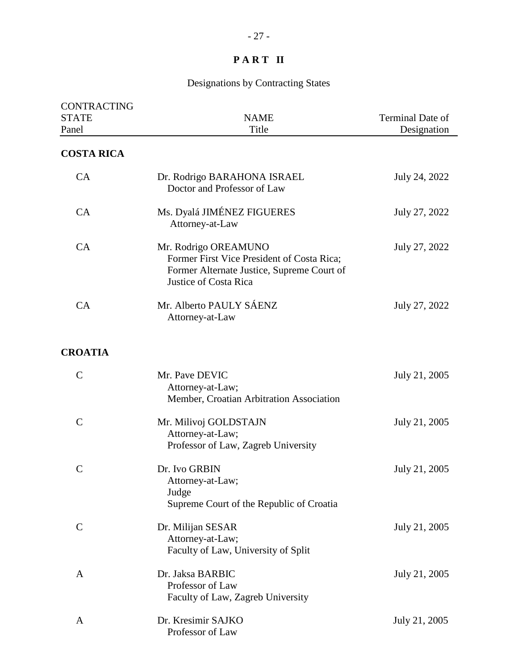| <b>CONTRACTING</b><br><b>STATE</b><br>Panel | <b>NAME</b><br>Title                                                                                                                      | Terminal Date of<br>Designation |
|---------------------------------------------|-------------------------------------------------------------------------------------------------------------------------------------------|---------------------------------|
| <b>COSTA RICA</b>                           |                                                                                                                                           |                                 |
| CA                                          | Dr. Rodrigo BARAHONA ISRAEL<br>Doctor and Professor of Law                                                                                | July 24, 2022                   |
| CA                                          | Ms. Dyalá JIMÉNEZ FIGUERES<br>Attorney-at-Law                                                                                             | July 27, 2022                   |
| CA                                          | Mr. Rodrigo OREAMUNO<br>Former First Vice President of Costa Rica;<br>Former Alternate Justice, Supreme Court of<br>Justice of Costa Rica | July 27, 2022                   |
| CA                                          | Mr. Alberto PAULY SÁENZ<br>Attorney-at-Law                                                                                                | July 27, 2022                   |
| <b>CROATIA</b>                              |                                                                                                                                           |                                 |
| $\mathcal{C}$                               | Mr. Pave DEVIC<br>Attorney-at-Law;<br>Member, Croatian Arbitration Association                                                            | July 21, 2005                   |
| $\mathcal{C}$                               | Mr. Milivoj GOLDSTAJN<br>Attorney-at-Law;<br>Professor of Law, Zagreb University                                                          | July 21, 2005                   |
| $\mathcal{C}$                               | Dr. Ivo GRBIN<br>Attorney-at-Law;<br>Judge<br>Supreme Court of the Republic of Croatia                                                    | July 21, 2005                   |
| $\mathbf C$                                 | Dr. Milijan SESAR<br>Attorney-at-Law;<br>Faculty of Law, University of Split                                                              | July 21, 2005                   |
| A                                           | Dr. Jaksa BARBIC<br>Professor of Law<br>Faculty of Law, Zagreb University                                                                 | July 21, 2005                   |
| A                                           | Dr. Kresimir SAJKO<br>Professor of Law                                                                                                    | July 21, 2005                   |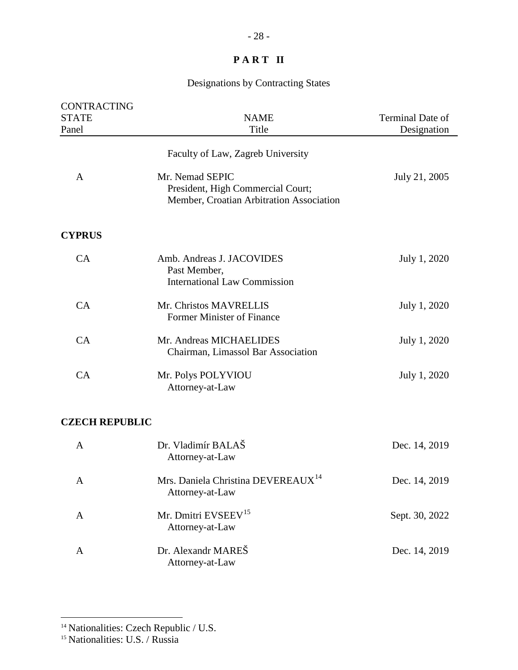# Designations by Contracting States

| CONTRACTING           |                                                                                                  |                  |
|-----------------------|--------------------------------------------------------------------------------------------------|------------------|
| <b>STATE</b>          | <b>NAME</b>                                                                                      | Terminal Date of |
| Panel                 | Title                                                                                            | Designation      |
|                       | Faculty of Law, Zagreb University                                                                |                  |
| A                     | Mr. Nemad SEPIC<br>President, High Commercial Court;<br>Member, Croatian Arbitration Association | July 21, 2005    |
| <b>CYPRUS</b>         |                                                                                                  |                  |
| CA                    | Amb. Andreas J. JACOVIDES<br>Past Member,<br><b>International Law Commission</b>                 | July 1, 2020     |
| CA                    | Mr. Christos MAVRELLIS<br><b>Former Minister of Finance</b>                                      | July 1, 2020     |
| CA                    | Mr. Andreas MICHAELIDES<br>Chairman, Limassol Bar Association                                    | July 1, 2020     |
| CA                    | Mr. Polys POLYVIOU<br>Attorney-at-Law                                                            | July 1, 2020     |
| <b>CZECH REPUBLIC</b> |                                                                                                  |                  |
| $\mathbf{A}$          | Dr. Vladimír BALAŠ<br>Attorney-at-Law                                                            | Dec. 14, 2019    |
| A                     | Mrs. Daniela Christina DEVEREAUX <sup>14</sup><br>Attorney-at-Law                                | Dec. 14, 2019    |
| A                     | Mr. Dmitri EVSEEV <sup>15</sup><br>Attorney-at-Law                                               | Sept. 30, 2022   |
| A                     | Dr. Alexandr MAREŠ                                                                               | Dec. 14, 2019    |

Attorney-at-Law

<span id="page-27-0"></span><sup>&</sup>lt;sup>14</sup> Nationalities: Czech Republic / U.S.

<span id="page-27-1"></span><sup>&</sup>lt;sup>15</sup> Nationalities: U.S. / Russia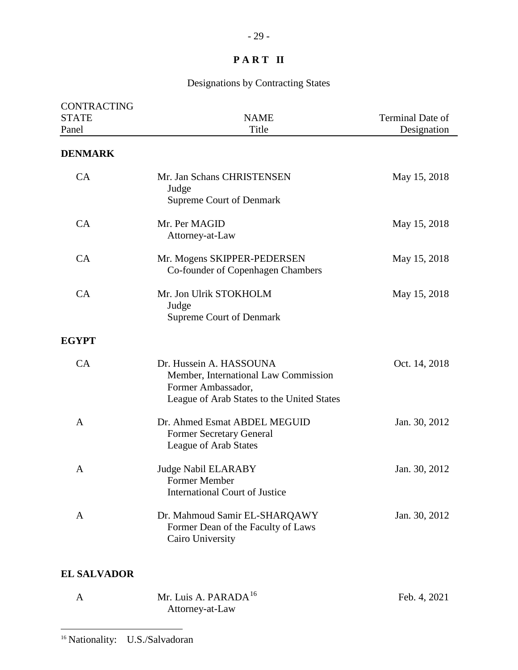# Designations by Contracting States

| CONTRACTING<br><b>STATE</b> | <b>NAME</b>                                                                                                                         | Terminal Date of |
|-----------------------------|-------------------------------------------------------------------------------------------------------------------------------------|------------------|
| Panel                       | Title                                                                                                                               | Designation      |
| <b>DENMARK</b>              |                                                                                                                                     |                  |
| CA                          | Mr. Jan Schans CHRISTENSEN<br>Judge<br><b>Supreme Court of Denmark</b>                                                              | May 15, 2018     |
| CA                          | Mr. Per MAGID<br>Attorney-at-Law                                                                                                    | May 15, 2018     |
| CA                          | Mr. Mogens SKIPPER-PEDERSEN<br>Co-founder of Copenhagen Chambers                                                                    | May 15, 2018     |
| CA                          | Mr. Jon Ulrik STOKHOLM<br>Judge<br><b>Supreme Court of Denmark</b>                                                                  | May 15, 2018     |
| <b>EGYPT</b>                |                                                                                                                                     |                  |
| CA                          | Dr. Hussein A. HASSOUNA<br>Member, International Law Commission<br>Former Ambassador,<br>League of Arab States to the United States | Oct. 14, 2018    |
| A                           | Dr. Ahmed Esmat ABDEL MEGUID<br>Former Secretary General<br>League of Arab States                                                   | Jan. 30, 2012    |
| A                           | <b>Judge Nabil ELARABY</b><br>Former Member<br><b>International Court of Justice</b>                                                | Jan. 30, 2012    |
| A                           | Dr. Mahmoud Samir EL-SHARQAWY<br>Former Dean of the Faculty of Laws<br>Cairo University                                             | Jan. 30, 2012    |

## **EL SALVADOR**

<span id="page-28-0"></span>

| Mr. Luis A. PARADA $^{16}$ | Feb. 4, 2021 |
|----------------------------|--------------|
| Attorney-at-Law            |              |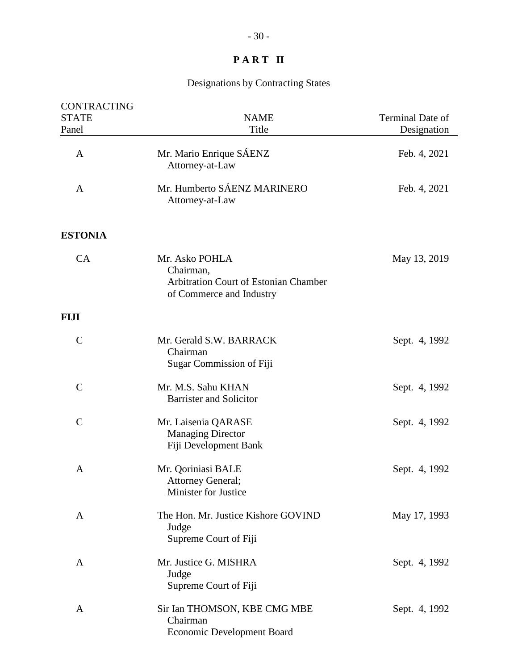| CONTRACTING<br><b>STATE</b><br>Panel | <b>NAME</b><br>Title                                                                             | Terminal Date of<br>Designation |
|--------------------------------------|--------------------------------------------------------------------------------------------------|---------------------------------|
| $\mathbf{A}$                         | Mr. Mario Enrique SÁENZ<br>Attorney-at-Law                                                       | Feb. 4, 2021                    |
| $\mathbf{A}$                         | Mr. Humberto SÁENZ MARINERO<br>Attorney-at-Law                                                   | Feb. 4, 2021                    |
| <b>ESTONIA</b>                       |                                                                                                  |                                 |
| CA                                   | Mr. Asko POHLA<br>Chairman,<br>Arbitration Court of Estonian Chamber<br>of Commerce and Industry | May 13, 2019                    |
| FIJI                                 |                                                                                                  |                                 |
| $\mathbf C$                          | Mr. Gerald S.W. BARRACK<br>Chairman<br><b>Sugar Commission of Fiji</b>                           | Sept. 4, 1992                   |
| $\mathcal{C}$                        | Mr. M.S. Sahu KHAN<br><b>Barrister and Solicitor</b>                                             | Sept. 4, 1992                   |
| $\mathbf C$                          | Mr. Laisenia QARASE<br><b>Managing Director</b><br>Fiji Development Bank                         | Sept. 4, 1992                   |
| A                                    | Mr. Qoriniasi BALE<br>Attorney General;<br><b>Minister for Justice</b>                           | Sept. 4, 1992                   |
| A                                    | The Hon. Mr. Justice Kishore GOVIND<br>Judge<br>Supreme Court of Fiji                            | May 17, 1993                    |
| A                                    | Mr. Justice G. MISHRA<br>Judge<br>Supreme Court of Fiji                                          | Sept. 4, 1992                   |
| A                                    | Sir Ian THOMSON, KBE CMG MBE<br>Chairman<br><b>Economic Development Board</b>                    | Sept. 4, 1992                   |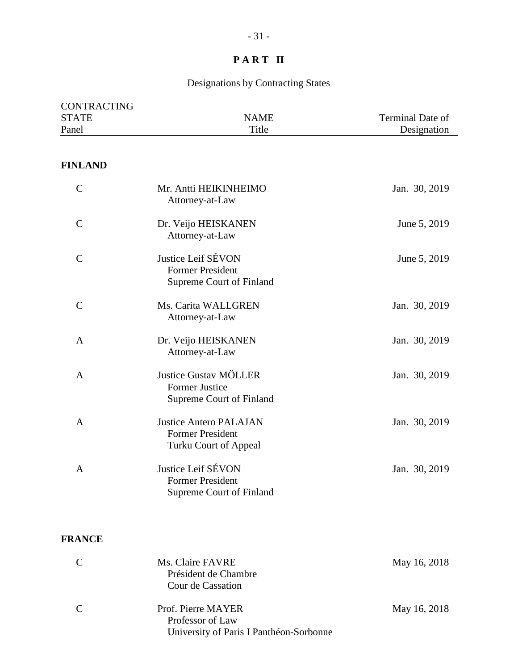# Designations by Contracting States

| <b>CONTRACTING</b>    |                                                                                   |                                 |
|-----------------------|-----------------------------------------------------------------------------------|---------------------------------|
| <b>STATE</b><br>Panel | <b>NAME</b><br>Title                                                              | Terminal Date of<br>Designation |
|                       |                                                                                   |                                 |
| <b>FINLAND</b>        |                                                                                   |                                 |
| $\mathcal{C}$         | Mr. Antti HEIKINHEIMO<br>Attorney-at-Law                                          | Jan. 30, 2019                   |
| $\mathbf C$           | Dr. Veijo HEISKANEN<br>Attorney-at-Law                                            | June 5, 2019                    |
| $\mathcal{C}$         | Justice Leif SÉVON<br><b>Former President</b><br>Supreme Court of Finland         | June 5, 2019                    |
| $\mathcal{C}$         | Ms. Carita WALLGREN<br>Attorney-at-Law                                            | Jan. 30, 2019                   |
| $\mathbf{A}$          | Dr. Veijo HEISKANEN<br>Attorney-at-Law                                            | Jan. 30, 2019                   |
| $\mathbf{A}$          | <b>Justice Gustav MÖLLER</b><br><b>Former Justice</b><br>Supreme Court of Finland | Jan. 30, 2019                   |
| $\mathbf{A}$          | <b>Justice Antero PALAJAN</b><br><b>Former President</b><br>Turku Court of Appeal | Jan. 30, 2019                   |
| $\mathbf{A}$          | Justice Leif SÉVON<br><b>Former President</b><br><b>Supreme Court of Finland</b>  | Jan. 30, 2019                   |

### **FRANCE**

| C             | Ms. Claire FAVRE<br>Président de Chambre<br>Cour de Cassation                     | May 16, 2018 |
|---------------|-----------------------------------------------------------------------------------|--------------|
| $\mathcal{C}$ | Prof. Pierre MAYER<br>Professor of Law<br>University of Paris I Panthéon-Sorbonne | May 16, 2018 |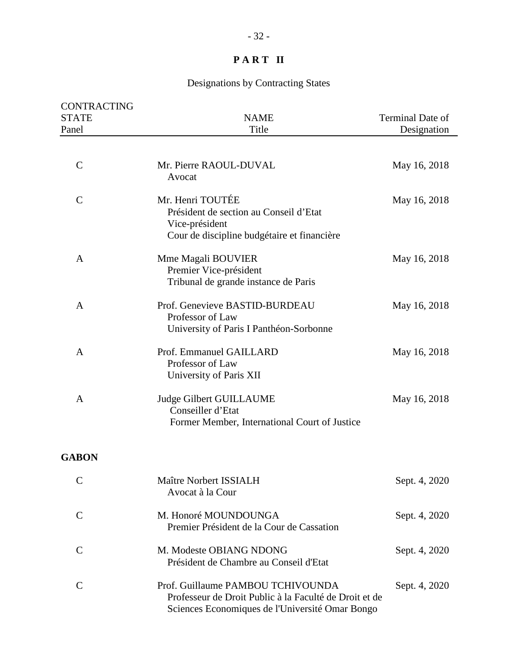| CONTRACTING<br><b>STATE</b><br>Panel | <b>NAME</b><br>Title                                                                                                                           | Terminal Date of<br>Designation |
|--------------------------------------|------------------------------------------------------------------------------------------------------------------------------------------------|---------------------------------|
| $\mathcal{C}$                        | Mr. Pierre RAOUL-DUVAL<br>Avocat                                                                                                               | May 16, 2018                    |
| $\mathcal{C}$                        | Mr. Henri TOUTÉE<br>Président de section au Conseil d'Etat<br>Vice-président<br>Cour de discipline budgétaire et financière                    | May 16, 2018                    |
| A                                    | Mme Magali BOUVIER<br>Premier Vice-président<br>Tribunal de grande instance de Paris                                                           | May 16, 2018                    |
| A                                    | Prof. Genevieve BASTID-BURDEAU<br>Professor of Law<br>University of Paris I Panthéon-Sorbonne                                                  | May 16, 2018                    |
| A                                    | Prof. Emmanuel GAILLARD<br>Professor of Law<br>University of Paris XII                                                                         | May 16, 2018                    |
| A                                    | <b>Judge Gilbert GUILLAUME</b><br>Conseiller d'Etat<br>Former Member, International Court of Justice                                           | May 16, 2018                    |
| <b>GABON</b>                         |                                                                                                                                                |                                 |
| $\sim$                               | Maître Norbert ISSIALH<br>Avocat à la Cour                                                                                                     | Sept. 4, 2020                   |
| $\mathsf{C}$                         | M. Honoré MOUNDOUNGA<br>Premier Président de la Cour de Cassation                                                                              | Sept. 4, 2020                   |
| $\mathcal{C}$                        | M. Modeste OBIANG NDONG<br>Président de Chambre au Conseil d'Etat                                                                              | Sept. 4, 2020                   |
| $\mathcal{C}$                        | Prof. Guillaume PAMBOU TCHIVOUNDA<br>Professeur de Droit Public à la Faculté de Droit et de<br>Sciences Economiques de l'Université Omar Bongo | Sept. 4, 2020                   |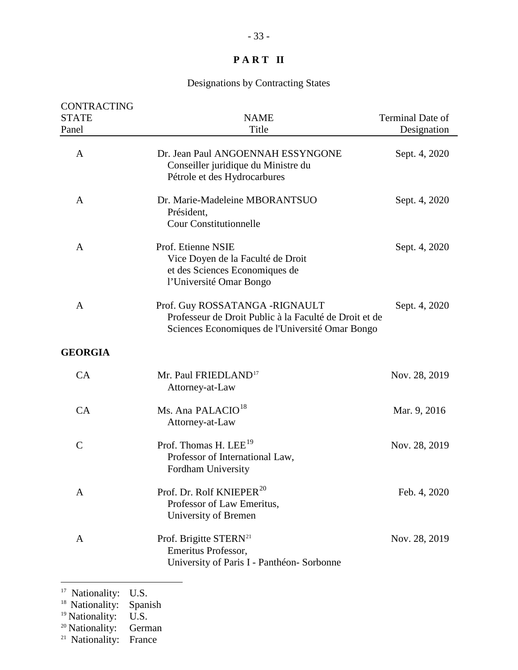# Designations by Contracting States

| <b>CONTRACTING</b> |                                                                                                                                             |                  |
|--------------------|---------------------------------------------------------------------------------------------------------------------------------------------|------------------|
| <b>STATE</b>       | <b>NAME</b>                                                                                                                                 | Terminal Date of |
| Panel              | Title                                                                                                                                       | Designation      |
| A                  | Dr. Jean Paul ANGOENNAH ESSYNGONE<br>Conseiller juridique du Ministre du<br>Pétrole et des Hydrocarbures                                    | Sept. 4, 2020    |
| A                  | Dr. Marie-Madeleine MBORANTSUO<br>Président,<br><b>Cour Constitutionnelle</b>                                                               | Sept. 4, 2020    |
| A                  | Prof. Etienne NSIE<br>Vice Doyen de la Faculté de Droit<br>et des Sciences Economiques de<br>l'Université Omar Bongo                        | Sept. 4, 2020    |
| A                  | Prof. Guy ROSSATANGA -RIGNAULT<br>Professeur de Droit Public à la Faculté de Droit et de<br>Sciences Economiques de l'Université Omar Bongo | Sept. 4, 2020    |
| <b>GEORGIA</b>     |                                                                                                                                             |                  |
| CA                 | Mr. Paul FRIEDLAND <sup>17</sup><br>Attorney-at-Law                                                                                         | Nov. 28, 2019    |
| CA                 | Ms. Ana PALACIO <sup>18</sup><br>Attorney-at-Law                                                                                            | Mar. 9, 2016     |
| $\mathsf{C}$       | Prof. Thomas H. LEE <sup>19</sup><br>Professor of International Law,<br>Fordham University                                                  | Nov. 28, 2019    |
| A                  | Prof. Dr. Rolf KNIEPER <sup>20</sup><br>Professor of Law Emeritus,<br>University of Bremen                                                  | Feb. 4, 2020     |
| A                  | Prof. Brigitte STERN <sup>21</sup><br>Emeritus Professor,<br>University of Paris I - Panthéon- Sorbonne                                     | Nov. 28, 2019    |
|                    |                                                                                                                                             |                  |

<span id="page-32-0"></span><sup>17</sup> Nationality: U.S.

<span id="page-32-2"></span><sup>19</sup> Nationality: U.S.

<span id="page-32-3"></span><sup>20</sup> Nationality: German

<span id="page-32-4"></span><sup>21</sup> Nationality: France

<span id="page-32-1"></span><sup>&</sup>lt;sup>18</sup> Nationality: Spanish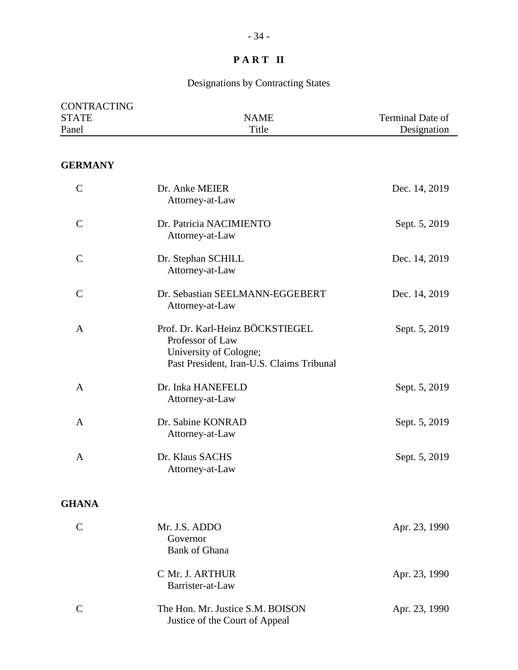# Designations by Contracting States

| CONTRACTING<br><b>STATE</b><br>Panel | <b>NAME</b><br>Title                                                                                                        | Terminal Date of<br>Designation |
|--------------------------------------|-----------------------------------------------------------------------------------------------------------------------------|---------------------------------|
| <b>GERMANY</b>                       |                                                                                                                             |                                 |
| $\mathbf C$                          | Dr. Anke MEIER<br>Attorney-at-Law                                                                                           | Dec. 14, 2019                   |
| $\mathcal{C}$                        | Dr. Patricia NACIMIENTO<br>Attorney-at-Law                                                                                  | Sept. 5, 2019                   |
| $\mathcal{C}$                        | Dr. Stephan SCHILL<br>Attorney-at-Law                                                                                       | Dec. 14, 2019                   |
| $\mathbf C$                          | Dr. Sebastian SEELMANN-EGGEBERT<br>Attorney-at-Law                                                                          | Dec. 14, 2019                   |
| $\mathbf{A}$                         | Prof. Dr. Karl-Heinz BÖCKSTIEGEL<br>Professor of Law<br>University of Cologne;<br>Past President, Iran-U.S. Claims Tribunal | Sept. 5, 2019                   |
| $\mathbf{A}$                         | Dr. Inka HANEFELD<br>Attorney-at-Law                                                                                        | Sept. 5, 2019                   |
| $\mathbf{A}$                         | Dr. Sabine KONRAD<br>Attorney-at-Law                                                                                        | Sept. 5, 2019                   |
| A                                    | Dr. Klaus SACHS                                                                                                             | Sept. 5, 2019                   |

#### **GHANA**

| Mr. J.S. ADDO<br>Governor<br><b>Bank of Ghana</b>                  | Apr. 23, 1990 |
|--------------------------------------------------------------------|---------------|
| C Mr. J. ARTHUR<br>Barrister-at-Law                                | Apr. 23, 1990 |
| The Hon. Mr. Justice S.M. BOISON<br>Justice of the Court of Appeal | Apr. 23, 1990 |

Attorney-at-Law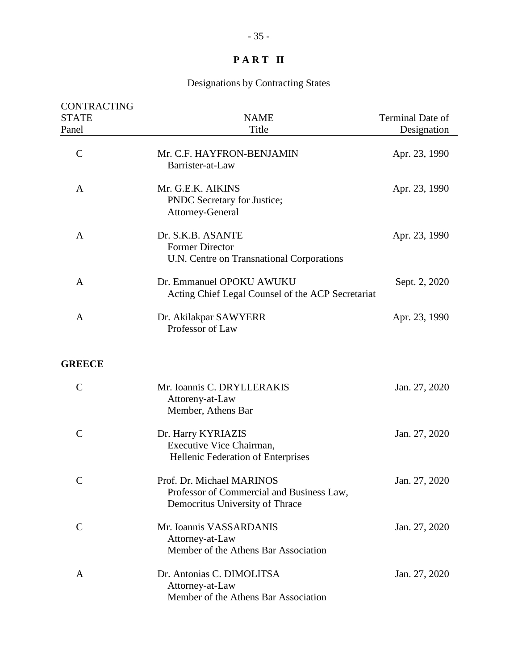| <b>CONTRACTING</b><br><b>STATE</b><br>Panel | <b>NAME</b><br>Title                                                                                      | Terminal Date of<br>Designation |
|---------------------------------------------|-----------------------------------------------------------------------------------------------------------|---------------------------------|
| $\mathcal{C}$                               | Mr. C.F. HAYFRON-BENJAMIN<br>Barrister-at-Law                                                             | Apr. 23, 1990                   |
| A                                           | Mr. G.E.K. AIKINS<br>PNDC Secretary for Justice;<br>Attorney-General                                      | Apr. 23, 1990                   |
| A                                           | Dr. S.K.B. ASANTE<br><b>Former Director</b><br>U.N. Centre on Transnational Corporations                  | Apr. 23, 1990                   |
| A                                           | Dr. Emmanuel OPOKU AWUKU<br>Acting Chief Legal Counsel of the ACP Secretariat                             | Sept. 2, 2020                   |
| A                                           | Dr. Akilakpar SAWYERR<br>Professor of Law                                                                 | Apr. 23, 1990                   |
| <b>GREECE</b>                               |                                                                                                           |                                 |
| $\mathcal{C}$                               | Mr. Ioannis C. DRYLLERAKIS<br>Attoreny-at-Law<br>Member, Athens Bar                                       | Jan. 27, 2020                   |
| $\mathcal{C}$                               | Dr. Harry KYRIAZIS<br>Executive Vice Chairman,<br>Hellenic Federation of Enterprises                      | Jan. 27, 2020                   |
| $\mathsf{C}$                                | Prof. Dr. Michael MARINOS<br>Professor of Commercial and Business Law,<br>Democritus University of Thrace | Jan. 27, 2020                   |
| $\mathsf{C}$                                | Mr. Ioannis VASSARDANIS<br>Attorney-at-Law<br>Member of the Athens Bar Association                        | Jan. 27, 2020                   |
| A                                           | Dr. Antonias C. DIMOLITSA<br>Attorney-at-Law<br>Member of the Athens Bar Association                      | Jan. 27, 2020                   |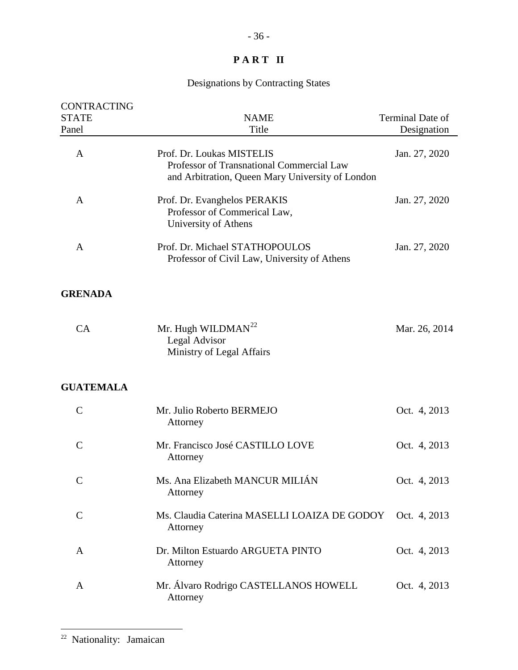# Designations by Contracting States

<span id="page-35-0"></span>

| <b>CONTRACTING</b><br><b>STATE</b><br>Panel | <b>NAME</b><br>Title                                                                                                       | Terminal Date of<br>Designation |
|---------------------------------------------|----------------------------------------------------------------------------------------------------------------------------|---------------------------------|
| $\mathbf{A}$                                | Prof. Dr. Loukas MISTELIS<br>Professor of Transnational Commercial Law<br>and Arbitration, Queen Mary University of London | Jan. 27, 2020                   |
| A                                           | Prof. Dr. Evanghelos PERAKIS<br>Professor of Commerical Law,<br>University of Athens                                       | Jan. 27, 2020                   |
| A                                           | Prof. Dr. Michael STATHOPOULOS<br>Professor of Civil Law, University of Athens                                             | Jan. 27, 2020                   |
| <b>GRENADA</b>                              |                                                                                                                            |                                 |
| CA                                          | Mr. Hugh WILDMAN <sup>22</sup><br>Legal Advisor<br>Ministry of Legal Affairs                                               | Mar. 26, 2014                   |
| <b>GUATEMALA</b>                            |                                                                                                                            |                                 |
| $\mathcal{C}$                               | Mr. Julio Roberto BERMEJO<br>Attorney                                                                                      | Oct. 4, 2013                    |
| $\mathcal{C}$                               | Mr. Francisco José CASTILLO LOVE<br>Attorney                                                                               | Oct. 4, 2013                    |
| $\mathcal{C}$                               | Ms. Ana Elizabeth MANCUR MILIÁN<br>Attorney                                                                                | Oct. 4, 2013                    |
| $\mathsf{C}$                                | Ms. Claudia Caterina MASELLI LOAIZA DE GODOY<br>Attorney                                                                   | Oct. 4, 2013                    |
| A                                           | Dr. Milton Estuardo ARGUETA PINTO<br>Attorney                                                                              | Oct. 4, 2013                    |
| A                                           | Mr. Álvaro Rodrigo CASTELLANOS HOWELL<br>Attorney                                                                          | Oct. 4, 2013                    |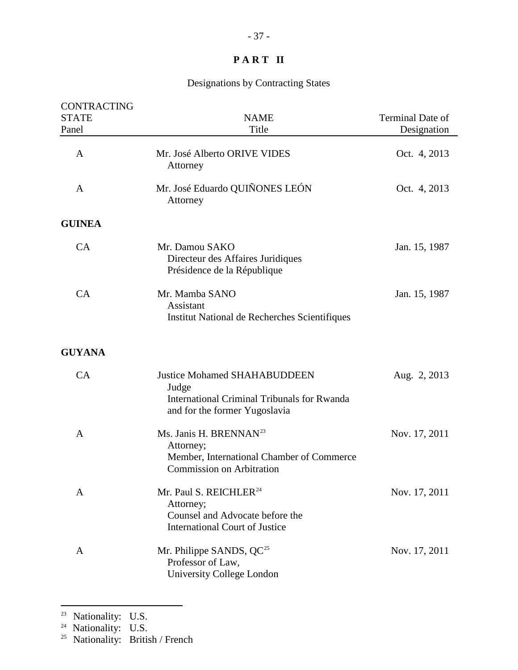## Designations by Contracting States

| <b>CONTRACTING</b><br><b>STATE</b> | <b>NAME</b>                                                                                                                         | Terminal Date of |
|------------------------------------|-------------------------------------------------------------------------------------------------------------------------------------|------------------|
| Panel                              | Title                                                                                                                               | Designation      |
| $\mathbf{A}$                       | Mr. José Alberto ORIVE VIDES<br>Attorney                                                                                            | Oct. 4, 2013     |
| A                                  | Mr. José Eduardo QUIÑONES LEÓN<br>Attorney                                                                                          | Oct. 4, 2013     |
| <b>GUINEA</b>                      |                                                                                                                                     |                  |
| CA                                 | Mr. Damou SAKO<br>Directeur des Affaires Juridiques<br>Présidence de la République                                                  | Jan. 15, 1987    |
| CA                                 | Mr. Mamba SANO<br>Assistant<br>Institut National de Recherches Scientifiques                                                        | Jan. 15, 1987    |
| <b>GUYANA</b>                      |                                                                                                                                     |                  |
| CA                                 | <b>Justice Mohamed SHAHABUDDEEN</b><br>Judge<br><b>International Criminal Tribunals for Rwanda</b><br>and for the former Yugoslavia | Aug. 2, 2013     |
| A                                  | Ms. Janis H. BRENNAN <sup>23</sup><br>Attorney;<br>Member, International Chamber of Commerce<br><b>Commission on Arbitration</b>    | Nov. 17, 2011    |
| A                                  | Mr. Paul S. REICHLER <sup>24</sup><br>Attorney;<br>Counsel and Advocate before the<br><b>International Court of Justice</b>         | Nov. 17, 2011    |
| A                                  | Mr. Philippe SANDS, QC <sup>25</sup><br>Professor of Law,<br>University College London                                              | Nov. 17, 2011    |

<span id="page-36-0"></span><sup>&</sup>lt;sup>23</sup> Nationality: U.S.

<span id="page-36-1"></span><sup>&</sup>lt;sup>24</sup> Nationality: U.S.

<span id="page-36-2"></span><sup>&</sup>lt;sup>25</sup> Nationality: British / French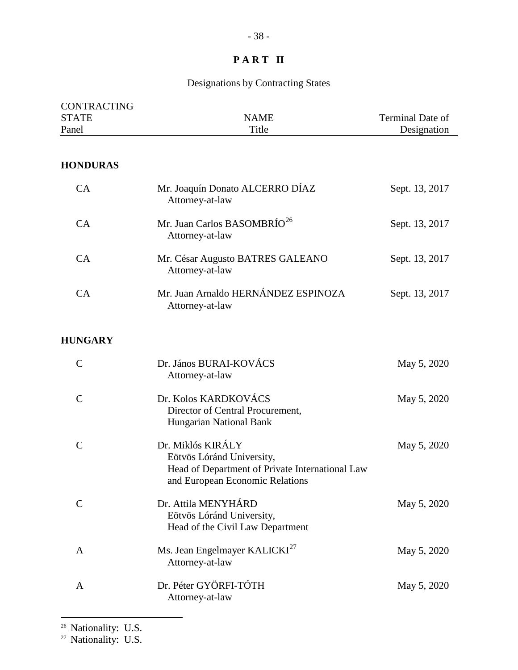## Designations by Contracting States

| <b>CONTRACTING</b><br><b>STATE</b><br>Panel | <b>NAME</b><br>Title                                                                                                                 | Terminal Date of<br>Designation |
|---------------------------------------------|--------------------------------------------------------------------------------------------------------------------------------------|---------------------------------|
| <b>HONDURAS</b>                             |                                                                                                                                      |                                 |
| CA                                          | Mr. Joaquín Donato ALCERRO DÍAZ<br>Attorney-at-law                                                                                   | Sept. 13, 2017                  |
| CA                                          | Mr. Juan Carlos BASOMBRÍO <sup>26</sup><br>Attorney-at-law                                                                           | Sept. 13, 2017                  |
| CA                                          | Mr. César Augusto BATRES GALEANO<br>Attorney-at-law                                                                                  | Sept. 13, 2017                  |
| CA                                          | Mr. Juan Arnaldo HERNÁNDEZ ESPINOZA<br>Attorney-at-law                                                                               | Sept. 13, 2017                  |
| <b>HUNGARY</b>                              |                                                                                                                                      |                                 |
| $\mathcal{C}$                               | Dr. János BURAI-KOVÁCS<br>Attorney-at-law                                                                                            | May 5, 2020                     |
| $\mathcal{C}$                               | Dr. Kolos KARDKOVÁCS<br>Director of Central Procurement,<br>Hungarian National Bank                                                  | May 5, 2020                     |
| $\overline{C}$                              | Dr. Miklós KIRÁLY<br>Eötvös Lóránd University,<br>Head of Department of Private International Law<br>and European Economic Relations | May 5, 2020                     |
| $\mathsf{C}$                                | Dr. Attila MENYHÁRD<br>Eötvös Lóránd University,<br>Head of the Civil Law Department                                                 | May 5, 2020                     |
| A                                           | Ms. Jean Engelmayer KALICKI <sup>27</sup><br>Attorney-at-law                                                                         | May 5, 2020                     |

A Dr. Péter GYÖRFI-TÓTH May 5, 2020 Attorney-at-law

<span id="page-37-1"></span><span id="page-37-0"></span><sup>27</sup> Nationality: U.S.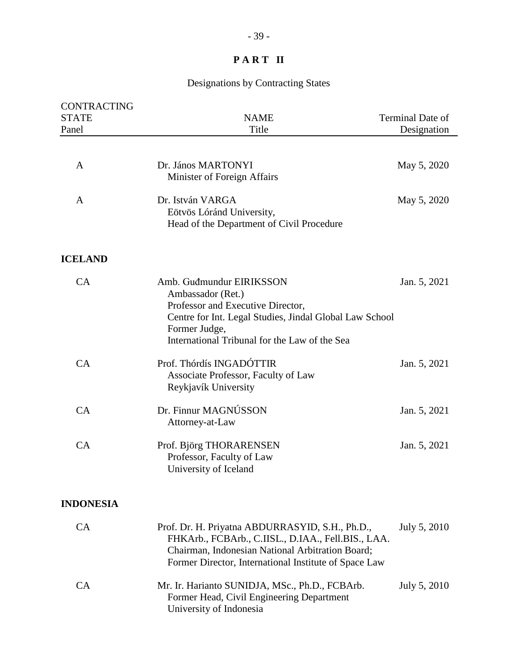| <b>CONTRACTING</b><br><b>STATE</b><br>Panel | <b>NAME</b><br>Title                                                                                                                                                                                               | Terminal Date of<br>Designation |
|---------------------------------------------|--------------------------------------------------------------------------------------------------------------------------------------------------------------------------------------------------------------------|---------------------------------|
| A                                           | Dr. János MARTONYI<br>Minister of Foreign Affairs                                                                                                                                                                  | May 5, 2020                     |
| A                                           | Dr. István VARGA<br>Eötvös Lóránd University,<br>Head of the Department of Civil Procedure                                                                                                                         | May 5, 2020                     |
| <b>ICELAND</b>                              |                                                                                                                                                                                                                    |                                 |
| CA                                          | Amb. Gudmundur EIRIKSSON<br>Ambassador (Ret.)<br>Professor and Executive Director,<br>Centre for Int. Legal Studies, Jindal Global Law School<br>Former Judge,<br>International Tribunal for the Law of the Sea    | Jan. 5, 2021                    |
| CA                                          | Prof. Thórdís INGADÓTTIR<br>Associate Professor, Faculty of Law<br>Reykjavík University                                                                                                                            | Jan. 5, 2021                    |
| CA                                          | Dr. Finnur MAGNÚSSON<br>Attorney-at-Law                                                                                                                                                                            | Jan. 5, 2021                    |
| CA                                          | Prof. Björg THORARENSEN<br>Professor, Faculty of Law<br>University of Iceland                                                                                                                                      | Jan. 5, 2021                    |
| <b>INDONESIA</b>                            |                                                                                                                                                                                                                    |                                 |
| <b>CA</b>                                   | Prof. Dr. H. Priyatna ABDURRASYID, S.H., Ph.D.,<br>FHKArb., FCBArb., C.IISL., D.IAA., Fell.BIS., LAA.<br>Chairman, Indonesian National Arbitration Board;<br>Former Director, International Institute of Space Law | July 5, 2010                    |
| CA                                          | Mr. Ir. Harianto SUNIDJA, MSc., Ph.D., FCBArb.<br>Former Head, Civil Engineering Department<br>University of Indonesia                                                                                             | July 5, 2010                    |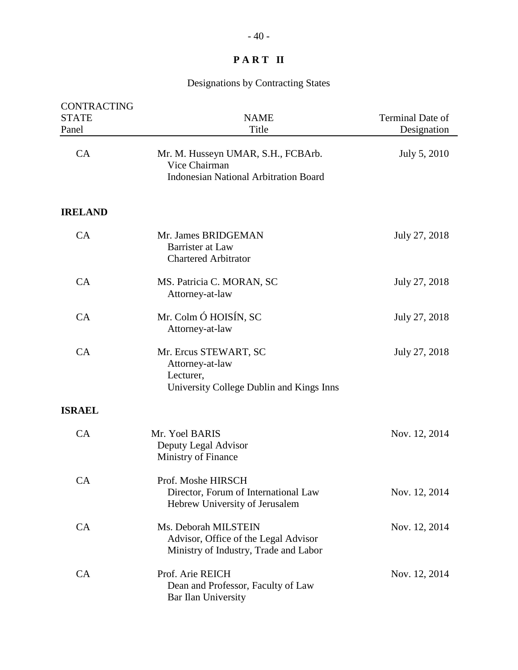| <b>CONTRACTING</b><br><b>STATE</b><br>Panel | <b>NAME</b><br>Title                                                                                  | Terminal Date of<br>Designation |
|---------------------------------------------|-------------------------------------------------------------------------------------------------------|---------------------------------|
| CA                                          | Mr. M. Husseyn UMAR, S.H., FCBArb.<br>Vice Chairman<br><b>Indonesian National Arbitration Board</b>   | July 5, 2010                    |
| <b>IRELAND</b>                              |                                                                                                       |                                 |
| CA                                          | Mr. James BRIDGEMAN<br>Barrister at Law<br><b>Chartered Arbitrator</b>                                | July 27, 2018                   |
| CA                                          | MS. Patricia C. MORAN, SC<br>Attorney-at-law                                                          | July 27, 2018                   |
| CA                                          | Mr. Colm Ó HOISÍN, SC<br>Attorney-at-law                                                              | July 27, 2018                   |
| CA                                          | Mr. Ercus STEWART, SC<br>Attorney-at-law<br>Lecturer,<br>University College Dublin and Kings Inns     | July 27, 2018                   |
| <b>ISRAEL</b>                               |                                                                                                       |                                 |
| CA                                          | Mr. Yoel BARIS<br>Deputy Legal Advisor<br>Ministry of Finance                                         | Nov. 12, 2014                   |
| <b>CA</b>                                   | Prof. Moshe HIRSCH<br>Director, Forum of International Law<br>Hebrew University of Jerusalem          | Nov. 12, 2014                   |
| CA                                          | Ms. Deborah MILSTEIN<br>Advisor, Office of the Legal Advisor<br>Ministry of Industry, Trade and Labor | Nov. 12, 2014                   |
| CA                                          | Prof. Arie REICH<br>Dean and Professor, Faculty of Law<br>Bar Ilan University                         | Nov. 12, 2014                   |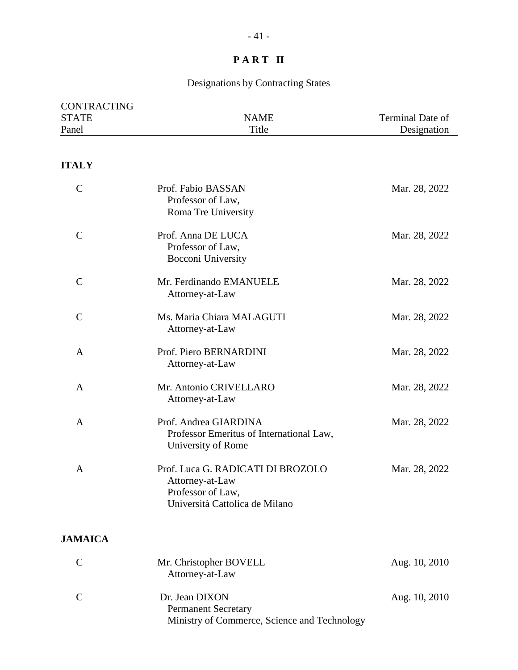| CONTRACTING<br><b>STATE</b> | <b>NAME</b>                                                                                                 | Terminal Date of |
|-----------------------------|-------------------------------------------------------------------------------------------------------------|------------------|
| Panel                       | Title                                                                                                       | Designation      |
|                             |                                                                                                             |                  |
| <b>ITALY</b>                |                                                                                                             |                  |
| $\mathcal{C}$               | Prof. Fabio BASSAN<br>Professor of Law,<br>Roma Tre University                                              | Mar. 28, 2022    |
| $\mathsf{C}$                | Prof. Anna DE LUCA<br>Professor of Law,<br>Bocconi University                                               | Mar. 28, 2022    |
| $\mathsf{C}$                | Mr. Ferdinando EMANUELE<br>Attorney-at-Law                                                                  | Mar. 28, 2022    |
| $\mathcal{C}$               | Ms. Maria Chiara MALAGUTI<br>Attorney-at-Law                                                                | Mar. 28, 2022    |
| A                           | Prof. Piero BERNARDINI<br>Attorney-at-Law                                                                   | Mar. 28, 2022    |
| A                           | Mr. Antonio CRIVELLARO<br>Attorney-at-Law                                                                   | Mar. 28, 2022    |
| A                           | Prof. Andrea GIARDINA<br>Professor Emeritus of International Law,<br>University of Rome                     | Mar. 28, 2022    |
| A                           | Prof. Luca G. RADICATI DI BROZOLO<br>Attorney-at-Law<br>Professor of Law,<br>Università Cattolica de Milano | Mar. 28, 2022    |
| <b>JAMAICA</b>              |                                                                                                             |                  |
| $\mathcal{C}$               | Mr. Christopher BOVELL<br>Attorney-at-Law                                                                   | Aug. 10, 2010    |
| $\mathcal{C}$               | Dr. Jean DIXON<br><b>Permanent Secretary</b><br>Ministry of Commerce, Science and Technology                | Aug. 10, 2010    |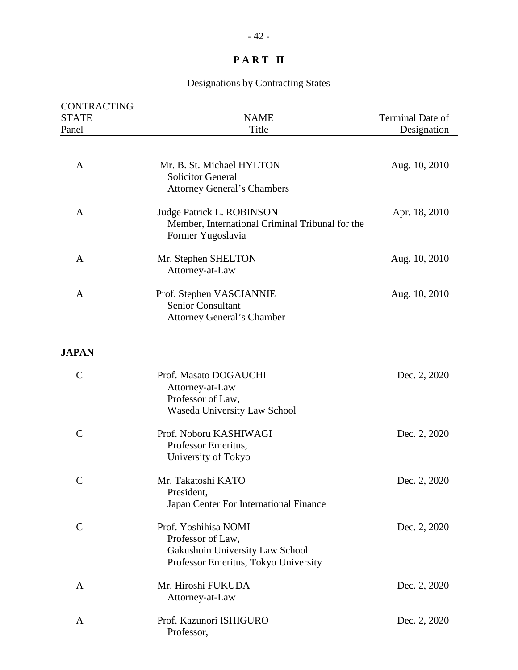| <b>CONTRACTING</b><br><b>STATE</b> | <b>NAME</b>                                                                                                          | Terminal Date of |
|------------------------------------|----------------------------------------------------------------------------------------------------------------------|------------------|
| Panel                              | Title                                                                                                                | Designation      |
|                                    |                                                                                                                      |                  |
| A                                  | Mr. B. St. Michael HYLTON<br><b>Solicitor General</b><br><b>Attorney General's Chambers</b>                          | Aug. 10, 2010    |
| A                                  | <b>Judge Patrick L. ROBINSON</b><br>Member, International Criminal Tribunal for the<br>Former Yugoslavia             | Apr. 18, 2010    |
| A                                  | Mr. Stephen SHELTON<br>Attorney-at-Law                                                                               | Aug. 10, 2010    |
| A                                  | Prof. Stephen VASCIANNIE<br>Senior Consultant<br>Attorney General's Chamber                                          | Aug. 10, 2010    |
| <b>JAPAN</b>                       |                                                                                                                      |                  |
| $\mathcal{C}$                      | Prof. Masato DOGAUCHI<br>Attorney-at-Law<br>Professor of Law,<br>Waseda University Law School                        | Dec. 2, 2020     |
| $\mathcal{C}$                      | Prof. Noboru KASHIWAGI<br>Professor Emeritus,<br>University of Tokyo                                                 | Dec. 2, 2020     |
| $\mathcal{C}$                      | Mr. Takatoshi KATO<br>President,<br>Japan Center For International Finance                                           | Dec. 2, 2020     |
| $\mathsf{C}$                       | Prof. Yoshihisa NOMI<br>Professor of Law,<br>Gakushuin University Law School<br>Professor Emeritus, Tokyo University | Dec. 2, 2020     |
| A                                  | Mr. Hiroshi FUKUDA<br>Attorney-at-Law                                                                                | Dec. 2, 2020     |
| A                                  | Prof. Kazunori ISHIGURO<br>Professor,                                                                                | Dec. 2, 2020     |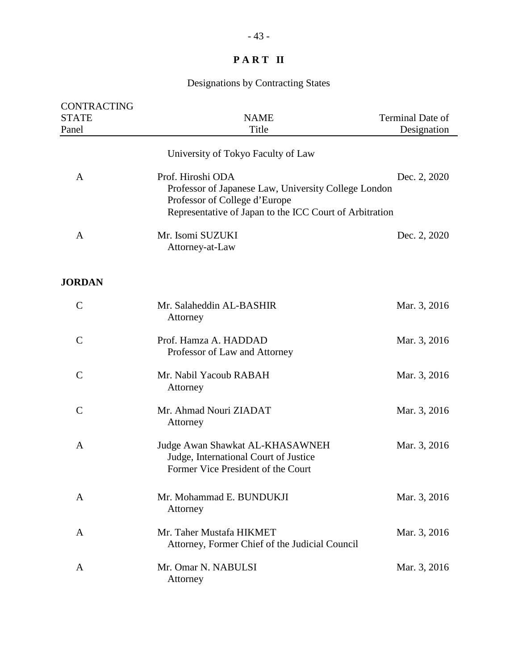| <b>CONTRACTING</b><br><b>STATE</b><br>Panel | <b>NAME</b><br>Title                                                                                                                                                  | Terminal Date of<br>Designation |
|---------------------------------------------|-----------------------------------------------------------------------------------------------------------------------------------------------------------------------|---------------------------------|
|                                             | University of Tokyo Faculty of Law                                                                                                                                    |                                 |
| A                                           | Prof. Hiroshi ODA<br>Professor of Japanese Law, University College London<br>Professor of College d'Europe<br>Representative of Japan to the ICC Court of Arbitration | Dec. 2, 2020                    |
| $\mathbf{A}$                                | Mr. Isomi SUZUKI<br>Attorney-at-Law                                                                                                                                   | Dec. 2, 2020                    |
| <b>JORDAN</b>                               |                                                                                                                                                                       |                                 |
| $\mathcal{C}$                               | Mr. Salaheddin AL-BASHIR<br>Attorney                                                                                                                                  | Mar. 3, 2016                    |
| $\mathcal{C}$                               | Prof. Hamza A. HADDAD<br>Professor of Law and Attorney                                                                                                                | Mar. 3, 2016                    |
| $\mathcal{C}$                               | Mr. Nabil Yacoub RABAH<br>Attorney                                                                                                                                    | Mar. 3, 2016                    |
| $\mathcal{C}$                               | Mr. Ahmad Nouri ZIADAT<br>Attorney                                                                                                                                    | Mar. 3, 2016                    |
| A                                           | Judge Awan Shawkat AL-KHASAWNEH<br>Judge, International Court of Justice<br>Former Vice President of the Court                                                        | Mar. 3, 2016                    |
| A                                           | Mr. Mohammad E. BUNDUKJI<br>Attorney                                                                                                                                  | Mar. 3, 2016                    |
| A                                           | Mr. Taher Mustafa HIKMET<br>Attorney, Former Chief of the Judicial Council                                                                                            | Mar. 3, 2016                    |
| $\mathsf{A}$                                | Mr. Omar N. NABULSI<br>Attorney                                                                                                                                       | Mar. 3, 2016                    |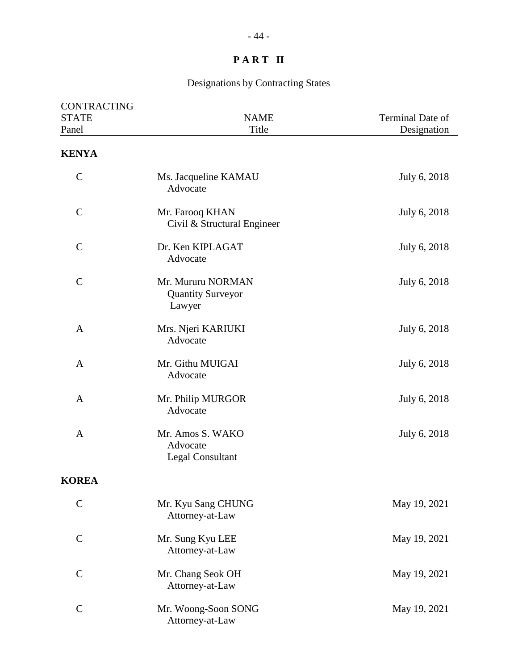| CONTRACTING<br><b>STATE</b><br>Panel | <b>NAME</b><br>Title                                    | Terminal Date of<br>Designation |
|--------------------------------------|---------------------------------------------------------|---------------------------------|
| <b>KENYA</b>                         |                                                         |                                 |
| $\mathcal{C}$                        | Ms. Jacqueline KAMAU<br>Advocate                        | July 6, 2018                    |
| $\mathcal{C}$                        | Mr. Farooq KHAN<br>Civil & Structural Engineer          | July 6, 2018                    |
| $\mathcal{C}$                        | Dr. Ken KIPLAGAT<br>Advocate                            | July 6, 2018                    |
| $\mathcal{C}$                        | Mr. Mururu NORMAN<br><b>Quantity Surveyor</b><br>Lawyer | July 6, 2018                    |
| A                                    | Mrs. Njeri KARIUKI<br>Advocate                          | July 6, 2018                    |
| A                                    | Mr. Githu MUIGAI<br>Advocate                            | July 6, 2018                    |
| A                                    | Mr. Philip MURGOR<br>Advocate                           | July 6, 2018                    |
| $\mathbf{A}$                         | Mr. Amos S. WAKO<br>Advocate<br><b>Legal Consultant</b> | July 6, 2018                    |
| <b>KOREA</b>                         |                                                         |                                 |
| $\mathsf{C}$                         | Mr. Kyu Sang CHUNG<br>Attorney-at-Law                   | May 19, 2021                    |
| $\mathcal{C}$                        | Mr. Sung Kyu LEE<br>Attorney-at-Law                     | May 19, 2021                    |
| $\mathcal{C}$                        | Mr. Chang Seok OH<br>Attorney-at-Law                    | May 19, 2021                    |
| $\mathcal{C}$                        | Mr. Woong-Soon SONG<br>Attorney-at-Law                  | May 19, 2021                    |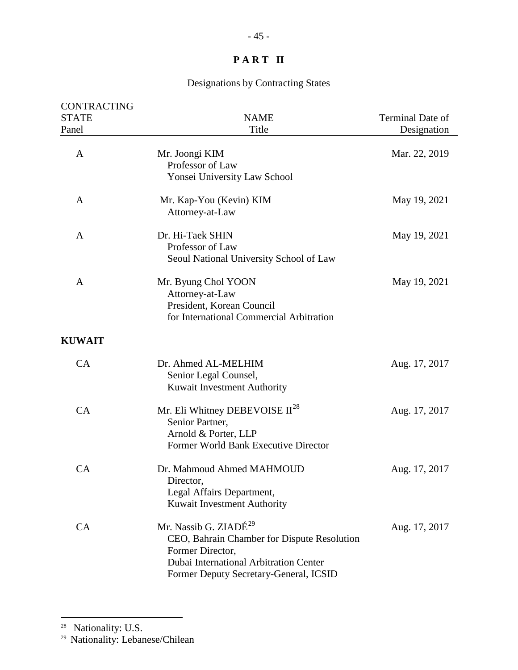## Designations by Contracting States

| <b>CONTRACTING</b><br><b>STATE</b> | <b>NAME</b>                                                                                                                                                                              | Terminal Date of |
|------------------------------------|------------------------------------------------------------------------------------------------------------------------------------------------------------------------------------------|------------------|
| Panel                              | Title                                                                                                                                                                                    | Designation      |
| A                                  | Mr. Joongi KIM<br>Professor of Law<br>Yonsei University Law School                                                                                                                       | Mar. 22, 2019    |
| A                                  | Mr. Kap-You (Kevin) KIM<br>Attorney-at-Law                                                                                                                                               | May 19, 2021     |
| A                                  | Dr. Hi-Taek SHIN<br>Professor of Law<br>Seoul National University School of Law                                                                                                          | May 19, 2021     |
| A                                  | Mr. Byung Chol YOON<br>Attorney-at-Law<br>President, Korean Council<br>for International Commercial Arbitration                                                                          | May 19, 2021     |
| <b>KUWAIT</b>                      |                                                                                                                                                                                          |                  |
| CA                                 | Dr. Ahmed AL-MELHIM<br>Senior Legal Counsel,<br>Kuwait Investment Authority                                                                                                              | Aug. 17, 2017    |
| CA                                 | Mr. Eli Whitney DEBEVOISE $II^{28}$<br>Senior Partner,<br>Arnold & Porter, LLP<br>Former World Bank Executive Director                                                                   | Aug. 17, 2017    |
| CA                                 | Dr. Mahmoud Ahmed MAHMOUD<br>Director,<br>Legal Affairs Department,<br>Kuwait Investment Authority                                                                                       | Aug. 17, 2017    |
| CA                                 | Mr. Nassib G. ZIADÉ <sup>29</sup><br>CEO, Bahrain Chamber for Dispute Resolution<br>Former Director,<br>Dubai International Arbitration Center<br>Former Deputy Secretary-General, ICSID | Aug. 17, 2017    |

<span id="page-44-0"></span><sup>28</sup> Nationality: U.S.

 $\overline{a}$ 

<span id="page-44-1"></span>29 Nationality: Lebanese/Chilean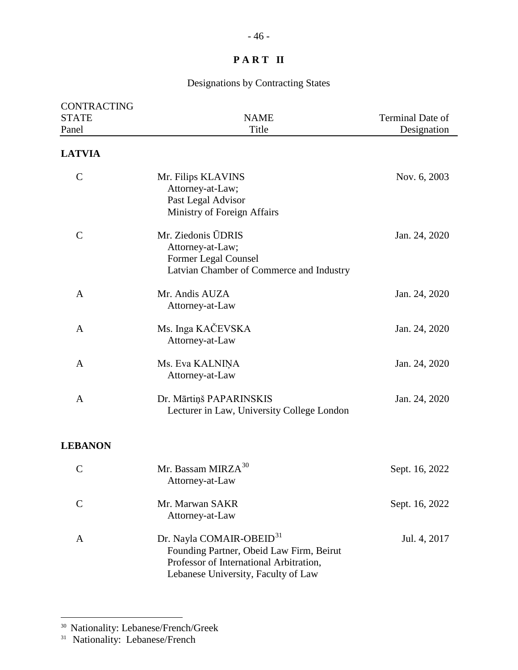## Designations by Contracting States

| <b>CONTRACTING</b> |                                                                                                                                                                    |                  |
|--------------------|--------------------------------------------------------------------------------------------------------------------------------------------------------------------|------------------|
| <b>STATE</b>       | <b>NAME</b>                                                                                                                                                        | Terminal Date of |
| Panel              | Title                                                                                                                                                              | Designation      |
| <b>LATVIA</b>      |                                                                                                                                                                    |                  |
| $\mathbf C$        | Mr. Filips KLAVINS<br>Attorney-at-Law;<br>Past Legal Advisor<br>Ministry of Foreign Affairs                                                                        | Nov. 6, 2003     |
| $\mathcal{C}$      | Mr. Ziedonis ŪDRIS<br>Attorney-at-Law;<br>Former Legal Counsel<br>Latvian Chamber of Commerce and Industry                                                         | Jan. 24, 2020    |
| A                  | Mr. Andis AUZA<br>Attorney-at-Law                                                                                                                                  | Jan. 24, 2020    |
| A                  | Ms. Inga KAČEVSKA<br>Attorney-at-Law                                                                                                                               | Jan. 24, 2020    |
| A                  | Ms. Eva KALNIŅA<br>Attorney-at-Law                                                                                                                                 | Jan. 24, 2020    |
| A                  | Dr. Mārtiņš PAPARINSKIS<br>Lecturer in Law, University College London                                                                                              | Jan. 24, 2020    |
| <b>LEBANON</b>     |                                                                                                                                                                    |                  |
| $\mathbf C$        | Mr. Bassam MIRZA <sup>30</sup><br>Attorney-at-Law                                                                                                                  | Sept. 16, 2022   |
| $\mathsf{C}$       | Mr. Marwan SAKR<br>Attorney-at-Law                                                                                                                                 | Sept. 16, 2022   |
| A                  | Dr. Nayla COMAIR-OBEID <sup>31</sup><br>Founding Partner, Obeid Law Firm, Beirut<br>Professor of International Arbitration,<br>Lebanese University, Faculty of Law | Jul. 4, 2017     |

<span id="page-45-0"></span><sup>30</sup> Nationality: Lebanese/French/Greek

<span id="page-45-1"></span><sup>&</sup>lt;sup>31</sup> Nationality: Lebanese/French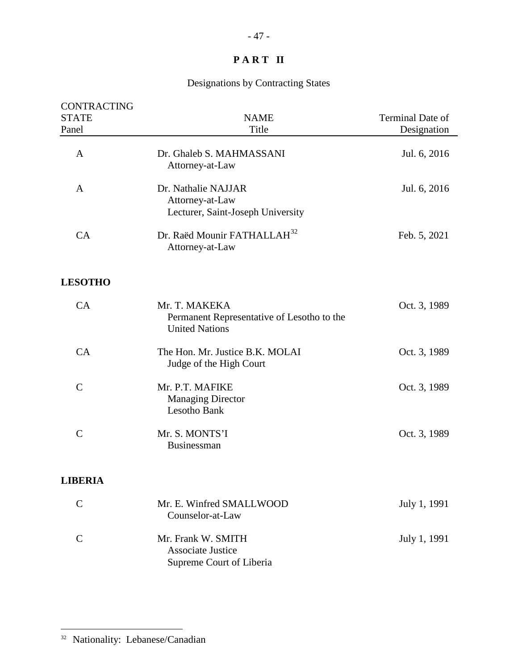## Designations by Contracting States

| CONTRACTING    |                                                                                      |                  |
|----------------|--------------------------------------------------------------------------------------|------------------|
| <b>STATE</b>   | <b>NAME</b>                                                                          | Terminal Date of |
| Panel          | Title                                                                                | Designation      |
| A              | Dr. Ghaleb S. MAHMASSANI<br>Attorney-at-Law                                          | Jul. 6, 2016     |
| A              | Dr. Nathalie NAJJAR<br>Attorney-at-Law<br>Lecturer, Saint-Joseph University          | Jul. 6, 2016     |
| CA             | Dr. Raëd Mounir FATHALLAH <sup>32</sup><br>Attorney-at-Law                           | Feb. 5, 2021     |
| <b>LESOTHO</b> |                                                                                      |                  |
| CA             | Mr. T. MAKEKA<br>Permanent Representative of Lesotho to the<br><b>United Nations</b> | Oct. 3, 1989     |
| CA             | The Hon. Mr. Justice B.K. MOLAI<br>Judge of the High Court                           | Oct. 3, 1989     |
| $\mathcal{C}$  | Mr. P.T. MAFIKE<br><b>Managing Director</b><br>Lesotho Bank                          | Oct. 3, 1989     |
| $\mathcal{C}$  | Mr. S. MONTS'I<br>Businessman                                                        | Oct. 3, 1989     |
| <b>LIBERIA</b> |                                                                                      |                  |
| $\mathcal{C}$  | Mr. E. Winfred SMALLWOOD<br>Counselor-at-Law                                         | July 1, 1991     |
| $\mathcal{C}$  | Mr. Frank W. SMITH<br><b>Associate Justice</b><br>Supreme Court of Liberia           | July 1, 1991     |

<span id="page-46-0"></span><sup>&</sup>lt;sup>32</sup> Nationality: Lebanese/Canadian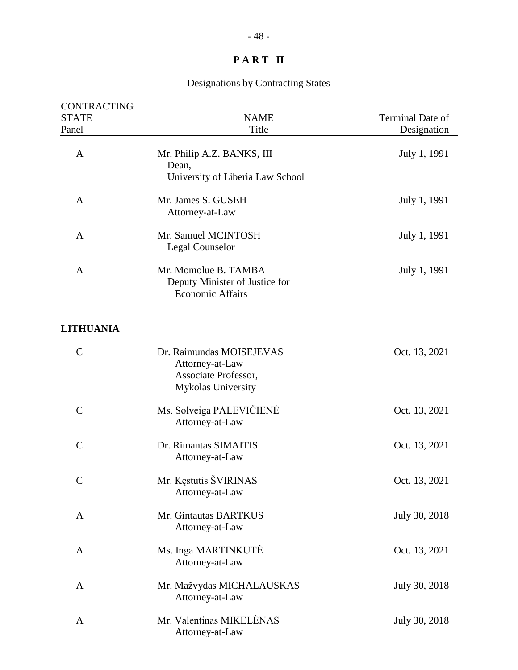| <b>CONTRACTING</b><br><b>STATE</b><br>Panel | <b>NAME</b><br>Title                                                                      | Terminal Date of<br>Designation |
|---------------------------------------------|-------------------------------------------------------------------------------------------|---------------------------------|
| A                                           | Mr. Philip A.Z. BANKS, III<br>Dean,<br>University of Liberia Law School                   | July 1, 1991                    |
| A                                           | Mr. James S. GUSEH<br>Attorney-at-Law                                                     | July 1, 1991                    |
| A                                           | Mr. Samuel MCINTOSH<br>Legal Counselor                                                    | July 1, 1991                    |
| A                                           | Mr. Momolue B. TAMBA<br>Deputy Minister of Justice for<br><b>Economic Affairs</b>         | July 1, 1991                    |
| <b>LITHUANIA</b>                            |                                                                                           |                                 |
| $\mathsf{C}$                                | Dr. Raimundas MOISEJEVAS<br>Attorney-at-Law<br>Associate Professor,<br>Mykolas University | Oct. 13, 2021                   |
| $\mathsf{C}$                                | Ms. Solveiga PALEVIČIENĖ<br>Attorney-at-Law                                               | Oct. 13, 2021                   |
| $\mathcal{C}$                               | Dr. Rimantas SIMAITIS<br>Attorney-at-Law                                                  | Oct. 13, 2021                   |
| $\mathsf{C}$                                | Mr. Kęstutis ŠVIRINAS<br>Attorney-at-Law                                                  | Oct. 13, 2021                   |
| A                                           | Mr. Gintautas BARTKUS<br>Attorney-at-Law                                                  | July 30, 2018                   |
| A                                           | Ms. Inga MARTINKUTE<br>Attorney-at-Law                                                    | Oct. 13, 2021                   |
| A                                           | Mr. Mažvydas MICHALAUSKAS<br>Attorney-at-Law                                              | July 30, 2018                   |
| A                                           | Mr. Valentinas MIKELĖNAS<br>Attorney-at-Law                                               | July 30, 2018                   |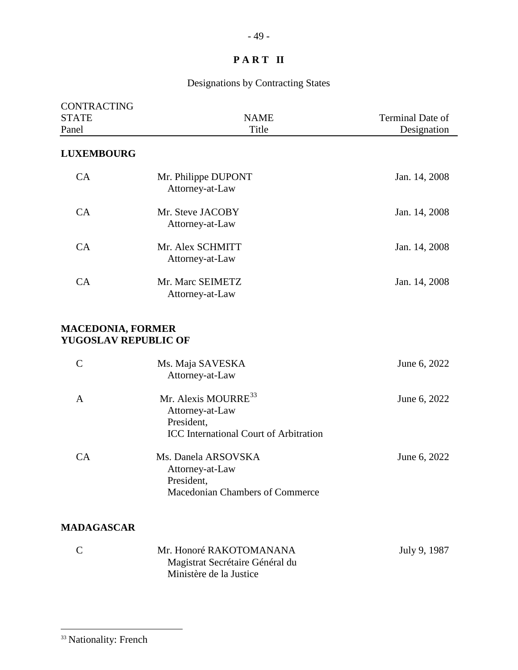# Designations by Contracting States

<span id="page-48-0"></span>

| <b>CONTRACTING</b>                                      |                                                                                                                   |                  |
|---------------------------------------------------------|-------------------------------------------------------------------------------------------------------------------|------------------|
| <b>STATE</b>                                            | <b>NAME</b>                                                                                                       | Terminal Date of |
| Panel                                                   | Title                                                                                                             | Designation      |
| <b>LUXEMBOURG</b>                                       |                                                                                                                   |                  |
| CA                                                      | Mr. Philippe DUPONT<br>Attorney-at-Law                                                                            | Jan. 14, 2008    |
| CA                                                      | Mr. Steve JACOBY<br>Attorney-at-Law                                                                               | Jan. 14, 2008    |
| CA                                                      | Mr. Alex SCHMITT<br>Attorney-at-Law                                                                               | Jan. 14, 2008    |
| CA                                                      | Mr. Marc SEIMETZ<br>Attorney-at-Law                                                                               | Jan. 14, 2008    |
| <b>MACEDONIA, FORMER</b><br><b>YUGOSLAV REPUBLIC OF</b> |                                                                                                                   |                  |
| $\mathcal{C}$                                           | Ms. Maja SAVESKA<br>Attorney-at-Law                                                                               | June 6, 2022     |
| $\mathbf{A}$                                            | Mr. Alexis MOURRE <sup>33</sup><br>Attorney-at-Law<br>President,<br><b>ICC</b> International Court of Arbitration | June 6, 2022     |
| CA                                                      | Ms. Danela ARSOVSKA<br>Attorney-at-Law<br>President,<br>Macedonian Chambers of Commerce                           | June 6, 2022     |
| <b>MADAGASCAR</b>                                       |                                                                                                                   |                  |
| $\mathcal{C}$                                           | Mr. Honoré RAKOTOMANANA<br>Magistrat Secrétaire Général du<br>Ministère de la Justice                             | July 9, 1987     |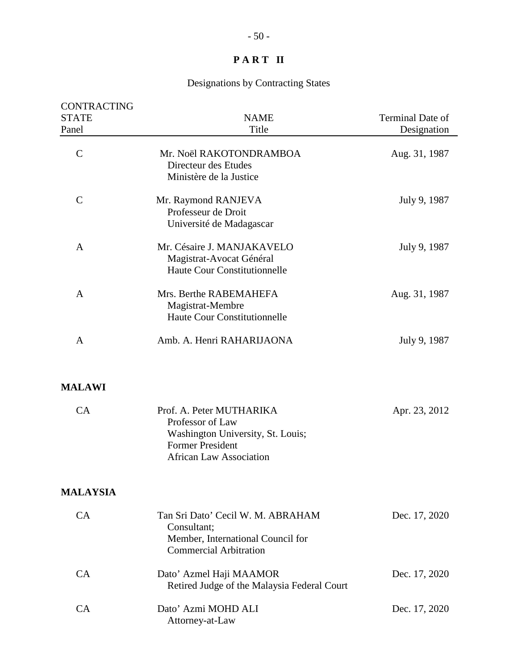| <b>CONTRACTING</b><br><b>STATE</b><br>Panel | <b>NAME</b><br>Title                                                                                                                           | <b>Terminal Date of</b><br>Designation |
|---------------------------------------------|------------------------------------------------------------------------------------------------------------------------------------------------|----------------------------------------|
| $\mathcal{C}$                               | Mr. Noël RAKOTONDRAMBOA<br>Directeur des Etudes<br>Ministère de la Justice                                                                     | Aug. 31, 1987                          |
| $\mathbf C$                                 | Mr. Raymond RANJEVA<br>Professeur de Droit<br>Université de Madagascar                                                                         | July 9, 1987                           |
| A                                           | Mr. Césaire J. MANJAKAVELO<br>Magistrat-Avocat Général<br><b>Haute Cour Constitutionnelle</b>                                                  | July 9, 1987                           |
| A                                           | Mrs. Berthe RABEMAHEFA<br>Magistrat-Membre<br><b>Haute Cour Constitutionnelle</b>                                                              | Aug. 31, 1987                          |
| A                                           | Amb. A. Henri RAHARIJAONA                                                                                                                      | July 9, 1987                           |
| <b>MALAWI</b>                               |                                                                                                                                                |                                        |
| CA                                          | Prof. A. Peter MUTHARIKA<br>Professor of Law<br>Washington University, St. Louis;<br><b>Former President</b><br><b>African Law Association</b> | Apr. 23, 2012                          |
| <b>MALAYSIA</b>                             |                                                                                                                                                |                                        |
| <b>CA</b>                                   | Tan Sri Dato' Cecil W. M. ABRAHAM<br>Consultant;<br>Member, International Council for<br><b>Commercial Arbitration</b>                         | Dec. 17, 2020                          |
| CA                                          | Dato' Azmel Haji MAAMOR<br>Retired Judge of the Malaysia Federal Court                                                                         | Dec. 17, 2020                          |
| CA                                          | Dato' Azmi MOHD ALI<br>Attorney-at-Law                                                                                                         | Dec. 17, 2020                          |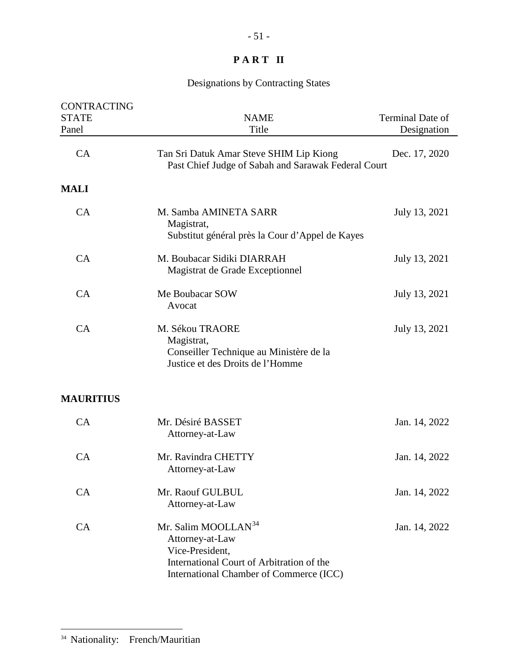## Designations by Contracting States

| <b>CONTRACTING</b><br><b>STATE</b> | <b>NAME</b>                                                                                                                                                   | Terminal Date of |
|------------------------------------|---------------------------------------------------------------------------------------------------------------------------------------------------------------|------------------|
| Panel                              | Title                                                                                                                                                         | Designation      |
| CA                                 | Tan Sri Datuk Amar Steve SHIM Lip Kiong<br>Past Chief Judge of Sabah and Sarawak Federal Court                                                                | Dec. 17, 2020    |
| <b>MALI</b>                        |                                                                                                                                                               |                  |
| CA                                 | M. Samba AMINETA SARR<br>Magistrat,<br>Substitut général près la Cour d'Appel de Kayes                                                                        | July 13, 2021    |
| CA                                 | M. Boubacar Sidiki DIARRAH<br>Magistrat de Grade Exceptionnel                                                                                                 | July 13, 2021    |
| CA                                 | Me Boubacar SOW<br>Avocat                                                                                                                                     | July 13, 2021    |
| CA                                 | M. Sékou TRAORE<br>Magistrat,<br>Conseiller Technique au Ministère de la<br>Justice et des Droits de l'Homme                                                  | July 13, 2021    |
| <b>MAURITIUS</b>                   |                                                                                                                                                               |                  |
| CA                                 | Mr. Désiré BASSET<br>Attorney-at-Law                                                                                                                          | Jan. 14, 2022    |
| CA                                 | Mr. Ravindra CHETTY<br>Attorney-at-Law                                                                                                                        | Jan. 14, 2022    |
| CA                                 | Mr. Raouf GULBUL<br>Attorney-at-Law                                                                                                                           | Jan. 14, 2022    |
| CA                                 | Mr. Salim MOOLLAN <sup>34</sup><br>Attorney-at-Law<br>Vice-President,<br>International Court of Arbitration of the<br>International Chamber of Commerce (ICC) | Jan. 14, 2022    |

<span id="page-50-0"></span><sup>34</sup> Nationality: French/Mauritian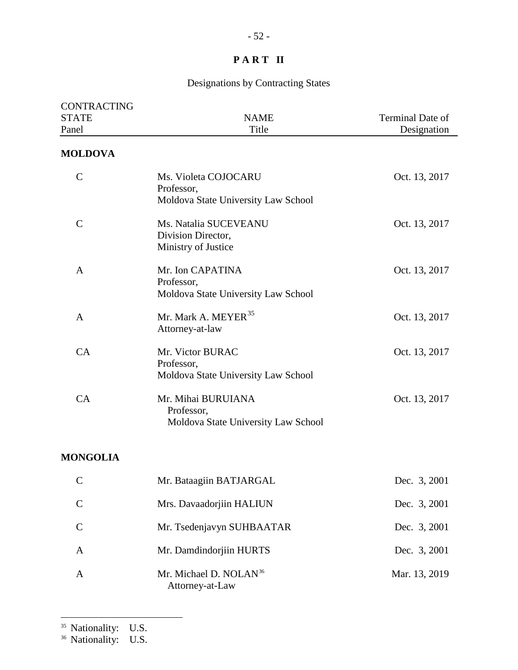## Designations by Contracting States

| CONTRACTING     |                                                                           |                  |
|-----------------|---------------------------------------------------------------------------|------------------|
| <b>STATE</b>    | <b>NAME</b>                                                               | Terminal Date of |
| Panel           | Title                                                                     | Designation      |
| <b>MOLDOVA</b>  |                                                                           |                  |
| $\mathbf C$     | Ms. Violeta COJOCARU<br>Professor,<br>Moldova State University Law School | Oct. 13, 2017    |
| $\mathcal{C}$   | Ms. Natalia SUCEVEANU<br>Division Director,<br>Ministry of Justice        | Oct. 13, 2017    |
| A               | Mr. Ion CAPATINA<br>Professor,<br>Moldova State University Law School     | Oct. 13, 2017    |
| A               | Mr. Mark A. MEYER <sup>35</sup><br>Attorney-at-law                        | Oct. 13, 2017    |
| CA              | Mr. Victor BURAC<br>Professor,<br>Moldova State University Law School     | Oct. 13, 2017    |
| CA              | Mr. Mihai BURUIANA<br>Professor,<br>Moldova State University Law School   | Oct. 13, 2017    |
| <b>MONGOLIA</b> |                                                                           |                  |
| $\sim$<br>Ĉ     | Mr. Bataagiin BATJARGAL                                                   | Dec. 3, 2001     |
| $\mathcal{C}$   | Mrs. Davaadorjiin HALIUN                                                  | Dec. 3, 2001     |
| $\mathcal{C}$   | Mr. Tsedenjavyn SUHBAATAR                                                 | Dec. 3, 2001     |
| A               | Mr. Damdindorjiin HURTS                                                   | Dec. 3, 2001     |
| A               | Mr. Michael D. NOLAN <sup>36</sup><br>Attorney-at-Law                     | Mar. 13, 2019    |

<span id="page-51-1"></span><span id="page-51-0"></span><sup>&</sup>lt;sup>36</sup> Nationality: U.S.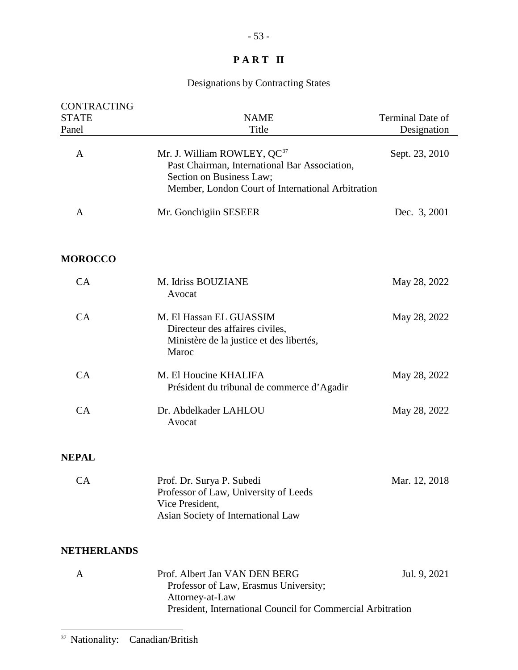## Designations by Contracting States

<span id="page-52-0"></span>

| CONTRACTING<br><b>STATE</b><br>Panel | <b>NAME</b><br>Title                                                                                                                                                      | Terminal Date of<br>Designation |
|--------------------------------------|---------------------------------------------------------------------------------------------------------------------------------------------------------------------------|---------------------------------|
| A                                    | Mr. J. William ROWLEY, QC <sup>37</sup><br>Past Chairman, International Bar Association,<br>Section on Business Law;<br>Member, London Court of International Arbitration | Sept. 23, 2010                  |
| A                                    | Mr. Gonchigiin SESEER                                                                                                                                                     | Dec. 3, 2001                    |
| <b>MOROCCO</b>                       |                                                                                                                                                                           |                                 |
| CA                                   | M. Idriss BOUZIANE<br>Avocat                                                                                                                                              | May 28, 2022                    |
| CA                                   | M. El Hassan EL GUASSIM<br>Directeur des affaires civiles,<br>Ministère de la justice et des libertés,<br>Maroc                                                           | May 28, 2022                    |
| CA                                   | M. El Houcine KHALIFA<br>Président du tribunal de commerce d'Agadir                                                                                                       | May 28, 2022                    |
| CA                                   | Dr. Abdelkader LAHLOU<br>Avocat                                                                                                                                           | May 28, 2022                    |
| <b>NEPAL</b>                         |                                                                                                                                                                           |                                 |
| <b>CA</b>                            | Prof. Dr. Surya P. Subedi<br>Professor of Law, University of Leeds<br>Vice President,<br>Asian Society of International Law                                               | Mar. 12, 2018                   |
| <b>NETHERLANDS</b>                   |                                                                                                                                                                           |                                 |
| A                                    | Prof. Albert Jan VAN DEN BERG<br>Professor of Law, Erasmus University;<br>Attorney-at-Law<br>President, International Council for Commercial Arbitration                  | Jul. 9, 2021                    |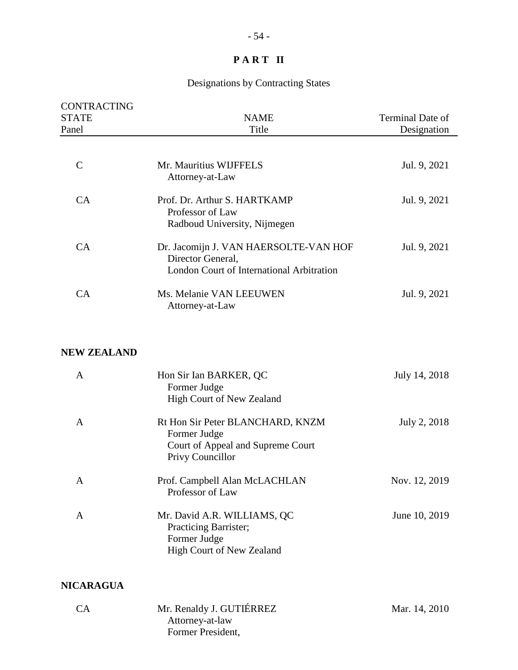#### Designations by Contracting States

| <b>CONTRACTING</b><br><b>STATE</b><br>Panel | <b>NAME</b><br>Title                                                                                    | Terminal Date of<br>Designation |
|---------------------------------------------|---------------------------------------------------------------------------------------------------------|---------------------------------|
| $\mathsf{C}$                                | Mr. Mauritius WIJFFELS<br>Attorney-at-Law                                                               | Jul. 9, 2021                    |
| <b>CA</b>                                   | Prof. Dr. Arthur S. HARTKAMP<br>Professor of Law<br>Radboud University, Nijmegen                        | Jul. 9, 2021                    |
| CA                                          | Dr. Jacomijn J. VAN HAERSOLTE-VAN HOF<br>Director General,<br>London Court of International Arbitration | Jul. 9, 2021                    |
| CА                                          | Ms. Melanie VAN LEEUWEN<br>Attorney-at-Law                                                              | Jul. 9, 2021                    |

#### **NEW ZEALAND**

| A                | Hon Sir Ian BARKER, QC<br>Former Judge<br>High Court of New Zealand                                       | July 14, 2018 |
|------------------|-----------------------------------------------------------------------------------------------------------|---------------|
| A                | Rt Hon Sir Peter BLANCHARD, KNZM<br>Former Judge<br>Court of Appeal and Supreme Court<br>Privy Councillor | July 2, 2018  |
| A                | Prof. Campbell Alan McLACHLAN<br>Professor of Law                                                         | Nov. 12, 2019 |
| A                | Mr. David A.R. WILLIAMS, QC<br>Practicing Barrister;<br>Former Judge<br><b>High Court of New Zealand</b>  | June 10, 2019 |
| <b>NICARAGUA</b> |                                                                                                           |               |

#### CA Mr. Renaldy J. GUTIÉRREZ Mar. 14, 2010 Attorney-at-law Former President,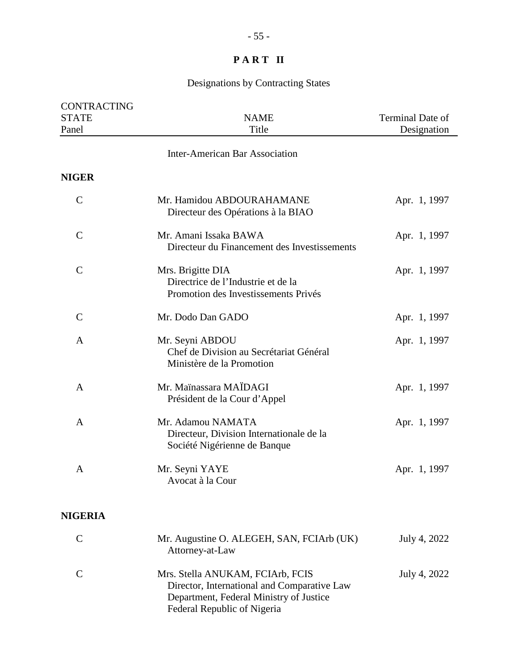| CONTRACTING           |                                                                                                                                                           |                                 |
|-----------------------|-----------------------------------------------------------------------------------------------------------------------------------------------------------|---------------------------------|
| <b>STATE</b><br>Panel | <b>NAME</b><br>Title                                                                                                                                      | Terminal Date of<br>Designation |
|                       | <b>Inter-American Bar Association</b>                                                                                                                     |                                 |
|                       |                                                                                                                                                           |                                 |
| <b>NIGER</b>          |                                                                                                                                                           |                                 |
| $\mathbf C$           | Mr. Hamidou ABDOURAHAMANE<br>Directeur des Opérations à la BIAO                                                                                           | Apr. 1, 1997                    |
| $\mathbf C$           | Mr. Amani Issaka BAWA<br>Directeur du Financement des Investissements                                                                                     | Apr. 1, 1997                    |
| $\mathbf C$           | Mrs. Brigitte DIA<br>Directrice de l'Industrie et de la<br>Promotion des Investissements Privés                                                           | Apr. 1, 1997                    |
| $\mathbf C$           | Mr. Dodo Dan GADO                                                                                                                                         | Apr. 1, 1997                    |
| A                     | Mr. Seyni ABDOU<br>Chef de Division au Secrétariat Général<br>Ministère de la Promotion                                                                   | Apr. 1, 1997                    |
| $\mathbf{A}$          | Mr. Maïnassara MAÏDAGI<br>Président de la Cour d'Appel                                                                                                    | Apr. 1, 1997                    |
| A                     | Mr. Adamou NAMATA<br>Directeur, Division Internationale de la<br>Société Nigérienne de Banque                                                             | Apr. 1, 1997                    |
| A                     | Mr. Seyni YAYE<br>Avocat à la Cour                                                                                                                        | Apr. 1, 1997                    |
| <b>NIGERIA</b>        |                                                                                                                                                           |                                 |
| $\mathbf C$           | Mr. Augustine O. ALEGEH, SAN, FCIArb (UK)<br>Attorney-at-Law                                                                                              | July 4, 2022                    |
| $\mathcal{C}$         | Mrs. Stella ANUKAM, FCIArb, FCIS<br>Director, International and Comparative Law<br>Department, Federal Ministry of Justice<br>Federal Republic of Nigeria | July 4, 2022                    |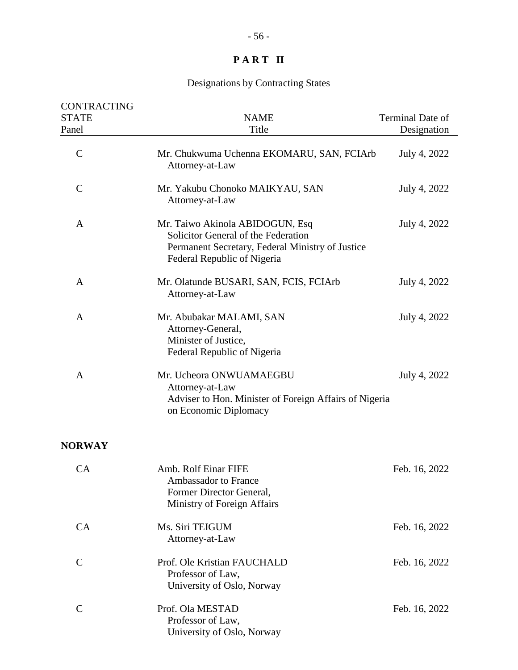| <b>CONTRACTING</b><br><b>STATE</b><br>Panel | <b>NAME</b><br>Title                                                                                                                                      | Terminal Date of<br>Designation |
|---------------------------------------------|-----------------------------------------------------------------------------------------------------------------------------------------------------------|---------------------------------|
| $\mathcal{C}$                               | Mr. Chukwuma Uchenna EKOMARU, SAN, FCIArb<br>Attorney-at-Law                                                                                              | July 4, 2022                    |
| $\mathcal{C}$                               | Mr. Yakubu Chonoko MAIKYAU, SAN<br>Attorney-at-Law                                                                                                        | July 4, 2022                    |
| A                                           | Mr. Taiwo Akinola ABIDOGUN, Esq<br>Solicitor General of the Federation<br>Permanent Secretary, Federal Ministry of Justice<br>Federal Republic of Nigeria | July 4, 2022                    |
| A                                           | Mr. Olatunde BUSARI, SAN, FCIS, FCIArb<br>Attorney-at-Law                                                                                                 | July 4, 2022                    |
| A                                           | Mr. Abubakar MALAMI, SAN<br>Attorney-General,<br>Minister of Justice,<br>Federal Republic of Nigeria                                                      | July 4, 2022                    |
| A                                           | Mr. Ucheora ONWUAMAEGBU<br>Attorney-at-Law<br>Adviser to Hon. Minister of Foreign Affairs of Nigeria<br>on Economic Diplomacy                             | July 4, 2022                    |
| <b>NORWAY</b>                               |                                                                                                                                                           |                                 |
| CA                                          | Amb. Rolf Einar FIFE<br><b>Ambassador to France</b><br>Former Director General,<br>Ministry of Foreign Affairs                                            | Feb. 16, 2022                   |
| CA                                          | Ms. Siri TEIGUM<br>Attorney-at-Law                                                                                                                        | Feb. 16, 2022                   |
| $\mathsf{C}$                                | Prof. Ole Kristian FAUCHALD<br>Professor of Law,<br>University of Oslo, Norway                                                                            | Feb. 16, 2022                   |
| $\mathcal{C}$                               | Prof. Ola MESTAD<br>Professor of Law,<br>University of Oslo, Norway                                                                                       | Feb. 16, 2022                   |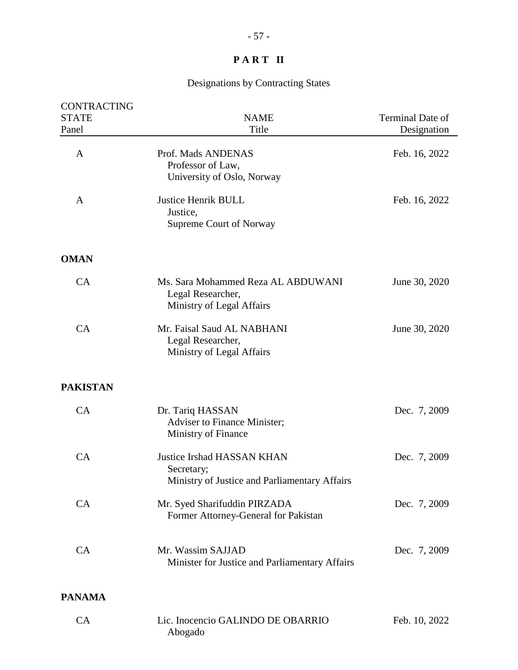| <b>CONTRACTING</b><br><b>STATE</b><br>Panel | <b>NAME</b><br>Title                                                                             | Terminal Date of<br>Designation |
|---------------------------------------------|--------------------------------------------------------------------------------------------------|---------------------------------|
| A                                           | Prof. Mads ANDENAS<br>Professor of Law,<br>University of Oslo, Norway                            | Feb. 16, 2022                   |
| A                                           | <b>Justice Henrik BULL</b><br>Justice,<br>Supreme Court of Norway                                | Feb. 16, 2022                   |
| <b>OMAN</b>                                 |                                                                                                  |                                 |
| CA                                          | Ms. Sara Mohammed Reza AL ABDUWANI<br>Legal Researcher,<br>Ministry of Legal Affairs             | June 30, 2020                   |
| CA                                          | Mr. Faisal Saud AL NABHANI<br>Legal Researcher,<br>Ministry of Legal Affairs                     | June 30, 2020                   |
| <b>PAKISTAN</b>                             |                                                                                                  |                                 |
| CA                                          | Dr. Tariq HASSAN<br><b>Adviser to Finance Minister;</b><br>Ministry of Finance                   | Dec. 7, 2009                    |
| CA                                          | <b>Justice Irshad HASSAN KHAN</b><br>Secretary;<br>Ministry of Justice and Parliamentary Affairs | Dec. 7, 2009                    |
| CA                                          | Mr. Syed Sharifuddin PIRZADA<br>Former Attorney-General for Pakistan                             | Dec. 7, 2009                    |
| CA                                          | Mr. Wassim SAJJAD<br>Minister for Justice and Parliamentary Affairs                              | Dec. 7, 2009                    |
| <b>PANAMA</b>                               |                                                                                                  |                                 |
| CA                                          | Lic. Inocencio GALINDO DE OBARRIO<br>Abogado                                                     | Feb. 10, 2022                   |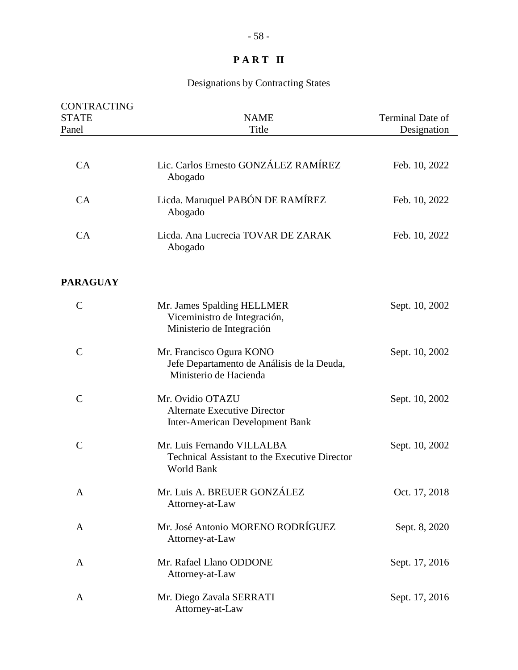| CONTRACTING<br><b>STATE</b><br>Panel | <b>NAME</b><br>Title                                                                              | Terminal Date of<br>Designation |
|--------------------------------------|---------------------------------------------------------------------------------------------------|---------------------------------|
|                                      |                                                                                                   |                                 |
| CA                                   | Lic. Carlos Ernesto GONZÁLEZ RAMÍREZ<br>Abogado                                                   | Feb. 10, 2022                   |
| CA                                   | Licda. Maruquel PABÓN DE RAMÍREZ<br>Abogado                                                       | Feb. 10, 2022                   |
| CA                                   | Licda. Ana Lucrecia TOVAR DE ZARAK<br>Abogado                                                     | Feb. 10, 2022                   |
| <b>PARAGUAY</b>                      |                                                                                                   |                                 |
| $\mathsf{C}$                         | Mr. James Spalding HELLMER<br>Viceministro de Integración,<br>Ministerio de Integración           | Sept. 10, 2002                  |
| $\mathcal{C}$                        | Mr. Francisco Ogura KONO<br>Jefe Departamento de Análisis de la Deuda,<br>Ministerio de Hacienda  | Sept. 10, 2002                  |
| $\mathsf{C}$                         | Mr. Ovidio OTAZU<br><b>Alternate Executive Director</b><br><b>Inter-American Development Bank</b> | Sept. 10, 2002                  |
| $\mathcal{C}$                        | Mr. Luis Fernando VILLALBA<br><b>Technical Assistant to the Executive Director</b><br>World Bank  | Sept. 10, 2002                  |
| A                                    | Mr. Luis A. BREUER GONZÁLEZ<br>Attorney-at-Law                                                    | Oct. 17, 2018                   |
| A                                    | Mr. José Antonio MORENO RODRÍGUEZ<br>Attorney-at-Law                                              | Sept. 8, 2020                   |
| A                                    | Mr. Rafael Llano ODDONE<br>Attorney-at-Law                                                        | Sept. 17, 2016                  |
| A                                    | Mr. Diego Zavala SERRATI<br>Attorney-at-Law                                                       | Sept. 17, 2016                  |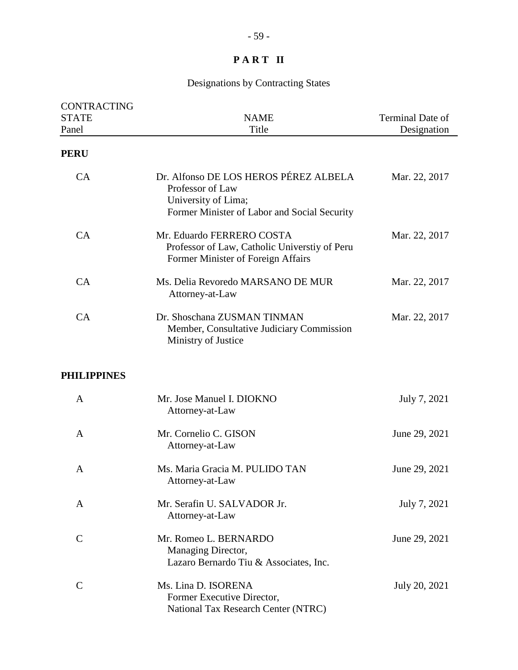| <b>CONTRACTING</b><br><b>STATE</b><br>Panel | <b>NAME</b><br>Title                                                                                                             | Terminal Date of<br>Designation |
|---------------------------------------------|----------------------------------------------------------------------------------------------------------------------------------|---------------------------------|
| <b>PERU</b>                                 |                                                                                                                                  |                                 |
| CA                                          | Dr. Alfonso DE LOS HEROS PÉREZ ALBELA<br>Professor of Law<br>University of Lima;<br>Former Minister of Labor and Social Security | Mar. 22, 2017                   |
| CA                                          | Mr. Eduardo FERRERO COSTA<br>Professor of Law, Catholic Universtiy of Peru<br>Former Minister of Foreign Affairs                 | Mar. 22, 2017                   |
| CA                                          | Ms. Delia Revoredo MARSANO DE MUR<br>Attorney-at-Law                                                                             | Mar. 22, 2017                   |
| CA                                          | Dr. Shoschana ZUSMAN TINMAN<br>Member, Consultative Judiciary Commission<br>Ministry of Justice                                  | Mar. 22, 2017                   |
| <b>PHILIPPINES</b>                          |                                                                                                                                  |                                 |
| A                                           | Mr. Jose Manuel I. DIOKNO<br>Attorney-at-Law                                                                                     | July 7, 2021                    |
| A                                           | Mr. Cornelio C. GISON<br>Attorney-at-Law                                                                                         | June 29, 2021                   |
| A                                           | Ms. Maria Gracia M. PULIDO TAN<br>Attorney-at-Law                                                                                | June 29, 2021                   |
| A                                           | Mr. Serafin U. SALVADOR Jr.<br>Attorney-at-Law                                                                                   | July 7, 2021                    |
| $\mathbf C$                                 | Mr. Romeo L. BERNARDO<br>Managing Director,<br>Lazaro Bernardo Tiu & Associates, Inc.                                            | June 29, 2021                   |
| $\mathsf{C}$                                | Ms. Lina D. ISORENA<br>Former Executive Director,<br>National Tax Research Center (NTRC)                                         | July 20, 2021                   |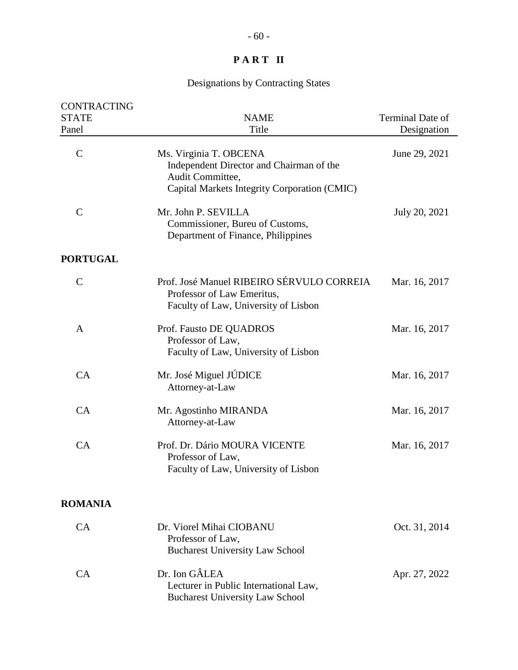| CONTRACTING<br><b>STATE</b> | <b>NAME</b>                                                                                                                            | Terminal Date of |
|-----------------------------|----------------------------------------------------------------------------------------------------------------------------------------|------------------|
| Panel                       | Title                                                                                                                                  | Designation      |
| $\mathcal{C}$               | Ms. Virginia T. OBCENA<br>Independent Director and Chairman of the<br>Audit Committee,<br>Capital Markets Integrity Corporation (CMIC) | June 29, 2021    |
| $\overline{C}$              | Mr. John P. SEVILLA<br>Commissioner, Bureu of Customs,<br>Department of Finance, Philippines                                           | July 20, 2021    |
| <b>PORTUGAL</b>             |                                                                                                                                        |                  |
| $\mathsf{C}$                | Prof. José Manuel RIBEIRO SÉRVULO CORREIA<br>Professor of Law Emeritus,<br>Faculty of Law, University of Lisbon                        | Mar. 16, 2017    |
| A                           | Prof. Fausto DE QUADROS<br>Professor of Law,<br>Faculty of Law, University of Lisbon                                                   | Mar. 16, 2017    |
| CA                          | Mr. José Miguel JÚDICE<br>Attorney-at-Law                                                                                              | Mar. 16, 2017    |
| CA                          | Mr. Agostinho MIRANDA<br>Attorney-at-Law                                                                                               | Mar. 16, 2017    |
| CA                          | Prof. Dr. Dário MOURA VICENTE<br>Professor of Law,<br>Faculty of Law, University of Lisbon                                             | Mar. 16, 2017    |
| <b>ROMANIA</b>              |                                                                                                                                        |                  |
| CA                          | Dr. Viorel Mihai CIOBANU<br>Professor of Law,<br><b>Bucharest University Law School</b>                                                | Oct. 31, 2014    |
| CA                          | Dr. Ion GÂLEA<br>Lecturer in Public International Law,<br><b>Bucharest University Law School</b>                                       | Apr. 27, 2022    |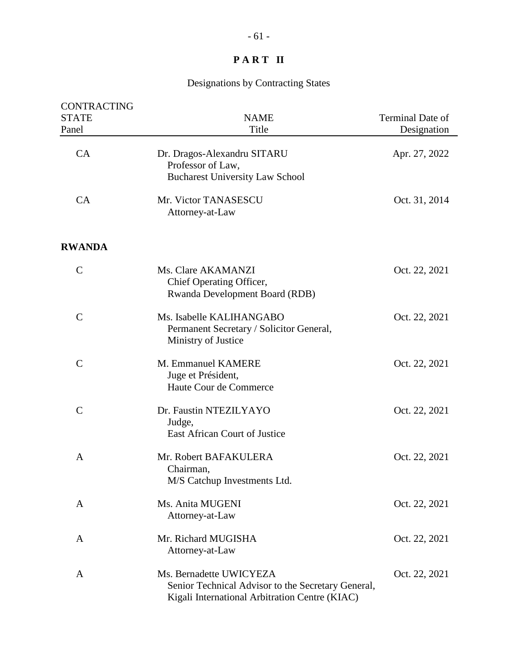| CONTRACTING<br><b>STATE</b><br>Panel | <b>NAME</b><br>Title                                                                                                            | Terminal Date of<br>Designation |
|--------------------------------------|---------------------------------------------------------------------------------------------------------------------------------|---------------------------------|
| CA                                   | Dr. Dragos-Alexandru SITARU<br>Professor of Law,<br><b>Bucharest University Law School</b>                                      | Apr. 27, 2022                   |
| CA                                   | Mr. Victor TANASESCU<br>Attorney-at-Law                                                                                         | Oct. 31, 2014                   |
| <b>RWANDA</b>                        |                                                                                                                                 |                                 |
| $\mathbf C$                          | Ms. Clare AKAMANZI<br>Chief Operating Officer,<br>Rwanda Development Board (RDB)                                                | Oct. 22, 2021                   |
| $\overline{C}$                       | Ms. Isabelle KALIHANGABO<br>Permanent Secretary / Solicitor General,<br>Ministry of Justice                                     | Oct. 22, 2021                   |
| $\mathbf C$                          | M. Emmanuel KAMERE<br>Juge et Président,<br>Haute Cour de Commerce                                                              | Oct. 22, 2021                   |
| $\mathcal{C}$                        | Dr. Faustin NTEZILYAYO<br>Judge,<br>East African Court of Justice                                                               | Oct. 22, 2021                   |
| A                                    | Mr. Robert BAFAKULERA<br>Chairman,<br>M/S Catchup Investments Ltd.                                                              | Oct. 22, 2021                   |
| A                                    | Ms. Anita MUGENI<br>Attorney-at-Law                                                                                             | Oct. 22, 2021                   |
| A                                    | Mr. Richard MUGISHA<br>Attorney-at-Law                                                                                          | Oct. 22, 2021                   |
| A                                    | Ms. Bernadette UWICYEZA<br>Senior Technical Advisor to the Secretary General,<br>Kigali International Arbitration Centre (KIAC) | Oct. 22, 2021                   |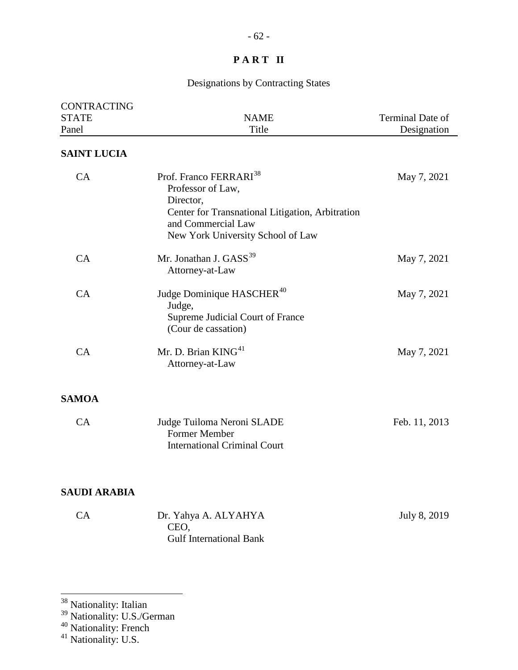### Designations by Contracting States

| <b>CONTRACTING</b><br><b>STATE</b><br>Panel | <b>NAME</b><br>Title                                                                                                                                                                | Terminal Date of<br>Designation |
|---------------------------------------------|-------------------------------------------------------------------------------------------------------------------------------------------------------------------------------------|---------------------------------|
| <b>SAINT LUCIA</b>                          |                                                                                                                                                                                     |                                 |
| CA                                          | Prof. Franco FERRARI <sup>38</sup><br>Professor of Law,<br>Director,<br>Center for Transnational Litigation, Arbitration<br>and Commercial Law<br>New York University School of Law | May 7, 2021                     |
| CA                                          | Mr. Jonathan J. GASS <sup>39</sup><br>Attorney-at-Law                                                                                                                               | May 7, 2021                     |
| CA                                          | Judge Dominique HASCHER <sup>40</sup><br>Judge,<br>Supreme Judicial Court of France<br>(Cour de cassation)                                                                          | May 7, 2021                     |
| CA                                          | Mr. D. Brian $KING41$<br>Attorney-at-Law                                                                                                                                            | May 7, 2021                     |
| <b>SAMOA</b>                                |                                                                                                                                                                                     |                                 |
| CA                                          | Judge Tuiloma Neroni SLADE<br>Former Member<br><b>International Criminal Court</b>                                                                                                  | Feb. 11, 2013                   |
| <b>SAUDI ARABIA</b>                         |                                                                                                                                                                                     |                                 |
| CA                                          | Dr. Yahya A. ALYAHYA<br>CEO,<br><b>Gulf International Bank</b>                                                                                                                      | July 8, 2019                    |

<span id="page-61-0"></span><sup>38</sup> Nationality: Italian

- <span id="page-61-1"></span><sup>39</sup> Nationality: U.S./German
- <span id="page-61-2"></span><sup>40</sup> Nationality: French

<span id="page-61-3"></span><sup>&</sup>lt;sup>41</sup> Nationality: U.S.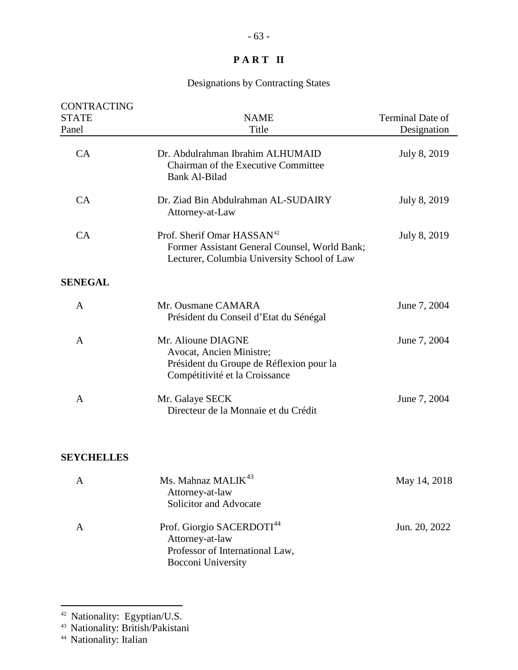## Designations by Contracting States

| CONTRACTING<br><b>STATE</b><br>Panel | <b>NAME</b><br>Title                                                                                                                   | Terminal Date of<br>Designation |
|--------------------------------------|----------------------------------------------------------------------------------------------------------------------------------------|---------------------------------|
| CA                                   | Dr. Abdulrahman Ibrahim ALHUMAID<br>Chairman of the Executive Committee<br><b>Bank Al-Bilad</b>                                        | July 8, 2019                    |
| CA                                   | Dr. Ziad Bin Abdulrahman AL-SUDAIRY<br>Attorney-at-Law                                                                                 | July 8, 2019                    |
| CA                                   | Prof. Sherif Omar HASSAN <sup>42</sup><br>Former Assistant General Counsel, World Bank;<br>Lecturer, Columbia University School of Law | July 8, 2019                    |
| <b>SENEGAL</b>                       |                                                                                                                                        |                                 |
| $\mathbf{A}$                         | Mr. Ousmane CAMARA<br>Président du Conseil d'Etat du Sénégal                                                                           | June 7, 2004                    |
| $\mathbf{A}$                         | Mr. Alioune DIAGNE<br>Avocat, Ancien Ministre;<br>Président du Groupe de Réflexion pour la<br>Compétitivité et la Croissance           | June 7, 2004                    |
| A                                    | Mr. Galaye SECK<br>Directeur de la Monnaie et du Crédit                                                                                | June 7, 2004                    |
| <b>SEYCHELLES</b>                    |                                                                                                                                        |                                 |
| A                                    | Ms. Mahnaz MALIK <sup>43</sup><br>Attorney-at-law                                                                                      | May 14, 2018                    |

| Solicitor and Advocate                             |               |
|----------------------------------------------------|---------------|
| Prof. Giorgio SACERDOTI <sup>44</sup>              | Jun. 20, 2022 |
| Attorney-at-law<br>Professor of International Law, |               |
| Bocconi University                                 |               |

<span id="page-62-0"></span><sup>&</sup>lt;sup>42</sup> Nationality: Egyptian/U.S.

<span id="page-62-1"></span><sup>43</sup> Nationality: British/Pakistani

<span id="page-62-2"></span><sup>&</sup>lt;sup>44</sup> Nationality: Italian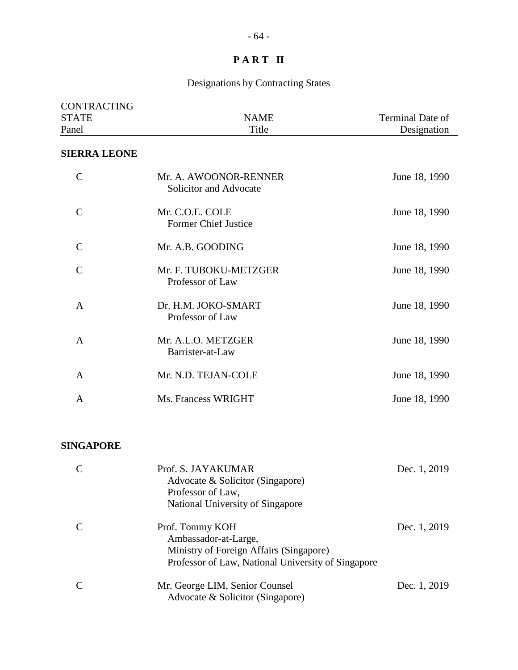## Designations by Contracting States

| <b>CONTRACTING</b><br><b>STATE</b><br>Panel | <b>NAME</b><br>Title                            | <b>Terminal Date of</b><br>Designation |
|---------------------------------------------|-------------------------------------------------|----------------------------------------|
| <b>SIERRA LEONE</b>                         |                                                 |                                        |
| $\mathcal{C}$                               | Mr. A. AWOONOR-RENNER<br>Solicitor and Advocate | June 18, 1990                          |
| $\overline{C}$                              | Mr. C.O.E. COLE<br><b>Former Chief Justice</b>  | June 18, 1990                          |
| $\mathcal{C}$                               | Mr. A.B. GOODING                                | June 18, 1990                          |
| $\overline{C}$                              | Mr. F. TUBOKU-METZGER<br>Professor of Law       | June 18, 1990                          |
| $\mathsf{A}$                                | Dr. H.M. JOKO-SMART<br>Professor of Law         | June 18, 1990                          |
| $\mathsf{A}$                                | Mr. A.L.O. METZGER<br>Barrister-at-Law          | June 18, 1990                          |
| A                                           | Mr. N.D. TEJAN-COLE                             | June 18, 1990                          |
| $\overline{A}$                              | Ms. Francess WRIGHT                             | June 18, 1990                          |

#### **SINGAPORE**

|   | Prof. S. JAYAKUMAR<br>Advocate & Solicitor (Singapore)<br>Professor of Law,<br>National University of Singapore                          | Dec. 1, 2019 |
|---|------------------------------------------------------------------------------------------------------------------------------------------|--------------|
|   | Prof. Tommy KOH<br>Ambassador-at-Large,<br>Ministry of Foreign Affairs (Singapore)<br>Professor of Law, National University of Singapore | Dec. 1, 2019 |
| C | Mr. George LIM, Senior Counsel<br>Advocate & Solicitor (Singapore)                                                                       | Dec. 1, 2019 |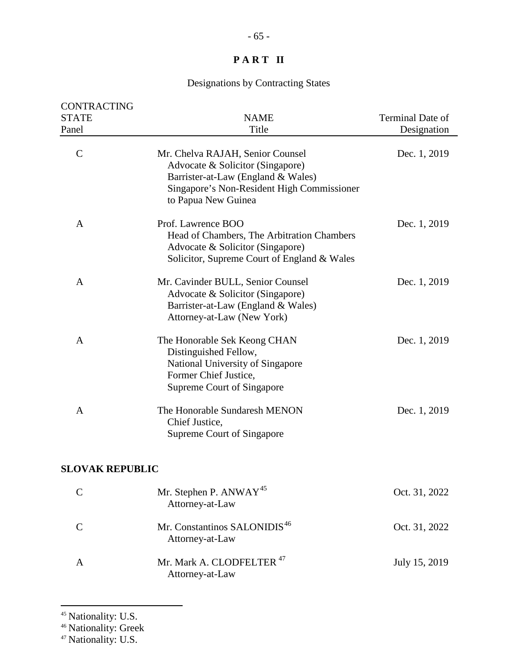## Designations by Contracting States

| CONTRACTING<br><b>STATE</b> | <b>NAME</b>                                                                                                                                                                     | Terminal Date of |
|-----------------------------|---------------------------------------------------------------------------------------------------------------------------------------------------------------------------------|------------------|
| Panel                       | Title                                                                                                                                                                           | Designation      |
| $\mathcal{C}$               | Mr. Chelva RAJAH, Senior Counsel<br>Advocate & Solicitor (Singapore)<br>Barrister-at-Law (England & Wales)<br>Singapore's Non-Resident High Commissioner<br>to Papua New Guinea | Dec. 1, 2019     |
| A                           | Prof. Lawrence BOO<br>Head of Chambers, The Arbitration Chambers<br>Advocate & Solicitor (Singapore)<br>Solicitor, Supreme Court of England & Wales                             | Dec. 1, 2019     |
| A                           | Mr. Cavinder BULL, Senior Counsel<br>Advocate & Solicitor (Singapore)<br>Barrister-at-Law (England & Wales)<br>Attorney-at-Law (New York)                                       | Dec. 1, 2019     |
| A                           | The Honorable Sek Keong CHAN<br>Distinguished Fellow,<br>National University of Singapore<br>Former Chief Justice,<br><b>Supreme Court of Singapore</b>                         | Dec. 1, 2019     |
| A                           | The Honorable Sundaresh MENON<br>Chief Justice,<br>Supreme Court of Singapore                                                                                                   | Dec. 1, 2019     |
| <b>SLOVAK REPUBLIC</b>      |                                                                                                                                                                                 |                  |
| $\mathsf{C}$                | Mr. Stephen P. ANWAY <sup>45</sup><br>Attorney-at-Law                                                                                                                           | Oct. 31, 2022    |
| $\mathbf C$                 | Mr. Constantinos SALONIDIS <sup>46</sup><br>Attorney-at-Law                                                                                                                     | Oct. 31, 2022    |
| A                           | Mr. Mark A. CLODFELTER <sup>47</sup><br>Attorney-at-Law                                                                                                                         | July 15, 2019    |

<span id="page-64-0"></span><sup>&</sup>lt;sup>45</sup> Nationality: U.S.

<span id="page-64-1"></span><sup>&</sup>lt;sup>46</sup> Nationality: Greek

<span id="page-64-2"></span><sup>&</sup>lt;sup>47</sup> Nationality: U.S.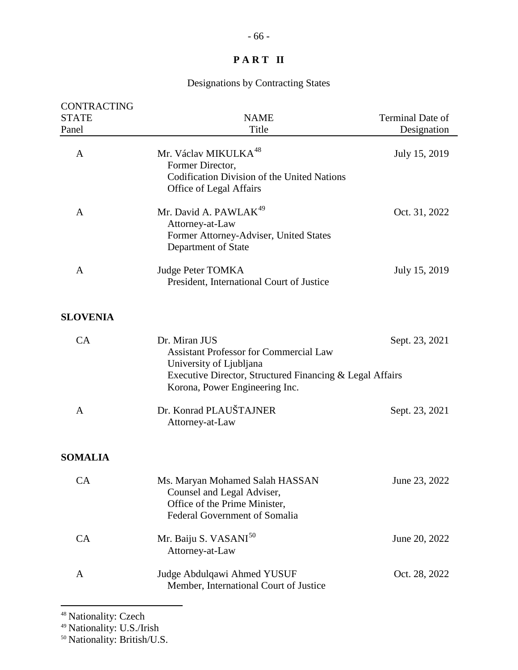## Designations by Contracting States

| CONTRACTING<br><b>STATE</b> | <b>NAME</b>                                                                                                                                                                             | Terminal Date of |
|-----------------------------|-----------------------------------------------------------------------------------------------------------------------------------------------------------------------------------------|------------------|
| Panel                       | Title                                                                                                                                                                                   | Designation      |
| A                           | Mr. Václav MIKULKA <sup>48</sup><br>Former Director,<br>Codification Division of the United Nations<br>Office of Legal Affairs                                                          | July 15, 2019    |
| A                           | Mr. David A. PAWLAK <sup>49</sup><br>Attorney-at-Law<br>Former Attorney-Adviser, United States<br>Department of State                                                                   | Oct. 31, 2022    |
| A                           | <b>Judge Peter TOMKA</b><br>President, International Court of Justice                                                                                                                   | July 15, 2019    |
| <b>SLOVENIA</b>             |                                                                                                                                                                                         |                  |
| CA                          | Dr. Miran JUS<br><b>Assistant Professor for Commercial Law</b><br>University of Ljubljana<br>Executive Director, Structured Financing & Legal Affairs<br>Korona, Power Engineering Inc. | Sept. 23, 2021   |
| $\mathbf{A}$                | Dr. Konrad PLAUŠTAJNER<br>Attorney-at-Law                                                                                                                                               | Sept. 23, 2021   |
| <b>SOMALIA</b>              |                                                                                                                                                                                         |                  |
| <b>CA</b>                   | Ms. Maryan Mohamed Salah HASSAN<br>Counsel and Legal Adviser,<br>Office of the Prime Minister,<br><b>Federal Government of Somalia</b>                                                  | June 23, 2022    |
| CA                          | Mr. Baiju S. VASANI <sup>50</sup><br>Attorney-at-Law                                                                                                                                    | June 20, 2022    |
| A                           | Judge Abdulqawi Ahmed YUSUF<br>Member, International Court of Justice                                                                                                                   | Oct. 28, 2022    |
|                             |                                                                                                                                                                                         |                  |

<span id="page-65-0"></span><sup>48</sup> Nationality: Czech

<span id="page-65-1"></span><sup>49</sup> Nationality: U.S./Irish

<span id="page-65-2"></span><sup>50</sup> Nationality: British/U.S.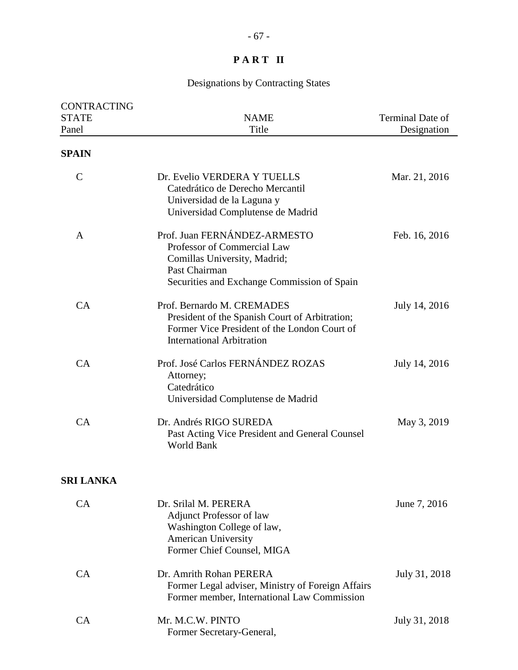| CONTRACTING<br><b>STATE</b><br>Panel | <b>NAME</b><br>Title                                                                                                                                             | Terminal Date of<br>Designation |
|--------------------------------------|------------------------------------------------------------------------------------------------------------------------------------------------------------------|---------------------------------|
| <b>SPAIN</b>                         |                                                                                                                                                                  |                                 |
| $\mathcal{C}$                        | Dr. Evelio VERDERA Y TUELLS<br>Catedrático de Derecho Mercantil<br>Universidad de la Laguna y<br>Universidad Complutense de Madrid                               | Mar. 21, 2016                   |
| $\mathbf{A}$                         | Prof. Juan FERNÁNDEZ-ARMESTO<br>Professor of Commercial Law<br>Comillas University, Madrid;<br>Past Chairman<br>Securities and Exchange Commission of Spain      | Feb. 16, 2016                   |
| CA                                   | Prof. Bernardo M. CREMADES<br>President of the Spanish Court of Arbitration;<br>Former Vice President of the London Court of<br><b>International Arbitration</b> | July 14, 2016                   |
| CA                                   | Prof. José Carlos FERNÁNDEZ ROZAS<br>Attorney;<br>Catedrático<br>Universidad Complutense de Madrid                                                               | July 14, 2016                   |
| CA                                   | Dr. Andrés RIGO SUREDA<br>Past Acting Vice President and General Counsel<br>World Bank                                                                           | May 3, 2019                     |
| <b>SRI LANKA</b>                     |                                                                                                                                                                  |                                 |
| CA                                   | Dr. Srilal M. PERERA<br><b>Adjunct Professor of law</b><br>Washington College of law,<br><b>American University</b><br>Former Chief Counsel, MIGA                | June 7, 2016                    |
| CA                                   | Dr. Amrith Rohan PERERA<br>Former Legal adviser, Ministry of Foreign Affairs<br>Former member, International Law Commission                                      | July 31, 2018                   |
| CA                                   | Mr. M.C.W. PINTO<br>Former Secretary-General,                                                                                                                    | July 31, 2018                   |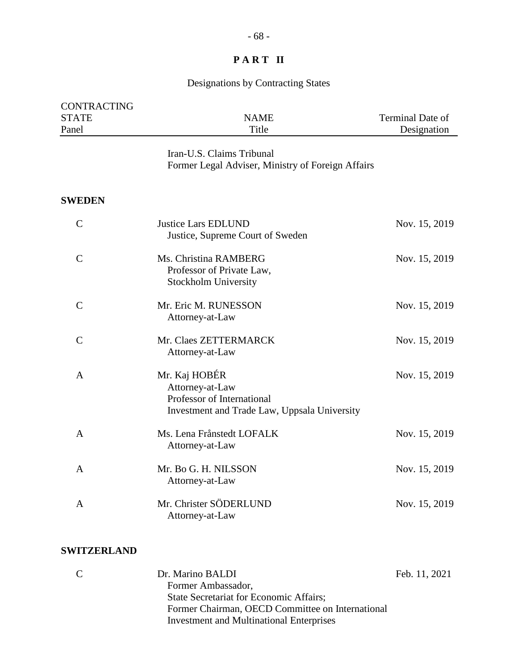## Designations by Contracting States

| <b>CONTRACTING</b>    |                                                                                                                |                                 |
|-----------------------|----------------------------------------------------------------------------------------------------------------|---------------------------------|
| <b>STATE</b><br>Panel | <b>NAME</b><br>Title                                                                                           | Terminal Date of<br>Designation |
|                       | Iran-U.S. Claims Tribunal<br>Former Legal Adviser, Ministry of Foreign Affairs                                 |                                 |
| <b>SWEDEN</b>         |                                                                                                                |                                 |
| $\mathsf{C}$          | <b>Justice Lars EDLUND</b><br>Justice, Supreme Court of Sweden                                                 | Nov. 15, 2019                   |
| $\mathcal{C}$         | Ms. Christina RAMBERG<br>Professor of Private Law,<br>Stockholm University                                     | Nov. 15, 2019                   |
| $\mathcal{C}$         | Mr. Eric M. RUNESSON<br>Attorney-at-Law                                                                        | Nov. 15, 2019                   |
| $\mathcal{C}$         | Mr. Claes ZETTERMARCK<br>Attorney-at-Law                                                                       | Nov. 15, 2019                   |
| A                     | Mr. Kaj HOBÉR<br>Attorney-at-Law<br>Professor of International<br>Investment and Trade Law, Uppsala University | Nov. 15, 2019                   |
| $\mathbf{A}$          | Ms. Lena Frånstedt LOFALK<br>Attorney-at-Law                                                                   | Nov. 15, 2019                   |
| A                     | Mr. Bo G. H. NILSSON<br>Attorney-at-Law                                                                        | Nov. 15, 2019                   |
| A                     | Mr. Christer SÖDERLUND<br>Attorney-at-Law                                                                      | Nov. 15, 2019                   |

#### **SWITZERLAND**

| - C | Dr. Marino BALDI                                 | Feb. 11, 2021 |
|-----|--------------------------------------------------|---------------|
|     | Former Ambassador,                               |               |
|     | <b>State Secretariat for Economic Affairs;</b>   |               |
|     | Former Chairman, OECD Committee on International |               |
|     | <b>Investment and Multinational Enterprises</b>  |               |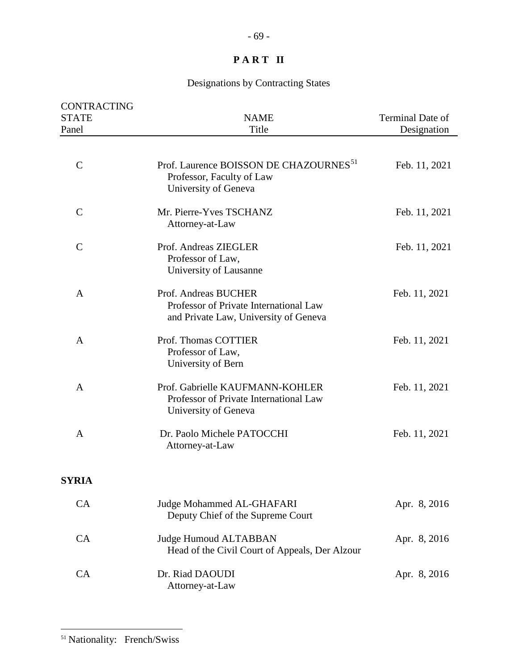# Designations by Contracting States

<span id="page-68-0"></span>

| CONTRACTING<br><b>STATE</b> | <b>NAME</b>                                                                                             | Terminal Date of |
|-----------------------------|---------------------------------------------------------------------------------------------------------|------------------|
| Panel                       | Title                                                                                                   | Designation      |
| $\mathbf C$                 | Prof. Laurence BOISSON DE CHAZOURNES <sup>51</sup><br>Professor, Faculty of Law<br>University of Geneva | Feb. 11, 2021    |
| $\mathsf{C}$                | Mr. Pierre-Yves TSCHANZ<br>Attorney-at-Law                                                              | Feb. 11, 2021    |
| $\mathcal{C}$               | Prof. Andreas ZIEGLER<br>Professor of Law,<br>University of Lausanne                                    | Feb. 11, 2021    |
| A                           | Prof. Andreas BUCHER<br>Professor of Private International Law<br>and Private Law, University of Geneva | Feb. 11, 2021    |
| A                           | Prof. Thomas COTTIER<br>Professor of Law,<br>University of Bern                                         | Feb. 11, 2021    |
| A                           | Prof. Gabrielle KAUFMANN-KOHLER<br>Professor of Private International Law<br>University of Geneva       | Feb. 11, 2021    |
| A                           | Dr. Paolo Michele PATOCCHI<br>Attorney-at-Law                                                           | Feb. 11, 2021    |
| <b>SYRIA</b>                |                                                                                                         |                  |
| CA                          | Judge Mohammed AL-GHAFARI<br>Deputy Chief of the Supreme Court                                          | Apr. 8, 2016     |
| <b>CA</b>                   | <b>Judge Humoud ALTABBAN</b><br>Head of the Civil Court of Appeals, Der Alzour                          | Apr. 8, 2016     |
| CA                          | Dr. Riad DAOUDI<br>Attorney-at-Law                                                                      | Apr. 8, 2016     |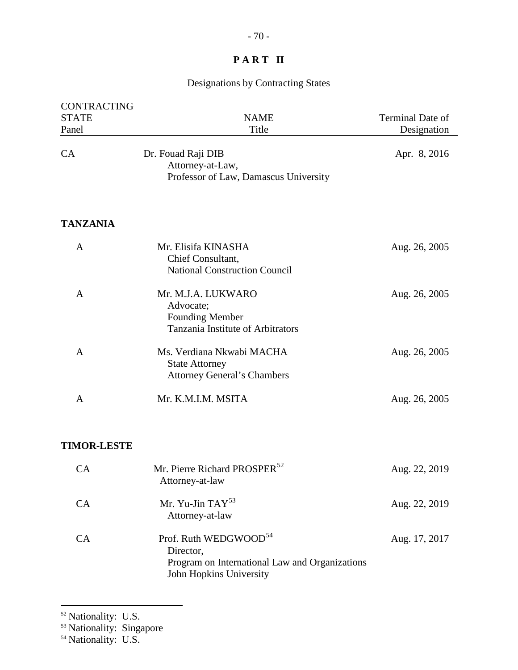## Designations by Contracting States

| <b>CONTRACTING</b><br><b>STATE</b><br>Panel | <b>NAME</b><br>Title                                                                                                        | Terminal Date of<br>Designation |
|---------------------------------------------|-----------------------------------------------------------------------------------------------------------------------------|---------------------------------|
| CA                                          | Dr. Fouad Raji DIB<br>Attorney-at-Law,<br>Professor of Law, Damascus University                                             | Apr. 8, 2016                    |
| <b>TANZANIA</b>                             |                                                                                                                             |                                 |
| A                                           | Mr. Elisifa KINASHA<br>Chief Consultant,<br><b>National Construction Council</b>                                            | Aug. 26, 2005                   |
| A                                           | Mr. M.J.A. LUKWARO<br>Advocate;<br><b>Founding Member</b><br>Tanzania Institute of Arbitrators                              | Aug. 26, 2005                   |
| A                                           | Ms. Verdiana Nkwabi MACHA<br><b>State Attorney</b><br><b>Attorney General's Chambers</b>                                    | Aug. 26, 2005                   |
| $\mathbf{A}$                                | Mr. K.M.I.M. MSITA                                                                                                          | Aug. 26, 2005                   |
| <b>TIMOR-LESTE</b>                          |                                                                                                                             |                                 |
| CA                                          | Mr. Pierre Richard PROSPER <sup>52</sup><br>Attorney-at-law                                                                 | Aug. 22, 2019                   |
| CA                                          | Mr. Yu-Jin TAY <sup>53</sup><br>Attorney-at-law                                                                             | Aug. 22, 2019                   |
| CA                                          | Prof. Ruth WEDGWOOD <sup>54</sup><br>Director,<br>Program on International Law and Organizations<br>John Hopkins University | Aug. 17, 2017                   |

<span id="page-69-0"></span><sup>&</sup>lt;sup>52</sup> Nationality: U.S.

<span id="page-69-1"></span><sup>53</sup> Nationality: Singapore

<span id="page-69-2"></span><sup>&</sup>lt;sup>54</sup> Nationality: U.S.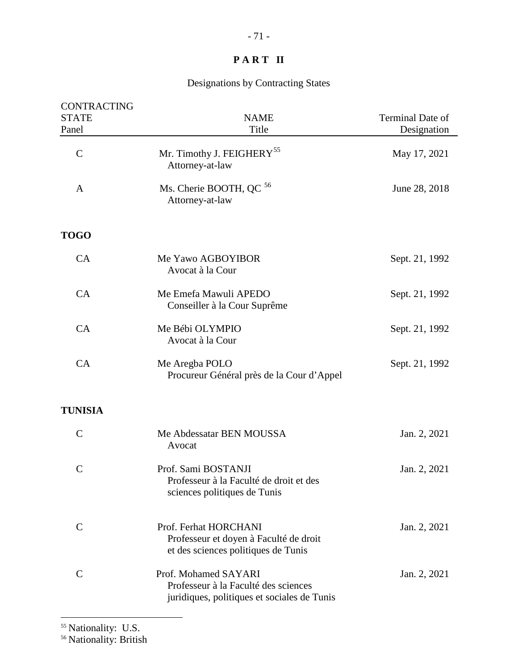## Designations by Contracting States

| CONTRACTING<br><b>STATE</b><br>Panel | <b>NAME</b><br>Title                                                                                        | Terminal Date of<br>Designation |
|--------------------------------------|-------------------------------------------------------------------------------------------------------------|---------------------------------|
| $\mathcal{C}$                        | Mr. Timothy J. FEIGHERY <sup>55</sup><br>Attorney-at-law                                                    | May 17, 2021                    |
| $\mathbf{A}$                         | Ms. Cherie BOOTH, QC <sup>56</sup><br>Attorney-at-law                                                       | June 28, 2018                   |
| <b>TOGO</b>                          |                                                                                                             |                                 |
| CA                                   | Me Yawo AGBOYIBOR<br>Avocat à la Cour                                                                       | Sept. 21, 1992                  |
| CA                                   | Me Emefa Mawuli APEDO<br>Conseiller à la Cour Suprême                                                       | Sept. 21, 1992                  |
| CA                                   | Me Bébi OLYMPIO<br>Avocat à la Cour                                                                         | Sept. 21, 1992                  |
| CA                                   | Me Aregba POLO<br>Procureur Général près de la Cour d'Appel                                                 | Sept. 21, 1992                  |
| <b>TUNISIA</b>                       |                                                                                                             |                                 |
| $\mathcal{C}$                        | Me Abdessatar BEN MOUSSA<br>Avocat                                                                          | Jan. 2, 2021                    |
| $\mathcal{C}$                        | Prof. Sami BOSTANJI<br>Professeur à la Faculté de droit et des<br>sciences politiques de Tunis              | Jan. 2, 2021                    |
| $\mathbf C$                          | Prof. Ferhat HORCHANI<br>Professeur et doyen à Faculté de droit<br>et des sciences politiques de Tunis      | Jan. 2, 2021                    |
| $\mathcal{C}$                        | Prof. Mohamed SAYARI<br>Professeur à la Faculté des sciences<br>juridiques, politiques et sociales de Tunis | Jan. 2, 2021                    |

<span id="page-70-0"></span> $\overline{a}$ 

<span id="page-70-1"></span><sup>56</sup> Nationality: British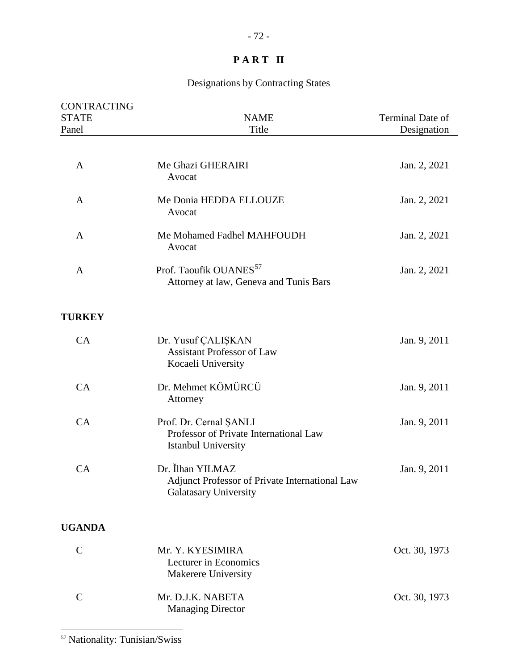| CONTRACTING<br><b>STATE</b> | <b>NAME</b>                                                                                        | Terminal Date of |
|-----------------------------|----------------------------------------------------------------------------------------------------|------------------|
| Panel                       | Title                                                                                              | Designation      |
|                             |                                                                                                    |                  |
| A                           | Me Ghazi GHERAIRI<br>Avocat                                                                        | Jan. 2, 2021     |
| A                           | Me Donia HEDDA ELLOUZE<br>Avocat                                                                   | Jan. 2, 2021     |
| A                           | Me Mohamed Fadhel MAHFOUDH<br>Avocat                                                               | Jan. 2, 2021     |
| $\mathbf{A}$                | Prof. Taoufik OUANES <sup>57</sup><br>Attorney at law, Geneva and Tunis Bars                       | Jan. 2, 2021     |
| <b>TURKEY</b>               |                                                                                                    |                  |
| CA                          | Dr. Yusuf ÇALIŞKAN<br><b>Assistant Professor of Law</b><br>Kocaeli University                      | Jan. 9, 2011     |
| CA                          | Dr. Mehmet KÖMÜRCÜ<br>Attorney                                                                     | Jan. 9, 2011     |
| CA                          | Prof. Dr. Cernal ŞANLI<br>Professor of Private International Law<br>Istanbul University            | Jan. 9, 2011     |
| CA                          | Dr. İlhan YILMAZ<br>Adjunct Professor of Private International Law<br><b>Galatasary University</b> | Jan. 9, 2011     |
| <b>UGANDA</b>               |                                                                                                    |                  |
| $\mathcal{C}$               | Mr. Y. KYESIMIRA<br>Lecturer in Economics<br><b>Makerere University</b>                            | Oct. 30, 1973    |
| $\mathcal{C}$               | Mr. D.J.K. NABETA<br><b>Managing Director</b>                                                      | Oct. 30, 1973    |
|                             |                                                                                                    |                  |

<span id="page-71-0"></span><sup>57</sup> Nationality: Tunisian/Swiss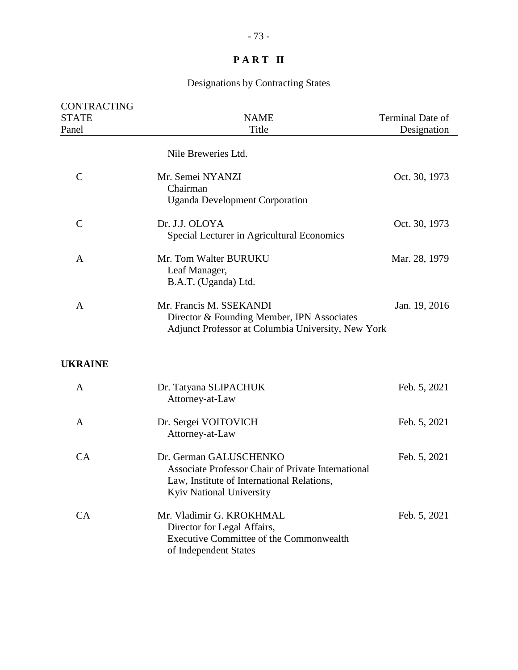## Designations by Contracting States

| CONTRACTING<br><b>STATE</b><br>Panel | <b>NAME</b><br>Title                                                                                                                                          | Terminal Date of<br>Designation |
|--------------------------------------|---------------------------------------------------------------------------------------------------------------------------------------------------------------|---------------------------------|
|                                      | Nile Breweries Ltd.                                                                                                                                           |                                 |
| $\mathbf C$                          | Mr. Semei NYANZI<br>Chairman<br><b>Uganda Development Corporation</b>                                                                                         | Oct. 30, 1973                   |
| $\mathsf C$                          | Dr. J.J. OLOYA<br>Special Lecturer in Agricultural Economics                                                                                                  | Oct. 30, 1973                   |
| A                                    | Mr. Tom Walter BURUKU<br>Leaf Manager,<br>B.A.T. (Uganda) Ltd.                                                                                                | Mar. 28, 1979                   |
| A                                    | Mr. Francis M. SSEKANDI<br>Director & Founding Member, IPN Associates<br>Adjunct Professor at Columbia University, New York                                   | Jan. 19, 2016                   |
| <b>UKRAINE</b>                       |                                                                                                                                                               |                                 |
| A                                    | Dr. Tatyana SLIPACHUK<br>Attorney-at-Law                                                                                                                      | Feb. 5, 2021                    |
| A                                    | Dr. Sergei VOITOVICH<br>Attorney-at-Law                                                                                                                       | Feb. 5, 2021                    |
| CA                                   | Dr. German GALUSCHENKO<br><b>Associate Professor Chair of Private International</b><br>Law, Institute of International Relations,<br>Kyiv National University | Feb. 5, 2021                    |
| CA                                   | Mr. Vladimir G. KROKHMAL<br>Director for Legal Affairs,<br><b>Executive Committee of the Commonwealth</b><br>of Independent States                            | Feb. 5, 2021                    |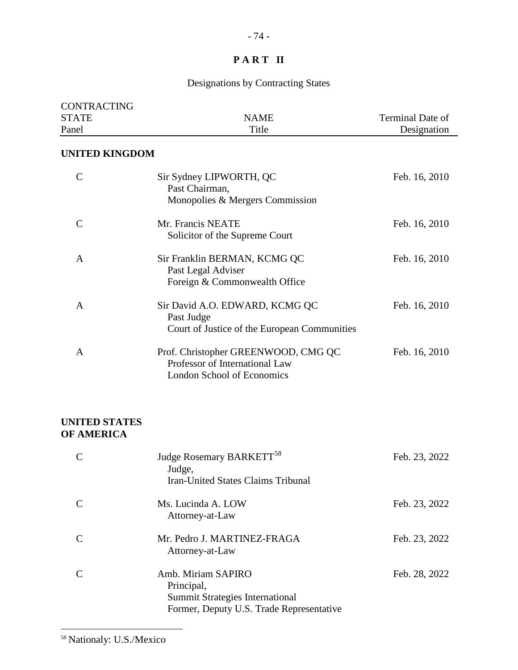## Designations by Contracting States

| <b>CONTRACTING</b><br><b>STATE</b> | <b>NAME</b>                                                                                         | Terminal Date of |
|------------------------------------|-----------------------------------------------------------------------------------------------------|------------------|
| Panel                              | Title                                                                                               | Designation      |
| <b>UNITED KINGDOM</b>              |                                                                                                     |                  |
| $\mathsf{C}$                       | Sir Sydney LIPWORTH, QC<br>Past Chairman,<br>Monopolies & Mergers Commission                        | Feb. 16, 2010    |
| $\mathsf{C}$                       | Mr. Francis NEATE<br>Solicitor of the Supreme Court                                                 | Feb. 16, 2010    |
| A                                  | Sir Franklin BERMAN, KCMG QC<br>Past Legal Adviser<br>Foreign & Commonwealth Office                 | Feb. 16, 2010    |
| A                                  | Sir David A.O. EDWARD, KCMG QC<br>Past Judge<br>Court of Justice of the European Communities        | Feb. 16, 2010    |
| A                                  | Prof. Christopher GREENWOOD, CMG QC<br>Professor of International Law<br>London School of Economics | Feb. 16, 2010    |

#### **UNITED STATES OF AMERICA**

| Judge Rosemary BARKETT <sup>58</sup><br>Judge,<br>Iran-United States Claims Tribunal                                   | Feb. 23, 2022 |
|------------------------------------------------------------------------------------------------------------------------|---------------|
| Ms. Lucinda A. LOW<br>Attorney-at-Law                                                                                  | Feb. 23, 2022 |
| Mr. Pedro J. MARTINEZ-FRAGA<br>Attorney-at-Law                                                                         | Feb. 23, 2022 |
| Amb. Miriam SAPIRO<br>Principal,<br><b>Summit Strategies International</b><br>Former, Deputy U.S. Trade Representative | Feb. 28, 2022 |

<span id="page-73-0"></span> $\overline{a}$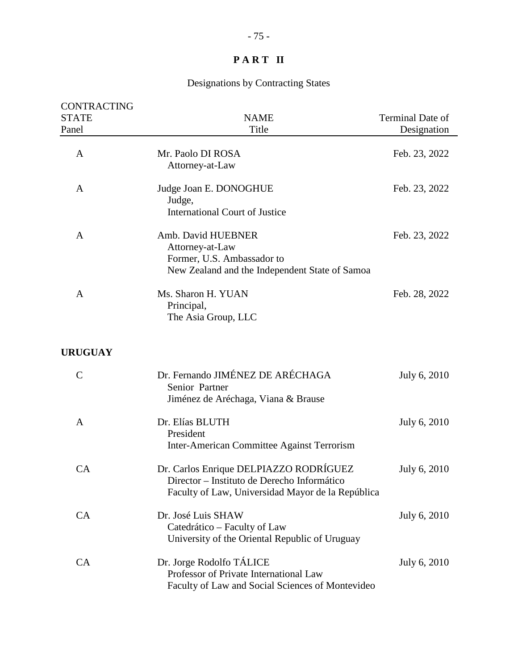## Designations by Contracting States

| <b>CONTRACTING</b><br><b>STATE</b><br>Panel | <b>NAME</b><br>Title                                                                                                                       | Terminal Date of<br>Designation |
|---------------------------------------------|--------------------------------------------------------------------------------------------------------------------------------------------|---------------------------------|
| $\mathbf{A}$                                | Mr. Paolo DI ROSA<br>Attorney-at-Law                                                                                                       | Feb. 23, 2022                   |
| A                                           | Judge Joan E. DONOGHUE<br>Judge,<br><b>International Court of Justice</b>                                                                  | Feb. 23, 2022                   |
| A                                           | Amb. David HUEBNER<br>Attorney-at-Law<br>Former, U.S. Ambassador to<br>New Zealand and the Independent State of Samoa                      | Feb. 23, 2022                   |
| A                                           | Ms. Sharon H. YUAN<br>Principal,<br>The Asia Group, LLC                                                                                    | Feb. 28, 2022                   |
| <b>URUGUAY</b>                              |                                                                                                                                            |                                 |
| $\mathcal{C}$                               | Dr. Fernando JIMÉNEZ DE ARÉCHAGA<br>Senior Partner<br>Jiménez de Aréchaga, Viana & Brause                                                  | July 6, 2010                    |
| A                                           | Dr. Elías BLUTH<br>President<br>Inter-American Committee Against Terrorism                                                                 | July 6, 2010                    |
| CA                                          | Dr. Carlos Enrique DELPIAZZO RODRÍGUEZ<br>Director - Instituto de Derecho Informático<br>Faculty of Law, Universidad Mayor de la República | July 6, 2010                    |
| CA                                          | Dr. José Luis SHAW<br>Catedrático – Faculty of Law<br>University of the Oriental Republic of Uruguay                                       | July 6, 2010                    |
| CA                                          | Dr. Jorge Rodolfo TÁLICE<br>Professor of Private International Law<br>Faculty of Law and Social Sciences of Montevideo                     | July 6, 2010                    |